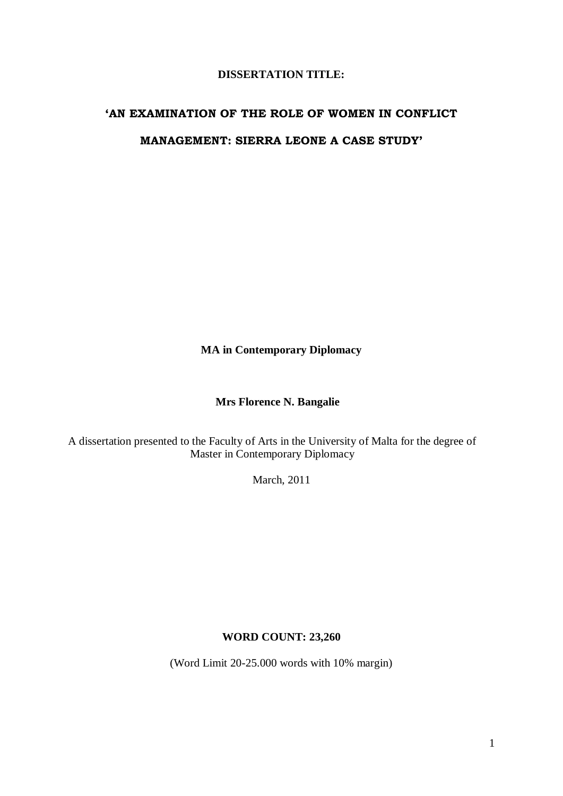## **DISSERTATION TITLE:**

# **'AN EXAMINATION OF THE ROLE OF WOMEN IN CONFLICT MANAGEMENT: SIERRA LEONE A CASE STUDY'**

**MA in Contemporary Diplomacy**

# **Mrs Florence N. Bangalie**

A dissertation presented to the Faculty of Arts in the University of Malta for the degree of Master in Contemporary Diplomacy

March, 2011

## **WORD COUNT: 23,260**

(Word Limit 20-25.000 words with 10% margin)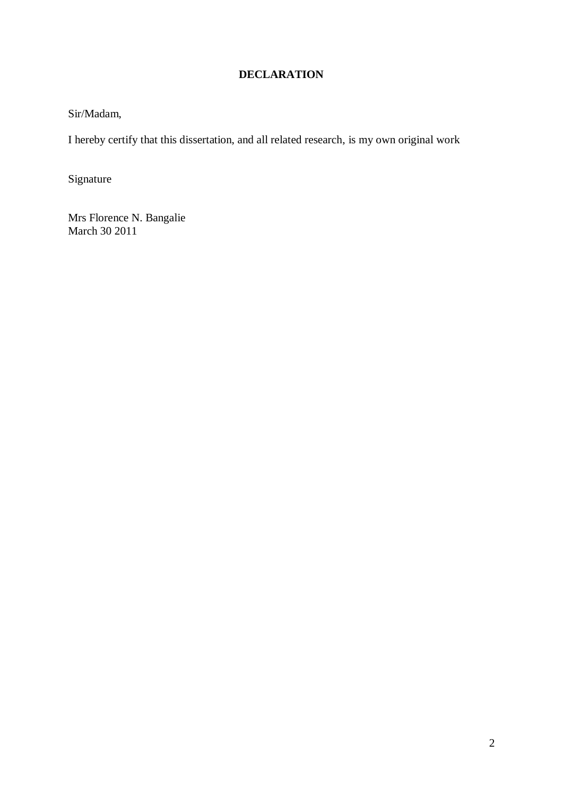# **DECLARATION**

Sir/Madam,

I hereby certify that this dissertation, and all related research, is my own original work

Signature

Mrs Florence N. Bangalie March 30 2011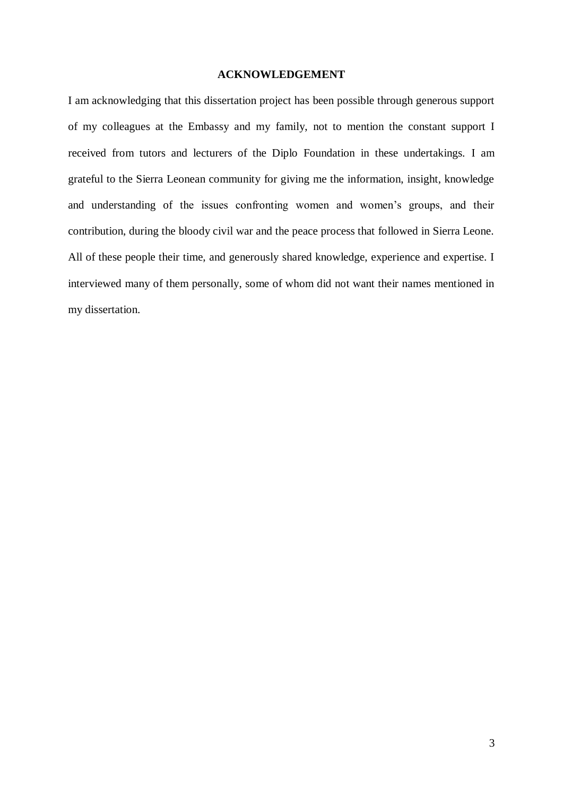#### **ACKNOWLEDGEMENT**

I am acknowledging that this dissertation project has been possible through generous support of my colleagues at the Embassy and my family, not to mention the constant support I received from tutors and lecturers of the Diplo Foundation in these undertakings. I am grateful to the Sierra Leonean community for giving me the information, insight, knowledge and understanding of the issues confronting women and women's groups, and their contribution, during the bloody civil war and the peace process that followed in Sierra Leone. All of these people their time, and generously shared knowledge, experience and expertise. I interviewed many of them personally, some of whom did not want their names mentioned in my dissertation.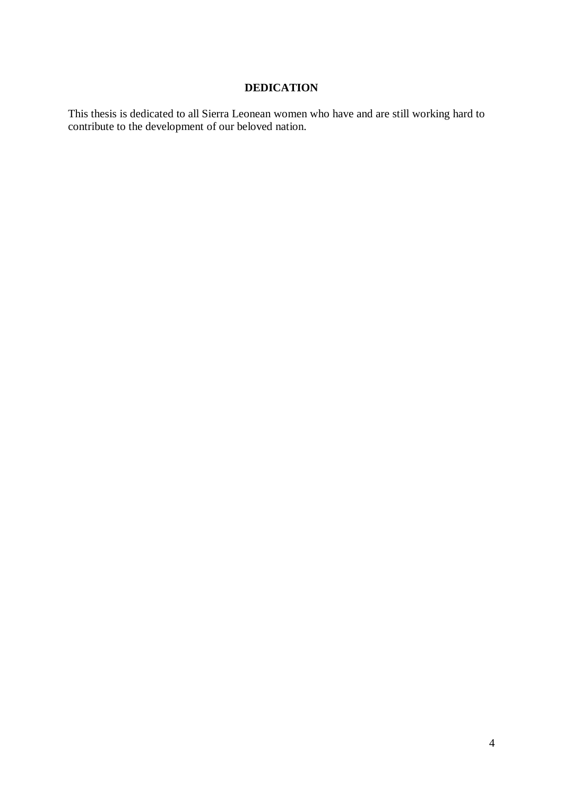# **DEDICATION**

This thesis is dedicated to all Sierra Leonean women who have and are still working hard to contribute to the development of our beloved nation.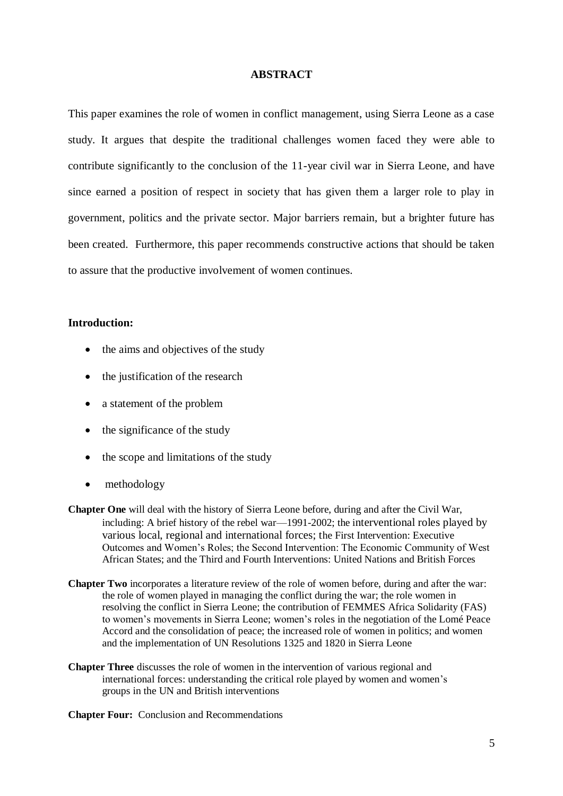#### **ABSTRACT**

This paper examines the role of women in conflict management, using Sierra Leone as a case study. It argues that despite the traditional challenges women faced they were able to contribute significantly to the conclusion of the 11-year civil war in Sierra Leone, and have since earned a position of respect in society that has given them a larger role to play in government, politics and the private sector. Major barriers remain, but a brighter future has been created. Furthermore, this paper recommends constructive actions that should be taken to assure that the productive involvement of women continues.

## **Introduction:**

- the aims and objectives of the study
- the justification of the research
- a statement of the problem
- the significance of the study
- $\bullet$  the scope and limitations of the study
- methodology
- **Chapter One** will deal with the history of Sierra Leone before, during and after the Civil War, including: A brief history of the rebel war—1991-2002; the interventional roles played by various local, regional and international forces; the First Intervention: Executive Outcomes and Women's Roles; the Second Intervention: The Economic Community of West African States; and the Third and Fourth Interventions: United Nations and British Forces
- **Chapter Two** incorporates a literature review of the role of women before, during and after the war: the role of women played in managing the conflict during the war; the role women in resolving the conflict in Sierra Leone; the contribution of FEMMES Africa Solidarity (FAS) to women's movements in Sierra Leone; women's roles in the negotiation of the Lomé Peace Accord and the consolidation of peace; the increased role of women in politics; and women and the implementation of UN Resolutions 1325 and 1820 in Sierra Leone
- **Chapter Three** discusses the role of women in the intervention of various regional and international forces: understanding the critical role played by women and women's groups in the UN and British interventions

**Chapter Four:** Conclusion and Recommendations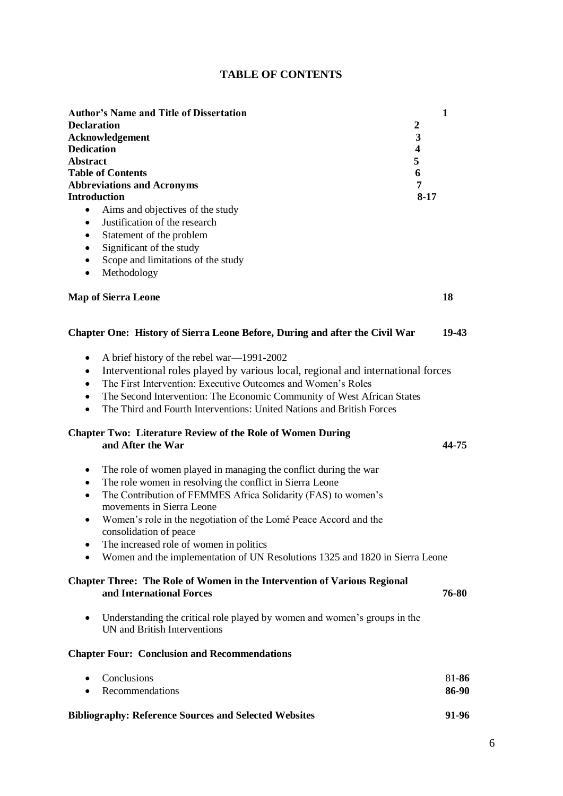|  | <b>TABLE OF CONTENTS</b> |
|--|--------------------------|
|--|--------------------------|

| <b>Author's Name and Title of Dissertation</b>                                                                                                                                                                                                                                                                                                                                                                                                                                          | $\mathbf{1}$   |  |
|-----------------------------------------------------------------------------------------------------------------------------------------------------------------------------------------------------------------------------------------------------------------------------------------------------------------------------------------------------------------------------------------------------------------------------------------------------------------------------------------|----------------|--|
| <b>Declaration</b><br>$\boldsymbol{2}$                                                                                                                                                                                                                                                                                                                                                                                                                                                  |                |  |
| 3<br>Acknowledgement                                                                                                                                                                                                                                                                                                                                                                                                                                                                    |                |  |
| <b>Dedication</b><br>$\overline{\mathbf{4}}$                                                                                                                                                                                                                                                                                                                                                                                                                                            |                |  |
| 5<br><b>Abstract</b>                                                                                                                                                                                                                                                                                                                                                                                                                                                                    |                |  |
| <b>Table of Contents</b><br>6                                                                                                                                                                                                                                                                                                                                                                                                                                                           |                |  |
| <b>Abbreviations and Acronyms</b>                                                                                                                                                                                                                                                                                                                                                                                                                                                       | 7              |  |
| <b>Introduction</b>                                                                                                                                                                                                                                                                                                                                                                                                                                                                     | $8 - 17$       |  |
| Aims and objectives of the study<br>$\bullet$<br>Justification of the research                                                                                                                                                                                                                                                                                                                                                                                                          |                |  |
| $\bullet$                                                                                                                                                                                                                                                                                                                                                                                                                                                                               |                |  |
| Statement of the problem<br>$\bullet$                                                                                                                                                                                                                                                                                                                                                                                                                                                   |                |  |
| Significant of the study<br>$\bullet$                                                                                                                                                                                                                                                                                                                                                                                                                                                   |                |  |
| Scope and limitations of the study<br>$\bullet$                                                                                                                                                                                                                                                                                                                                                                                                                                         |                |  |
| Methodology<br>$\bullet$                                                                                                                                                                                                                                                                                                                                                                                                                                                                |                |  |
| <b>Map of Sierra Leone</b>                                                                                                                                                                                                                                                                                                                                                                                                                                                              | 18             |  |
| Chapter One: History of Sierra Leone Before, During and after the Civil War                                                                                                                                                                                                                                                                                                                                                                                                             | 19-43          |  |
| A brief history of the rebel war—1991-2002<br>٠<br>Interventional roles played by various local, regional and international forces<br>$\bullet$<br>The First Intervention: Executive Outcomes and Women's Roles<br>The Second Intervention: The Economic Community of West African States<br>٠<br>The Third and Fourth Interventions: United Nations and British Forces<br>$\bullet$                                                                                                    |                |  |
| <b>Chapter Two: Literature Review of the Role of Women During</b><br>and After the War<br>44-75                                                                                                                                                                                                                                                                                                                                                                                         |                |  |
| The role of women played in managing the conflict during the war<br>٠<br>The role women in resolving the conflict in Sierra Leone<br>$\bullet$<br>The Contribution of FEMMES Africa Solidarity (FAS) to women's<br>$\bullet$<br>movements in Sierra Leone<br>Women's role in the negotiation of the Lomé Peace Accord and the<br>consolidation of peace<br>The increased role of women in politics<br>Women and the implementation of UN Resolutions 1325 and 1820 in Sierra Leone<br>٠ |                |  |
| <b>Chapter Three: The Role of Women in the Intervention of Various Regional</b><br>and International Forces<br>76-80                                                                                                                                                                                                                                                                                                                                                                    |                |  |
| Understanding the critical role played by women and women's groups in the<br>٠<br>UN and British Interventions                                                                                                                                                                                                                                                                                                                                                                          |                |  |
| <b>Chapter Four: Conclusion and Recommendations</b>                                                                                                                                                                                                                                                                                                                                                                                                                                     |                |  |
| Conclusions<br>Recommendations                                                                                                                                                                                                                                                                                                                                                                                                                                                          | 81-86<br>86-90 |  |

# **Bibliography: Reference Sources and Selected Websites 91-96**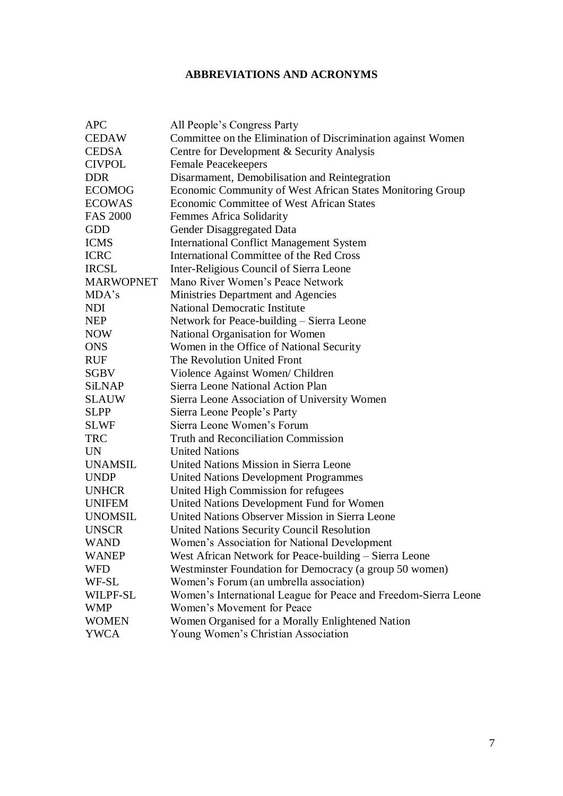# **ABBREVIATIONS AND ACRONYMS**

| <b>APC</b>       | All People's Congress Party                                     |
|------------------|-----------------------------------------------------------------|
| <b>CEDAW</b>     | Committee on the Elimination of Discrimination against Women    |
| <b>CEDSA</b>     | Centre for Development & Security Analysis                      |
| <b>CIVPOL</b>    | <b>Female Peacekeepers</b>                                      |
| <b>DDR</b>       | Disarmament, Demobilisation and Reintegration                   |
| <b>ECOMOG</b>    | Economic Community of West African States Monitoring Group      |
| <b>ECOWAS</b>    | Economic Committee of West African States                       |
| <b>FAS 2000</b>  | Femmes Africa Solidarity                                        |
| <b>GDD</b>       | Gender Disaggregated Data                                       |
| <b>ICMS</b>      | <b>International Conflict Management System</b>                 |
| <b>ICRC</b>      | International Committee of the Red Cross                        |
| <b>IRCSL</b>     | Inter-Religious Council of Sierra Leone                         |
| <b>MARWOPNET</b> | Mano River Women's Peace Network                                |
| MDA's            | Ministries Department and Agencies                              |
| <b>NDI</b>       | <b>National Democratic Institute</b>                            |
| <b>NEP</b>       | Network for Peace-building - Sierra Leone                       |
| <b>NOW</b>       | National Organisation for Women                                 |
| <b>ONS</b>       | Women in the Office of National Security                        |
| <b>RUF</b>       | The Revolution United Front                                     |
| SGBV             | Violence Against Women/ Children                                |
| SiLNAP           | Sierra Leone National Action Plan                               |
| <b>SLAUW</b>     | Sierra Leone Association of University Women                    |
| <b>SLPP</b>      | Sierra Leone People's Party                                     |
| <b>SLWF</b>      | Sierra Leone Women's Forum                                      |
| <b>TRC</b>       | <b>Truth and Reconciliation Commission</b>                      |
| <b>UN</b>        | <b>United Nations</b>                                           |
| <b>UNAMSIL</b>   | United Nations Mission in Sierra Leone                          |
| <b>UNDP</b>      | <b>United Nations Development Programmes</b>                    |
| <b>UNHCR</b>     | United High Commission for refugees                             |
| <b>UNIFEM</b>    | United Nations Development Fund for Women                       |
| <b>UNOMSIL</b>   | United Nations Observer Mission in Sierra Leone                 |
| <b>UNSCR</b>     | United Nations Security Council Resolution                      |
| <b>WAND</b>      | Women's Association for National Development                    |
| <b>WANEP</b>     | West African Network for Peace-building - Sierra Leone          |
| <b>WFD</b>       | Westminster Foundation for Democracy (a group 50 women)         |
| WF-SL            | Women's Forum (an umbrella association)                         |
| WILPF-SL         | Women's International League for Peace and Freedom-Sierra Leone |
| <b>WMP</b>       | Women's Movement for Peace                                      |
| <b>WOMEN</b>     | Women Organised for a Morally Enlightened Nation                |
| <b>YWCA</b>      | Young Women's Christian Association                             |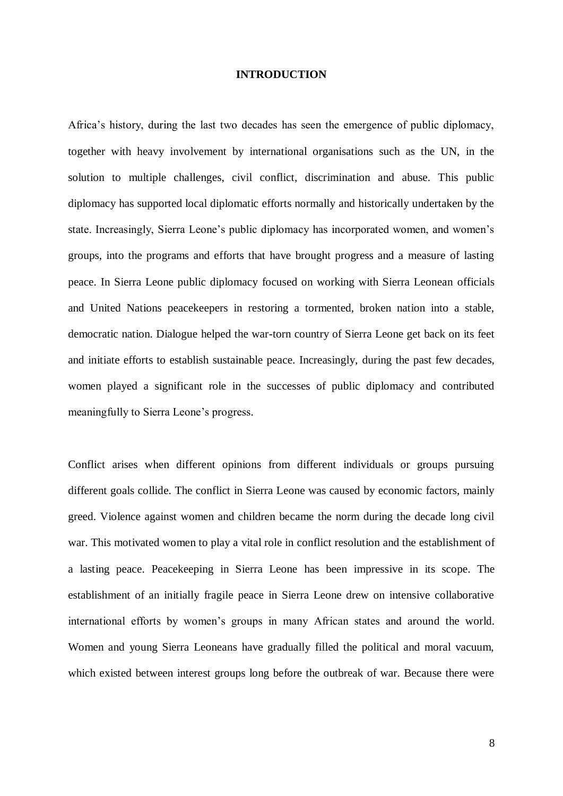#### **INTRODUCTION**

Africa's history, during the last two decades has seen the emergence of public diplomacy, together with heavy involvement by international organisations such as the UN, in the solution to multiple challenges, civil conflict, discrimination and abuse. This public diplomacy has supported local diplomatic efforts normally and historically undertaken by the state. Increasingly, Sierra Leone's public diplomacy has incorporated women, and women's groups, into the programs and efforts that have brought progress and a measure of lasting peace. In Sierra Leone public diplomacy focused on working with Sierra Leonean officials and United Nations peacekeepers in restoring a tormented, broken nation into a stable, democratic nation. Dialogue helped the war-torn country of Sierra Leone get back on its feet and initiate efforts to establish sustainable peace. Increasingly, during the past few decades, women played a significant role in the successes of public diplomacy and contributed meaningfully to Sierra Leone's progress.

Conflict arises when different opinions from different individuals or groups pursuing different goals collide. The conflict in Sierra Leone was caused by economic factors, mainly greed. Violence against women and children became the norm during the decade long civil war. This motivated women to play a vital role in conflict resolution and the establishment of a lasting peace. Peacekeeping in Sierra Leone has been impressive in its scope. The establishment of an initially fragile peace in Sierra Leone drew on intensive collaborative international efforts by women's groups in many African states and around the world. Women and young Sierra Leoneans have gradually filled the political and moral vacuum, which existed between interest groups long before the outbreak of war. Because there were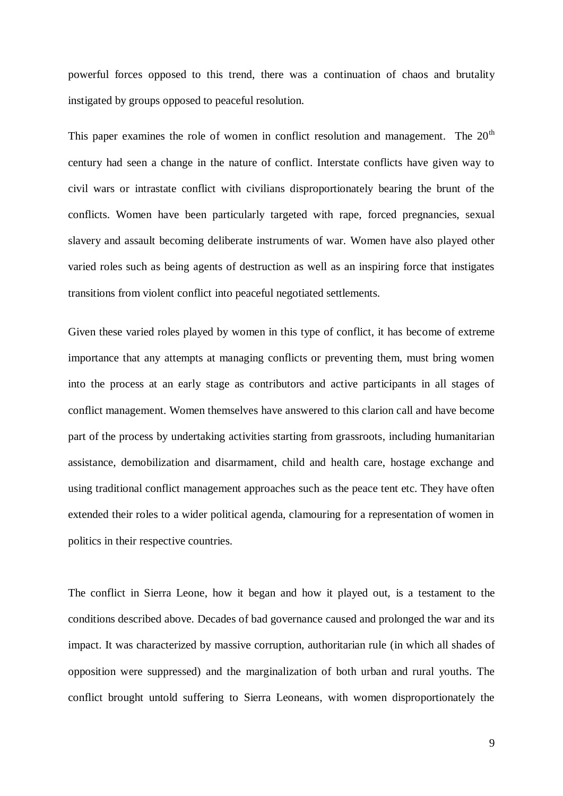powerful forces opposed to this trend, there was a continuation of chaos and brutality instigated by groups opposed to peaceful resolution.

This paper examines the role of women in conflict resolution and management. The  $20<sup>th</sup>$ century had seen a change in the nature of conflict. Interstate conflicts have given way to civil wars or intrastate conflict with civilians disproportionately bearing the brunt of the conflicts. Women have been particularly targeted with rape, forced pregnancies, sexual slavery and assault becoming deliberate instruments of war. Women have also played other varied roles such as being agents of destruction as well as an inspiring force that instigates transitions from violent conflict into peaceful negotiated settlements.

Given these varied roles played by women in this type of conflict, it has become of extreme importance that any attempts at managing conflicts or preventing them, must bring women into the process at an early stage as contributors and active participants in all stages of conflict management. Women themselves have answered to this clarion call and have become part of the process by undertaking activities starting from grassroots, including humanitarian assistance, demobilization and disarmament, child and health care, hostage exchange and using traditional conflict management approaches such as the peace tent etc. They have often extended their roles to a wider political agenda, clamouring for a representation of women in politics in their respective countries.

The conflict in Sierra Leone, how it began and how it played out, is a testament to the conditions described above. Decades of bad governance caused and prolonged the war and its impact. It was characterized by massive corruption, authoritarian rule (in which all shades of opposition were suppressed) and the marginalization of both urban and rural youths. The conflict brought untold suffering to Sierra Leoneans, with women disproportionately the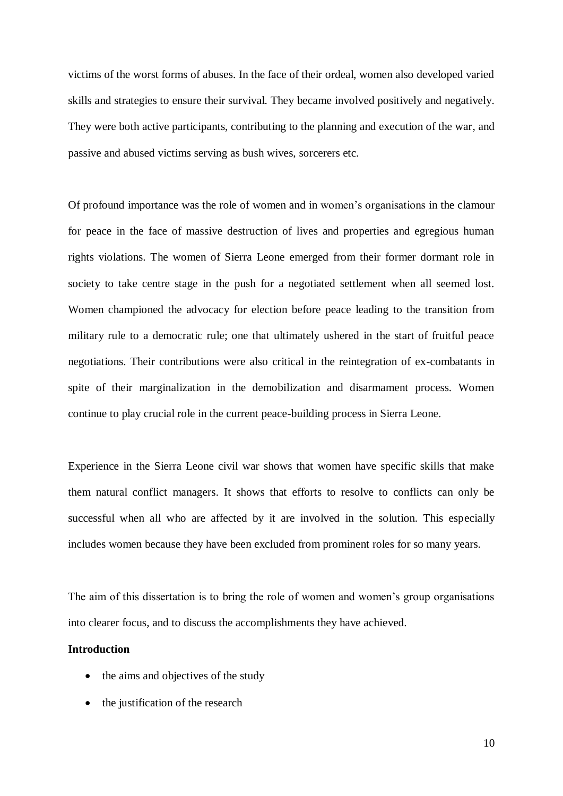victims of the worst forms of abuses. In the face of their ordeal, women also developed varied skills and strategies to ensure their survival. They became involved positively and negatively. They were both active participants, contributing to the planning and execution of the war, and passive and abused victims serving as bush wives, sorcerers etc.

Of profound importance was the role of women and in women's organisations in the clamour for peace in the face of massive destruction of lives and properties and egregious human rights violations. The women of Sierra Leone emerged from their former dormant role in society to take centre stage in the push for a negotiated settlement when all seemed lost. Women championed the advocacy for election before peace leading to the transition from military rule to a democratic rule; one that ultimately ushered in the start of fruitful peace negotiations. Their contributions were also critical in the reintegration of ex-combatants in spite of their marginalization in the demobilization and disarmament process. Women continue to play crucial role in the current peace-building process in Sierra Leone.

Experience in the Sierra Leone civil war shows that women have specific skills that make them natural conflict managers. It shows that efforts to resolve to conflicts can only be successful when all who are affected by it are involved in the solution. This especially includes women because they have been excluded from prominent roles for so many years.

The aim of this dissertation is to bring the role of women and women's group organisations into clearer focus, and to discuss the accomplishments they have achieved.

### **Introduction**

- the aims and objectives of the study
- the justification of the research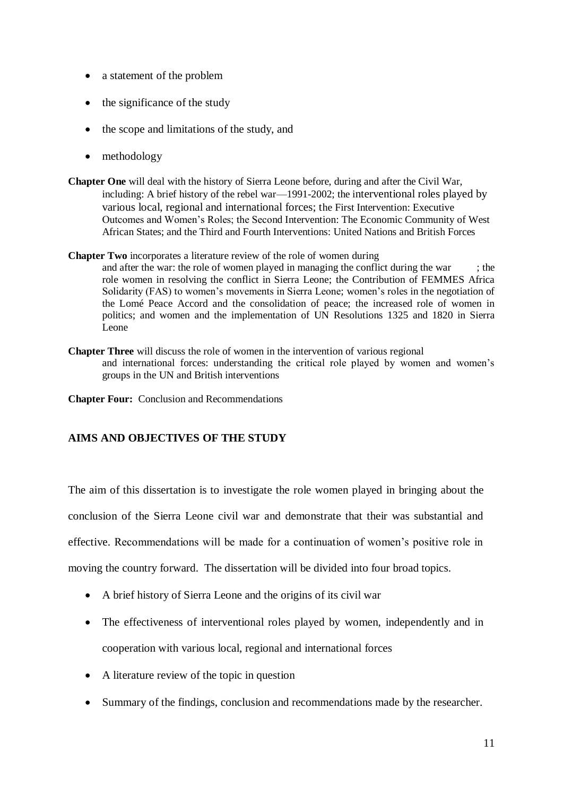- a statement of the problem
- the significance of the study
- the scope and limitations of the study, and
- methodology
- **Chapter One** will deal with the history of Sierra Leone before, during and after the Civil War, including: A brief history of the rebel war—1991-2002; the interventional roles played by various local, regional and international forces; the First Intervention: Executive Outcomes and Women's Roles; the Second Intervention: The Economic Community of West African States; and the Third and Fourth Interventions: United Nations and British Forces
- **Chapter Two** incorporates a literature review of the role of women during and after the war: the role of women played in managing the conflict during the war  $\cdot$  : the role women in resolving the conflict in Sierra Leone; the Contribution of FEMMES Africa Solidarity (FAS) to women's movements in Sierra Leone; women's roles in the negotiation of the Lomé Peace Accord and the consolidation of peace; the increased role of women in politics; and women and the implementation of UN Resolutions 1325 and 1820 in Sierra Leone
- **Chapter Three** will discuss the role of women in the intervention of various regional and international forces: understanding the critical role played by women and women's groups in the UN and British interventions
- **Chapter Four:** Conclusion and Recommendations

# **AIMS AND OBJECTIVES OF THE STUDY**

The aim of this dissertation is to investigate the role women played in bringing about the

conclusion of the Sierra Leone civil war and demonstrate that their was substantial and

effective. Recommendations will be made for a continuation of women's positive role in

moving the country forward. The dissertation will be divided into four broad topics.

- A brief history of Sierra Leone and the origins of its civil war
- The effectiveness of interventional roles played by women, independently and in cooperation with various local, regional and international forces
- A literature review of the topic in question
- Summary of the findings, conclusion and recommendations made by the researcher.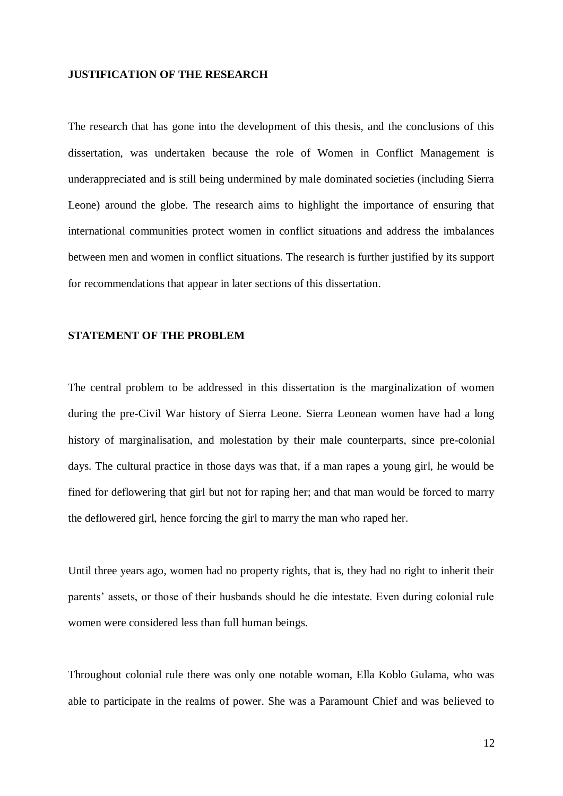#### **JUSTIFICATION OF THE RESEARCH**

The research that has gone into the development of this thesis, and the conclusions of this dissertation, was undertaken because the role of Women in Conflict Management is underappreciated and is still being undermined by male dominated societies (including Sierra Leone) around the globe. The research aims to highlight the importance of ensuring that international communities protect women in conflict situations and address the imbalances between men and women in conflict situations. The research is further justified by its support for recommendations that appear in later sections of this dissertation.

## **STATEMENT OF THE PROBLEM**

The central problem to be addressed in this dissertation is the marginalization of women during the pre-Civil War history of Sierra Leone. Sierra Leonean women have had a long history of marginalisation, and molestation by their male counterparts, since pre-colonial days. The cultural practice in those days was that, if a man rapes a young girl, he would be fined for deflowering that girl but not for raping her; and that man would be forced to marry the deflowered girl, hence forcing the girl to marry the man who raped her.

Until three years ago, women had no property rights, that is, they had no right to inherit their parents' assets, or those of their husbands should he die intestate. Even during colonial rule women were considered less than full human beings.

Throughout colonial rule there was only one notable woman, Ella Koblo Gulama, who was able to participate in the realms of power. She was a Paramount Chief and was believed to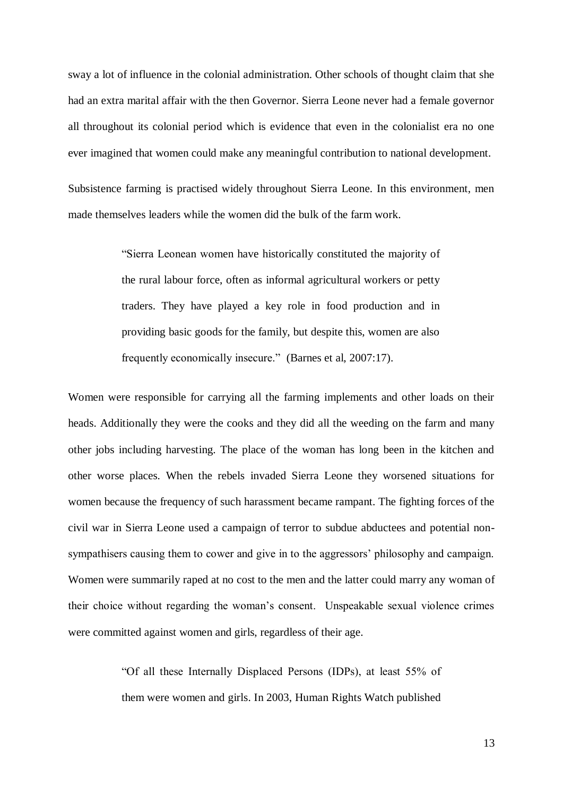sway a lot of influence in the colonial administration. Other schools of thought claim that she had an extra marital affair with the then Governor. Sierra Leone never had a female governor all throughout its colonial period which is evidence that even in the colonialist era no one ever imagined that women could make any meaningful contribution to national development.

Subsistence farming is practised widely throughout Sierra Leone. In this environment, men made themselves leaders while the women did the bulk of the farm work.

> "Sierra Leonean women have historically constituted the majority of the rural labour force, often as informal agricultural workers or petty traders. They have played a key role in food production and in providing basic goods for the family, but despite this, women are also frequently economically insecure." (Barnes et al, 2007:17).

Women were responsible for carrying all the farming implements and other loads on their heads. Additionally they were the cooks and they did all the weeding on the farm and many other jobs including harvesting. The place of the woman has long been in the kitchen and other worse places. When the rebels invaded Sierra Leone they worsened situations for women because the frequency of such harassment became rampant. The fighting forces of the civil war in Sierra Leone used a campaign of terror to subdue abductees and potential nonsympathisers causing them to cower and give in to the aggressors' philosophy and campaign. Women were summarily raped at no cost to the men and the latter could marry any woman of their choice without regarding the woman's consent. Unspeakable sexual violence crimes were committed against women and girls, regardless of their age.

> "Of all these Internally Displaced Persons (IDPs), at least 55% of them were women and girls. In 2003, Human Rights Watch published

> > 13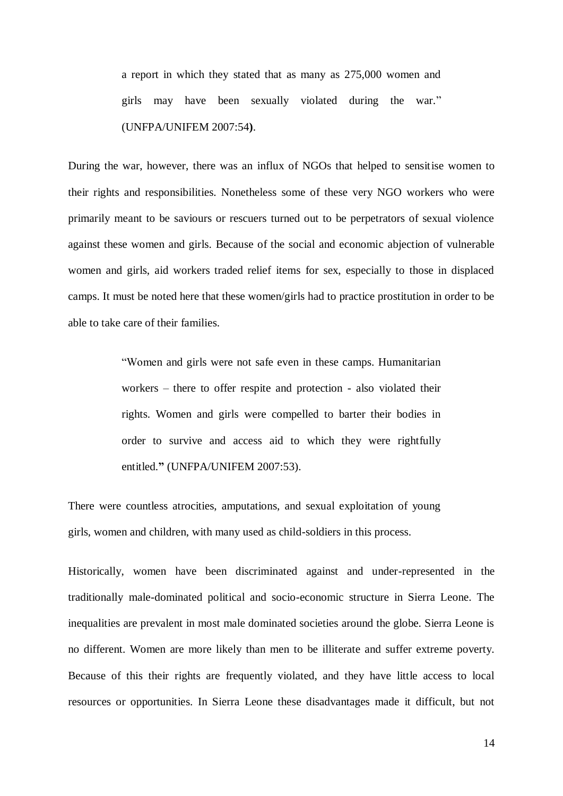a report in which they stated that as many as 275,000 women and girls may have been sexually violated during the war." (UNFPA/UNIFEM 2007:54**)**.

During the war, however, there was an influx of NGOs that helped to sensitise women to their rights and responsibilities. Nonetheless some of these very NGO workers who were primarily meant to be saviours or rescuers turned out to be perpetrators of sexual violence against these women and girls. Because of the social and economic abjection of vulnerable women and girls, aid workers traded relief items for sex, especially to those in displaced camps. It must be noted here that these women/girls had to practice prostitution in order to be able to take care of their families.

> "Women and girls were not safe even in these camps. Humanitarian workers – there to offer respite and protection - also violated their rights. Women and girls were compelled to barter their bodies in order to survive and access aid to which they were rightfully entitled.**"** (UNFPA/UNIFEM 2007:53).

There were countless atrocities, amputations, and sexual exploitation of young girls, women and children, with many used as child-soldiers in this process.

Historically, women have been discriminated against and under-represented in the traditionally male-dominated political and socio-economic structure in Sierra Leone. The inequalities are prevalent in most male dominated societies around the globe. Sierra Leone is no different. Women are more likely than men to be illiterate and suffer extreme poverty. Because of this their rights are frequently violated, and they have little access to local resources or opportunities. In Sierra Leone these disadvantages made it difficult, but not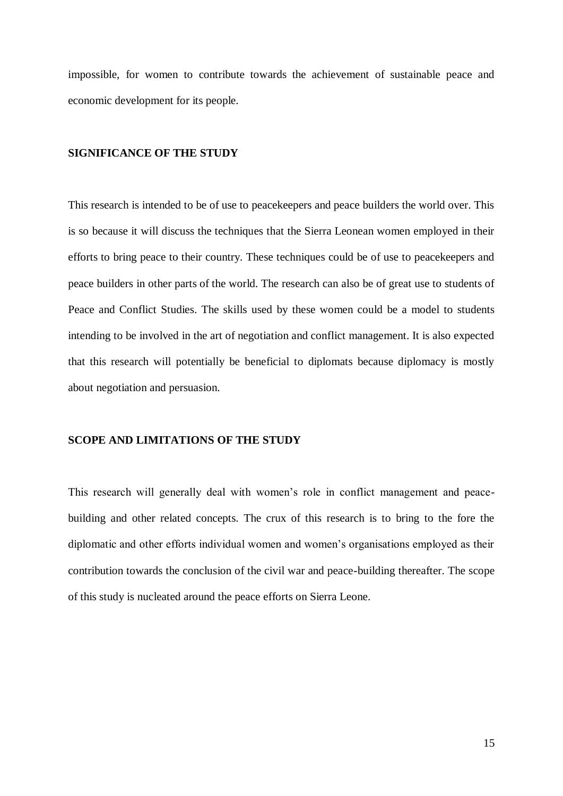impossible, for women to contribute towards the achievement of sustainable peace and economic development for its people.

#### **SIGNIFICANCE OF THE STUDY**

This research is intended to be of use to peacekeepers and peace builders the world over. This is so because it will discuss the techniques that the Sierra Leonean women employed in their efforts to bring peace to their country. These techniques could be of use to peacekeepers and peace builders in other parts of the world. The research can also be of great use to students of Peace and Conflict Studies. The skills used by these women could be a model to students intending to be involved in the art of negotiation and conflict management. It is also expected that this research will potentially be beneficial to diplomats because diplomacy is mostly about negotiation and persuasion.

## **SCOPE AND LIMITATIONS OF THE STUDY**

This research will generally deal with women's role in conflict management and peacebuilding and other related concepts. The crux of this research is to bring to the fore the diplomatic and other efforts individual women and women's organisations employed as their contribution towards the conclusion of the civil war and peace-building thereafter. The scope of this study is nucleated around the peace efforts on Sierra Leone.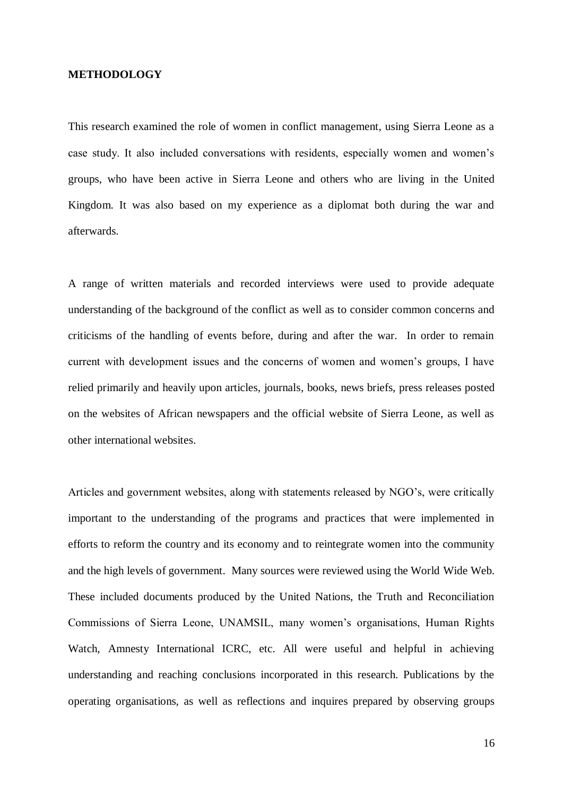#### **METHODOLOGY**

This research examined the role of women in conflict management, using Sierra Leone as a case study. It also included conversations with residents, especially women and women's groups, who have been active in Sierra Leone and others who are living in the United Kingdom. It was also based on my experience as a diplomat both during the war and afterwards.

A range of written materials and recorded interviews were used to provide adequate understanding of the background of the conflict as well as to consider common concerns and criticisms of the handling of events before, during and after the war. In order to remain current with development issues and the concerns of women and women's groups, I have relied primarily and heavily upon articles, journals, books, news briefs, press releases posted on the websites of African newspapers and the official website of Sierra Leone, as well as other international websites.

Articles and government websites, along with statements released by NGO's, were critically important to the understanding of the programs and practices that were implemented in efforts to reform the country and its economy and to reintegrate women into the community and the high levels of government. Many sources were reviewed using the World Wide Web. These included documents produced by the United Nations, the Truth and Reconciliation Commissions of Sierra Leone, UNAMSIL, many women's organisations, Human Rights Watch, Amnesty International ICRC, etc. All were useful and helpful in achieving understanding and reaching conclusions incorporated in this research. Publications by the operating organisations, as well as reflections and inquires prepared by observing groups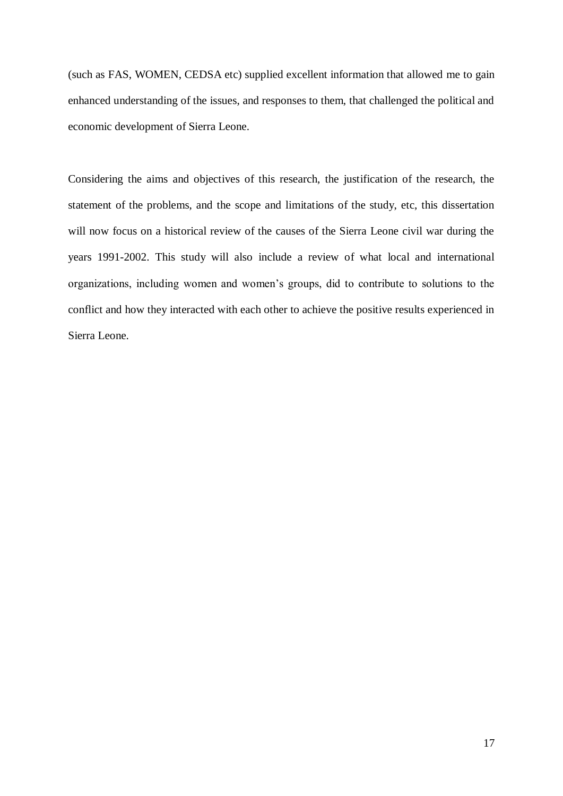(such as FAS, WOMEN, CEDSA etc) supplied excellent information that allowed me to gain enhanced understanding of the issues, and responses to them, that challenged the political and economic development of Sierra Leone.

Considering the aims and objectives of this research, the justification of the research, the statement of the problems, and the scope and limitations of the study, etc, this dissertation will now focus on a historical review of the causes of the Sierra Leone civil war during the years 1991-2002. This study will also include a review of what local and international organizations, including women and women's groups, did to contribute to solutions to the conflict and how they interacted with each other to achieve the positive results experienced in Sierra Leone.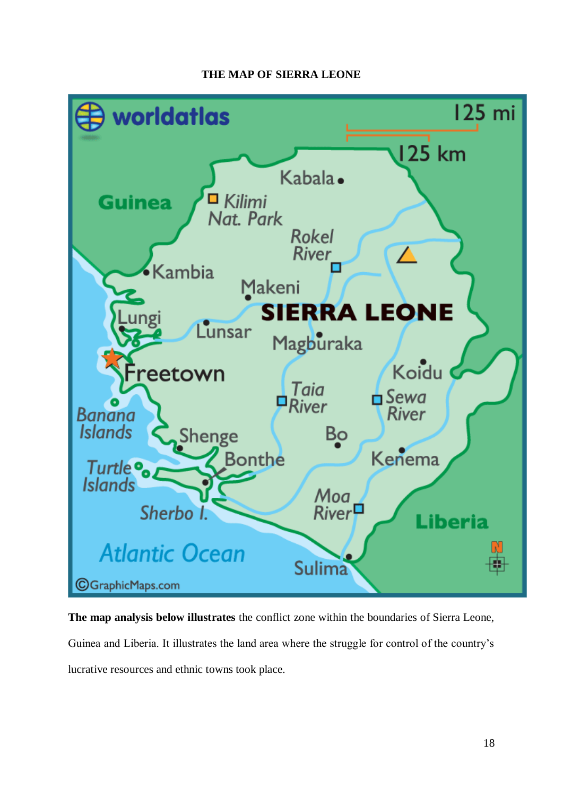# **THE MAP OF SIERRA LEONE**



**The map analysis below illustrates** the conflict zone within the boundaries of Sierra Leone, Guinea and Liberia. It illustrates the land area where the struggle for control of the country's lucrative resources and ethnic towns took place.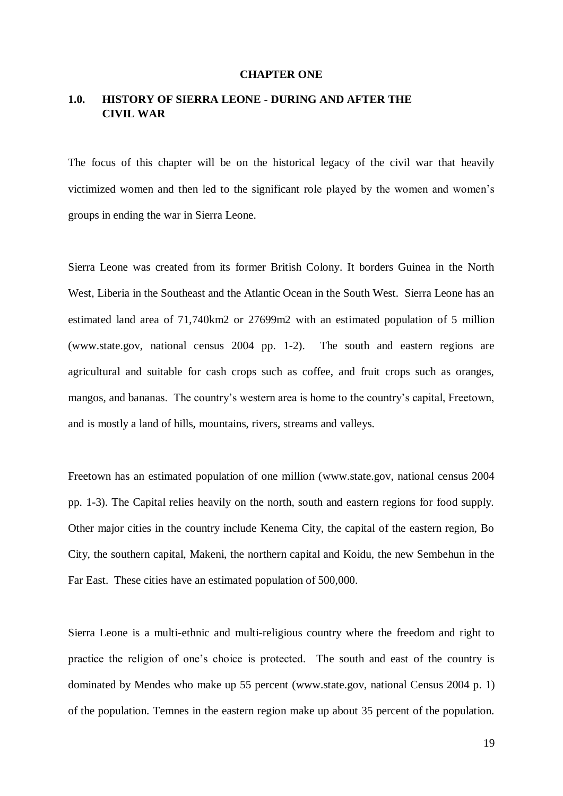#### **CHAPTER ONE**

# **1.0. HISTORY OF SIERRA LEONE - DURING AND AFTER THE CIVIL WAR**

The focus of this chapter will be on the historical legacy of the civil war that heavily victimized women and then led to the significant role played by the women and women's groups in ending the war in Sierra Leone.

Sierra Leone was created from its former British Colony. It borders Guinea in the North West, Liberia in the Southeast and the Atlantic Ocean in the South West. Sierra Leone has an estimated land area of 71,740km2 or 27699m2 with an estimated population of 5 million [\(www.state.gov,](http://www.state.gov/) national census 2004 pp. 1-2). The south and eastern regions are agricultural and suitable for cash crops such as coffee, and fruit crops such as oranges, mangos, and bananas. The country's western area is home to the country's capital, Freetown, and is mostly a land of hills, mountains, rivers, streams and valleys.

Freetown has an estimated population of one million [\(www.state.gov,](http://www.state.gov/) national census 2004 pp. 1-3). The Capital relies heavily on the north, south and eastern regions for food supply. Other major cities in the country include Kenema City, the capital of the eastern region, Bo City, the southern capital, Makeni, the northern capital and Koidu, the new Sembehun in the Far East. These cities have an estimated population of 500,000.

Sierra Leone is a multi-ethnic and multi-religious country where the freedom and right to practice the religion of one's choice is protected. The south and east of the country is dominated by Mendes who make up 55 percent [\(www.state.gov,](http://www.state.gov/) national Census 2004 p. 1) of the population. Temnes in the eastern region make up about 35 percent of the population.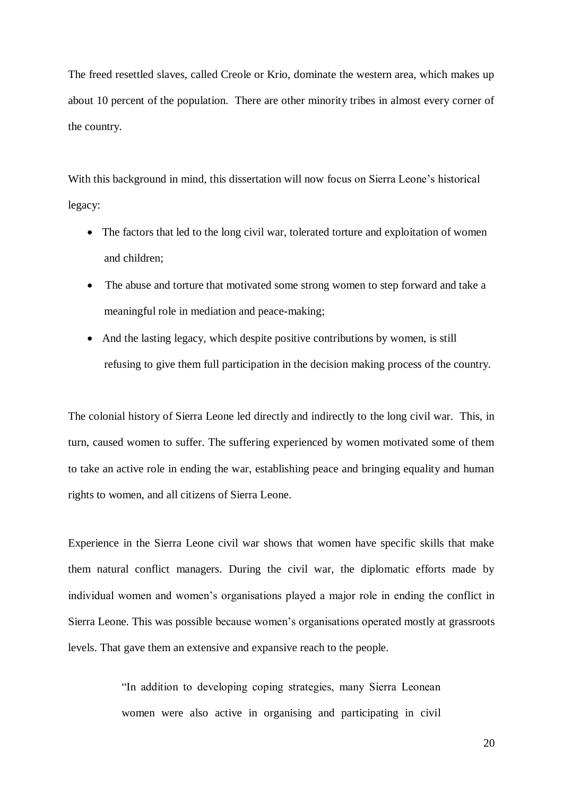The freed resettled slaves, called Creole or Krio, dominate the western area, which makes up about 10 percent of the population. There are other minority tribes in almost every corner of the country.

With this background in mind, this dissertation will now focus on Sierra Leone's historical legacy:

- The factors that led to the long civil war, tolerated torture and exploitation of women and children;
- The abuse and torture that motivated some strong women to step forward and take a meaningful role in mediation and peace-making;
- And the lasting legacy, which despite positive contributions by women, is still refusing to give them full participation in the decision making process of the country.

The colonial history of Sierra Leone led directly and indirectly to the long civil war. This, in turn, caused women to suffer. The suffering experienced by women motivated some of them to take an active role in ending the war, establishing peace and bringing equality and human rights to women, and all citizens of Sierra Leone.

Experience in the Sierra Leone civil war shows that women have specific skills that make them natural conflict managers. During the civil war, the diplomatic efforts made by individual women and women's organisations played a major role in ending the conflict in Sierra Leone. This was possible because women's organisations operated mostly at grassroots levels. That gave them an extensive and expansive reach to the people.

> "In addition to developing coping strategies, many Sierra Leonean women were also active in organising and participating in civil

> > 20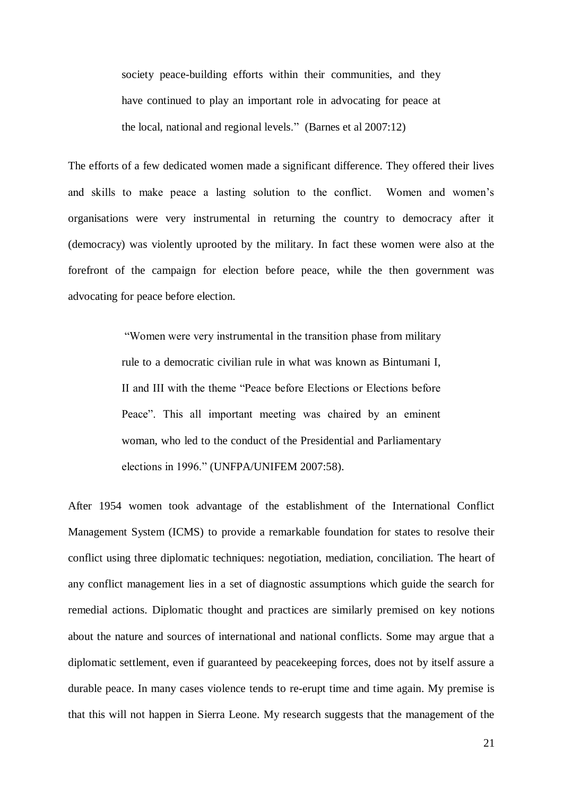society peace-building efforts within their communities, and they have continued to play an important role in advocating for peace at the local, national and regional levels." (Barnes et al 2007:12)

The efforts of a few dedicated women made a significant difference. They offered their lives and skills to make peace a lasting solution to the conflict. Women and women's organisations were very instrumental in returning the country to democracy after it (democracy) was violently uprooted by the military. In fact these women were also at the forefront of the campaign for election before peace, while the then government was advocating for peace before election.

> "Women were very instrumental in the transition phase from military rule to a democratic civilian rule in what was known as Bintumani I, II and III with the theme "Peace before Elections or Elections before Peace". This all important meeting was chaired by an eminent woman, who led to the conduct of the Presidential and Parliamentary elections in 1996." (UNFPA/UNIFEM 2007:58).

After 1954 women took advantage of the establishment of the International Conflict Management System (ICMS) to provide a remarkable foundation for states to resolve their conflict using three diplomatic techniques: negotiation, mediation, conciliation. The heart of any conflict management lies in a set of diagnostic assumptions which guide the search for remedial actions. Diplomatic thought and practices are similarly premised on key notions about the nature and sources of international and national conflicts. Some may argue that a diplomatic settlement, even if guaranteed by peacekeeping forces, does not by itself assure a durable peace. In many cases violence tends to re-erupt time and time again. My premise is that this will not happen in Sierra Leone. My research suggests that the management of the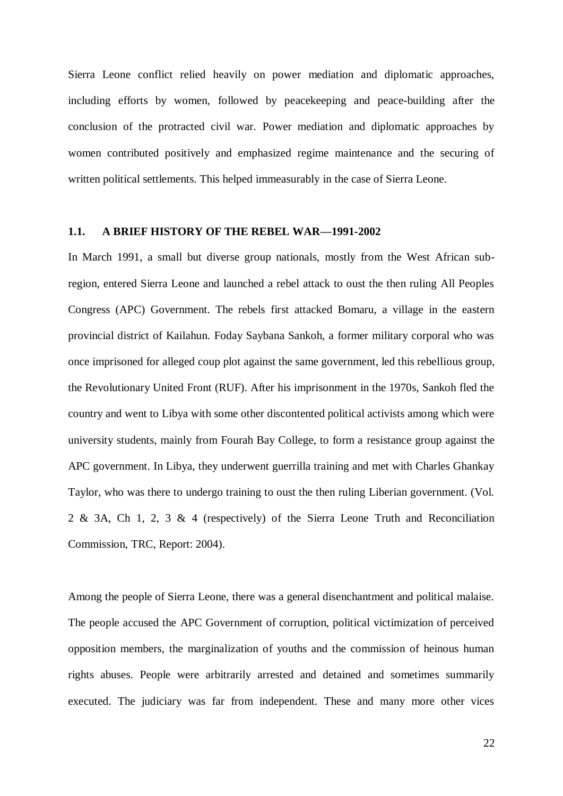Sierra Leone conflict relied heavily on power mediation and diplomatic approaches, including efforts by women, followed by peacekeeping and peace-building after the conclusion of the protracted civil war. Power mediation and diplomatic approaches by women contributed positively and emphasized regime maintenance and the securing of written political settlements. This helped immeasurably in the case of Sierra Leone.

#### **1.1. A BRIEF HISTORY OF THE REBEL WAR—1991-2002**

In March 1991, a small but diverse group nationals, mostly from the West African subregion, entered Sierra Leone and launched a rebel attack to oust the then ruling All Peoples Congress (APC) Government. The rebels first attacked Bomaru, a village in the eastern provincial district of Kailahun. Foday Saybana Sankoh, a former military corporal who was once imprisoned for alleged coup plot against the same government, led this rebellious group, the Revolutionary United Front (RUF). After his imprisonment in the 1970s, Sankoh fled the country and went to Libya with some other discontented political activists among which were university students, mainly from Fourah Bay College, to form a resistance group against the APC government. In Libya, they underwent guerrilla training and met with Charles Ghankay Taylor, who was there to undergo training to oust the then ruling Liberian government. (Vol. 2 & 3A, Ch 1, 2, 3 & 4 (respectively) of the Sierra Leone Truth and Reconciliation Commission, TRC, Report: 2004).

Among the people of Sierra Leone, there was a general disenchantment and political malaise. The people accused the APC Government of corruption, political victimization of perceived opposition members, the marginalization of youths and the commission of heinous human rights abuses. People were arbitrarily arrested and detained and sometimes summarily executed. The judiciary was far from independent. These and many more other vices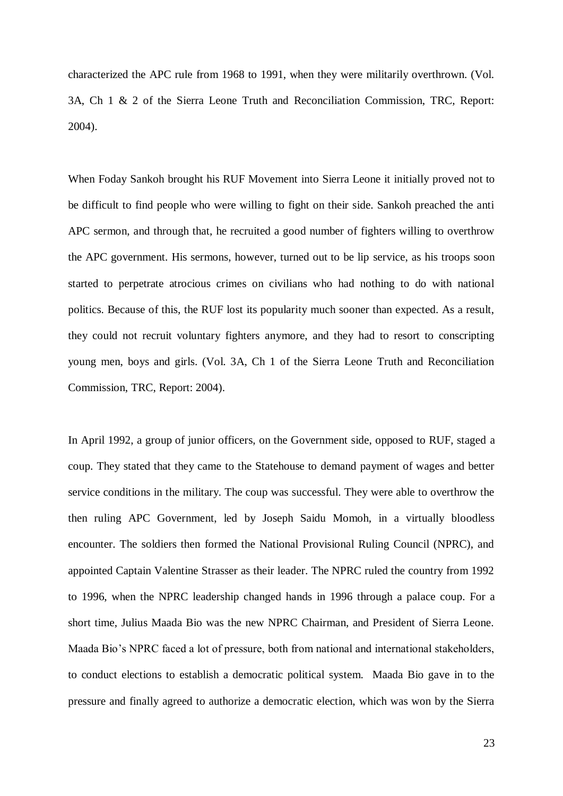characterized the APC rule from 1968 to 1991, when they were militarily overthrown. (Vol. 3A, Ch 1 & 2 of the Sierra Leone Truth and Reconciliation Commission, TRC, Report: 2004).

When Foday Sankoh brought his RUF Movement into Sierra Leone it initially proved not to be difficult to find people who were willing to fight on their side. Sankoh preached the anti APC sermon, and through that, he recruited a good number of fighters willing to overthrow the APC government. His sermons, however, turned out to be lip service, as his troops soon started to perpetrate atrocious crimes on civilians who had nothing to do with national politics. Because of this, the RUF lost its popularity much sooner than expected. As a result, they could not recruit voluntary fighters anymore, and they had to resort to conscripting young men, boys and girls. (Vol. 3A, Ch 1 of the Sierra Leone Truth and Reconciliation Commission, TRC, Report: 2004).

In April 1992, a group of junior officers, on the Government side, opposed to RUF, staged a coup. They stated that they came to the Statehouse to demand payment of wages and better service conditions in the military. The coup was successful. They were able to overthrow the then ruling APC Government, led by Joseph Saidu Momoh, in a virtually bloodless encounter. The soldiers then formed the National Provisional Ruling Council (NPRC), and appointed Captain Valentine Strasser as their leader. The NPRC ruled the country from 1992 to 1996, when the NPRC leadership changed hands in 1996 through a palace coup. For a short time, Julius Maada Bio was the new NPRC Chairman, and President of Sierra Leone. Maada Bio's NPRC faced a lot of pressure, both from national and international stakeholders, to conduct elections to establish a democratic political system. Maada Bio gave in to the pressure and finally agreed to authorize a democratic election, which was won by the Sierra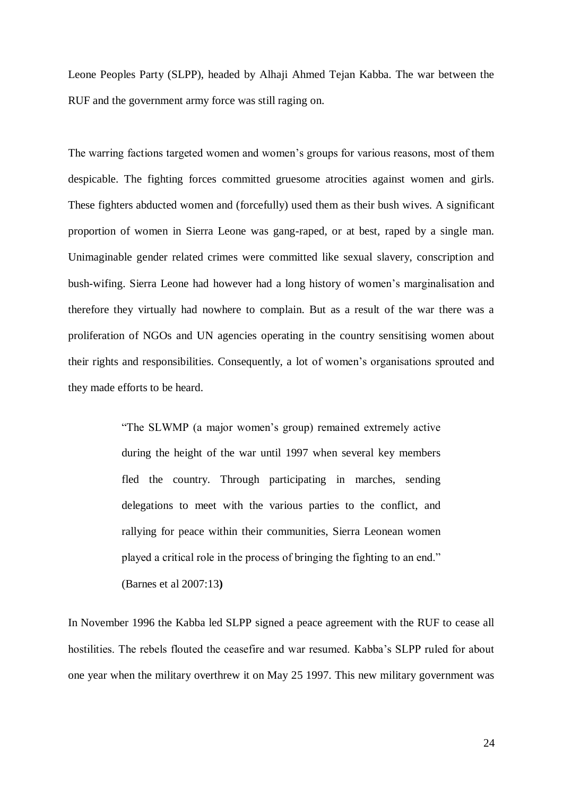Leone Peoples Party (SLPP), headed by Alhaji Ahmed Tejan Kabba. The war between the RUF and the government army force was still raging on.

The warring factions targeted women and women's groups for various reasons, most of them despicable. The fighting forces committed gruesome atrocities against women and girls. These fighters abducted women and (forcefully) used them as their bush wives. A significant proportion of women in Sierra Leone was gang-raped, or at best, raped by a single man. Unimaginable gender related crimes were committed like sexual slavery, conscription and bush-wifing. Sierra Leone had however had a long history of women's marginalisation and therefore they virtually had nowhere to complain. But as a result of the war there was a proliferation of NGOs and UN agencies operating in the country sensitising women about their rights and responsibilities. Consequently, a lot of women's organisations sprouted and they made efforts to be heard.

> "The SLWMP (a major women's group) remained extremely active during the height of the war until 1997 when several key members fled the country. Through participating in marches, sending delegations to meet with the various parties to the conflict, and rallying for peace within their communities, Sierra Leonean women played a critical role in the process of bringing the fighting to an end." (Barnes et al 2007:13**)**

In November 1996 the Kabba led SLPP signed a peace agreement with the RUF to cease all hostilities. The rebels flouted the ceasefire and war resumed. Kabba's SLPP ruled for about one year when the military overthrew it on May 25 1997. This new military government was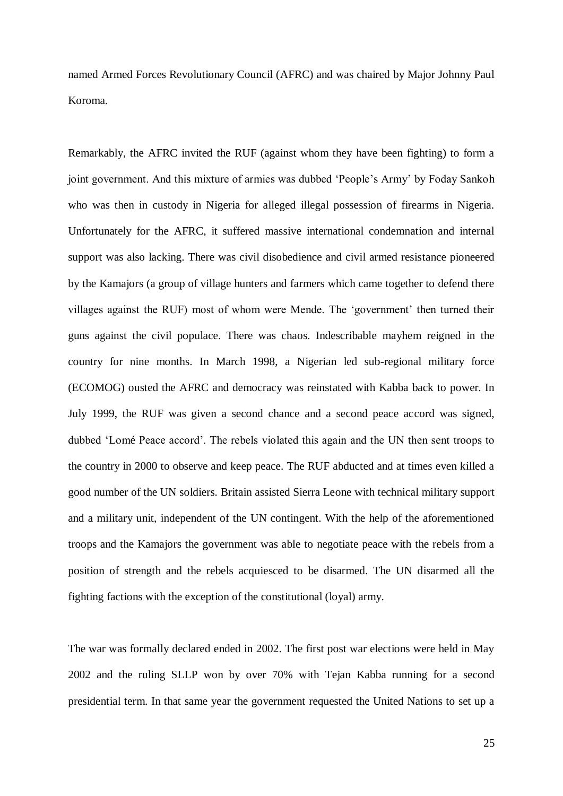named Armed Forces Revolutionary Council (AFRC) and was chaired by Major Johnny Paul Koroma.

Remarkably, the AFRC invited the RUF (against whom they have been fighting) to form a joint government. And this mixture of armies was dubbed 'People's Army' by Foday Sankoh who was then in custody in Nigeria for alleged illegal possession of firearms in Nigeria. Unfortunately for the AFRC, it suffered massive international condemnation and internal support was also lacking. There was civil disobedience and civil armed resistance pioneered by the Kamajors (a group of village hunters and farmers which came together to defend there villages against the RUF) most of whom were Mende. The 'government' then turned their guns against the civil populace. There was chaos. Indescribable mayhem reigned in the country for nine months. In March 1998, a Nigerian led sub-regional military force (ECOMOG) ousted the AFRC and democracy was reinstated with Kabba back to power. In July 1999, the RUF was given a second chance and a second peace accord was signed, dubbed 'Lomé Peace accord'. The rebels violated this again and the UN then sent troops to the country in 2000 to observe and keep peace. The RUF abducted and at times even killed a good number of the UN soldiers. Britain assisted Sierra Leone with technical military support and a military unit, independent of the UN contingent. With the help of the aforementioned troops and the Kamajors the government was able to negotiate peace with the rebels from a position of strength and the rebels acquiesced to be disarmed. The UN disarmed all the fighting factions with the exception of the constitutional (loyal) army.

The war was formally declared ended in 2002. The first post war elections were held in May 2002 and the ruling SLLP won by over 70% with Tejan Kabba running for a second presidential term. In that same year the government requested the United Nations to set up a

25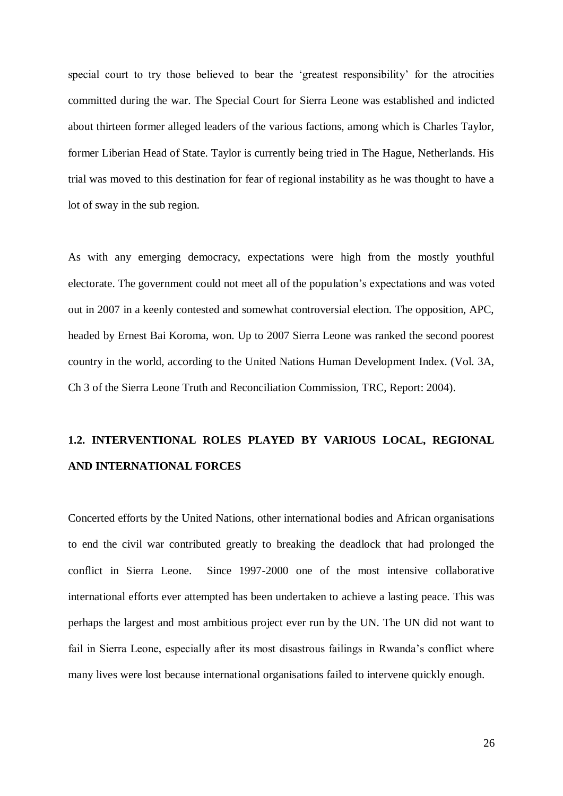special court to try those believed to bear the 'greatest responsibility' for the atrocities committed during the war. The Special Court for Sierra Leone was established and indicted about thirteen former alleged leaders of the various factions, among which is Charles Taylor, former Liberian Head of State. Taylor is currently being tried in The Hague, Netherlands. His trial was moved to this destination for fear of regional instability as he was thought to have a lot of sway in the sub region.

As with any emerging democracy, expectations were high from the mostly youthful electorate. The government could not meet all of the population's expectations and was voted out in 2007 in a keenly contested and somewhat controversial election. The opposition, APC, headed by Ernest Bai Koroma, won. Up to 2007 Sierra Leone was ranked the second poorest country in the world, according to the United Nations Human Development Index. (Vol. 3A, Ch 3 of the Sierra Leone Truth and Reconciliation Commission, TRC, Report: 2004).

# **1.2. INTERVENTIONAL ROLES PLAYED BY VARIOUS LOCAL, REGIONAL AND INTERNATIONAL FORCES**

Concerted efforts by the United Nations, other international bodies and African organisations to end the civil war contributed greatly to breaking the deadlock that had prolonged the conflict in Sierra Leone. Since 1997-2000 one of the most intensive collaborative international efforts ever attempted has been undertaken to achieve a lasting peace. This was perhaps the largest and most ambitious project ever run by the UN. The UN did not want to fail in Sierra Leone, especially after its most disastrous failings in Rwanda's conflict where many lives were lost because international organisations failed to intervene quickly enough.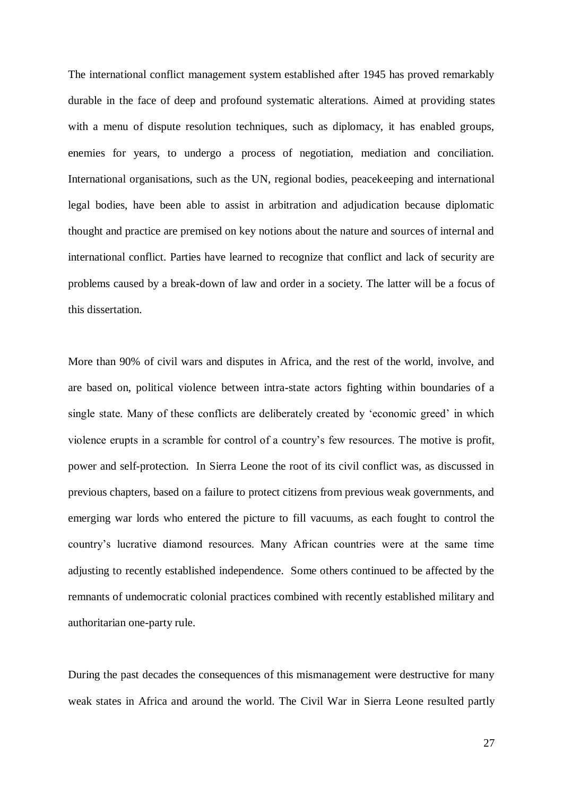The international conflict management system established after 1945 has proved remarkably durable in the face of deep and profound systematic alterations. Aimed at providing states with a menu of dispute resolution techniques, such as diplomacy, it has enabled groups, enemies for years, to undergo a process of negotiation, mediation and conciliation. International organisations, such as the UN, regional bodies, peacekeeping and international legal bodies, have been able to assist in arbitration and adjudication because diplomatic thought and practice are premised on key notions about the nature and sources of internal and international conflict. Parties have learned to recognize that conflict and lack of security are problems caused by a break-down of law and order in a society. The latter will be a focus of this dissertation.

More than 90% of civil wars and disputes in Africa, and the rest of the world, involve, and are based on, political violence between intra-state actors fighting within boundaries of a single state. Many of these conflicts are deliberately created by 'economic greed' in which violence erupts in a scramble for control of a country's few resources. The motive is profit, power and self-protection. In Sierra Leone the root of its civil conflict was, as discussed in previous chapters, based on a failure to protect citizens from previous weak governments, and emerging war lords who entered the picture to fill vacuums, as each fought to control the country's lucrative diamond resources. Many African countries were at the same time adjusting to recently established independence. Some others continued to be affected by the remnants of undemocratic colonial practices combined with recently established military and authoritarian one-party rule.

During the past decades the consequences of this mismanagement were destructive for many weak states in Africa and around the world. The Civil War in Sierra Leone resulted partly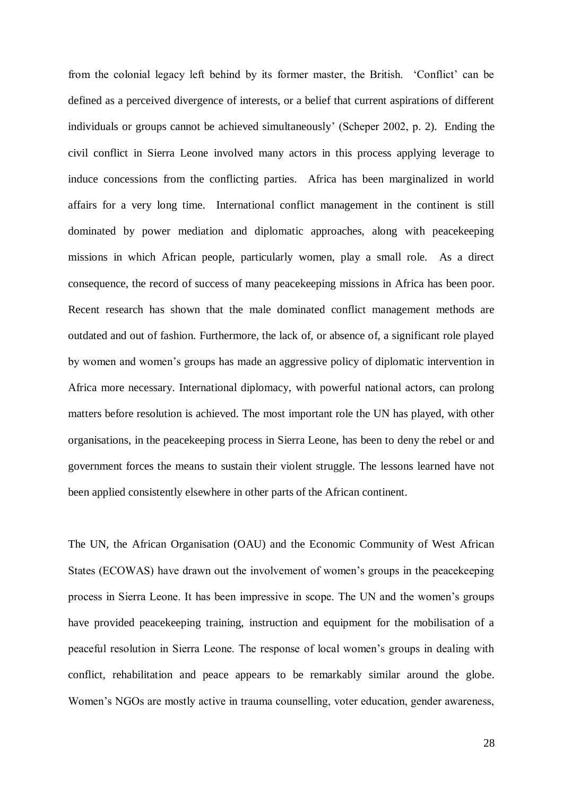from the colonial legacy left behind by its former master, the British. 'Conflict' can be defined as a perceived divergence of interests, or a belief that current aspirations of different individuals or groups cannot be achieved simultaneously' (Scheper 2002, p. 2). Ending the civil conflict in Sierra Leone involved many actors in this process applying leverage to induce concessions from the conflicting parties. Africa has been marginalized in world affairs for a very long time. International conflict management in the continent is still dominated by power mediation and diplomatic approaches, along with peacekeeping missions in which African people, particularly women, play a small role. As a direct consequence, the record of success of many peacekeeping missions in Africa has been poor. Recent research has shown that the male dominated conflict management methods are outdated and out of fashion. Furthermore, the lack of, or absence of, a significant role played by women and women's groups has made an aggressive policy of diplomatic intervention in Africa more necessary. International diplomacy, with powerful national actors, can prolong matters before resolution is achieved. The most important role the UN has played, with other organisations, in the peacekeeping process in Sierra Leone, has been to deny the rebel or and government forces the means to sustain their violent struggle. The lessons learned have not been applied consistently elsewhere in other parts of the African continent.

The UN, the African Organisation (OAU) and the Economic Community of West African States (ECOWAS) have drawn out the involvement of women's groups in the peacekeeping process in Sierra Leone. It has been impressive in scope. The UN and the women's groups have provided peacekeeping training, instruction and equipment for the mobilisation of a peaceful resolution in Sierra Leone. The response of local women's groups in dealing with conflict, rehabilitation and peace appears to be remarkably similar around the globe. Women's NGOs are mostly active in trauma counselling, voter education, gender awareness,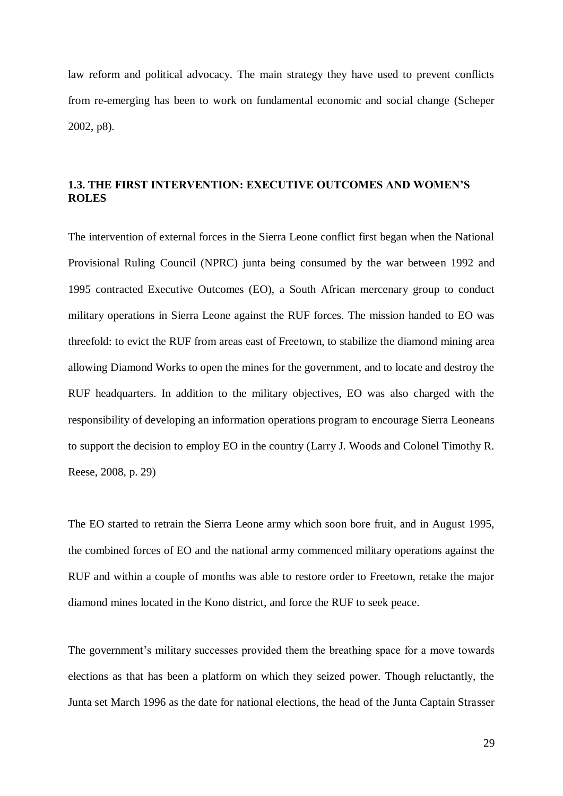law reform and political advocacy. The main strategy they have used to prevent conflicts from re-emerging has been to work on fundamental economic and social change (Scheper 2002, p8).

# **1.3. THE FIRST INTERVENTION: EXECUTIVE OUTCOMES AND WOMEN'S ROLES**

The intervention of external forces in the Sierra Leone conflict first began when the National Provisional Ruling Council (NPRC) junta being consumed by the war between 1992 and 1995 contracted Executive Outcomes (EO), a South African mercenary group to conduct military operations in Sierra Leone against the RUF forces. The mission handed to EO was threefold: to evict the RUF from areas east of Freetown, to stabilize the diamond mining area allowing Diamond Works to open the mines for the government, and to locate and destroy the RUF headquarters. In addition to the military objectives, EO was also charged with the responsibility of developing an information operations program to encourage Sierra Leoneans to support the decision to employ EO in the country (Larry J. Woods and Colonel Timothy R. Reese, 2008, p. 29)

The EO started to retrain the Sierra Leone army which soon bore fruit, and in August 1995, the combined forces of EO and the national army commenced military operations against the RUF and within a couple of months was able to restore order to Freetown, retake the major diamond mines located in the Kono district, and force the RUF to seek peace.

The government's military successes provided them the breathing space for a move towards elections as that has been a platform on which they seized power. Though reluctantly, the Junta set March 1996 as the date for national elections, the head of the Junta Captain Strasser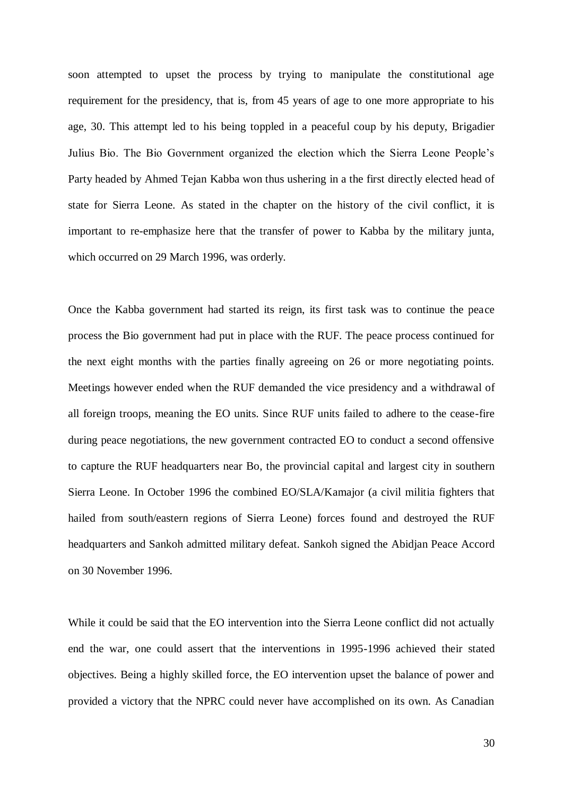soon attempted to upset the process by trying to manipulate the constitutional age requirement for the presidency, that is, from 45 years of age to one more appropriate to his age, 30. This attempt led to his being toppled in a peaceful coup by his deputy, Brigadier Julius Bio. The Bio Government organized the election which the Sierra Leone People's Party headed by Ahmed Tejan Kabba won thus ushering in a the first directly elected head of state for Sierra Leone. As stated in the chapter on the history of the civil conflict, it is important to re-emphasize here that the transfer of power to Kabba by the military junta, which occurred on 29 March 1996, was orderly.

Once the Kabba government had started its reign, its first task was to continue the peace process the Bio government had put in place with the RUF. The peace process continued for the next eight months with the parties finally agreeing on 26 or more negotiating points. Meetings however ended when the RUF demanded the vice presidency and a withdrawal of all foreign troops, meaning the EO units. Since RUF units failed to adhere to the cease-fire during peace negotiations, the new government contracted EO to conduct a second offensive to capture the RUF headquarters near Bo, the provincial capital and largest city in southern Sierra Leone. In October 1996 the combined EO/SLA/Kamajor (a civil militia fighters that hailed from south/eastern regions of Sierra Leone) forces found and destroyed the RUF headquarters and Sankoh admitted military defeat. Sankoh signed the Abidjan Peace Accord on 30 November 1996.

While it could be said that the EO intervention into the Sierra Leone conflict did not actually end the war, one could assert that the interventions in 1995-1996 achieved their stated objectives. Being a highly skilled force, the EO intervention upset the balance of power and provided a victory that the NPRC could never have accomplished on its own. As Canadian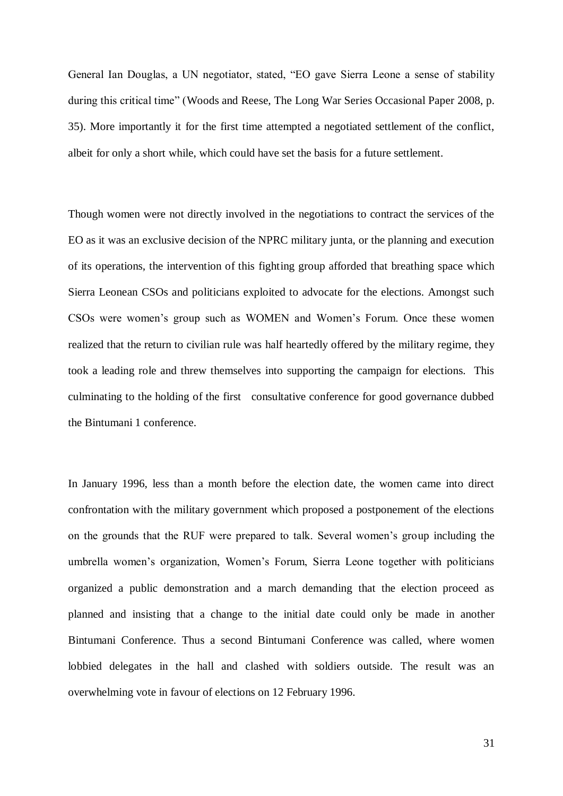General Ian Douglas, a UN negotiator, stated, "EO gave Sierra Leone a sense of stability during this critical time" (Woods and Reese, The Long War Series Occasional Paper 2008, p. 35). More importantly it for the first time attempted a negotiated settlement of the conflict, albeit for only a short while, which could have set the basis for a future settlement.

Though women were not directly involved in the negotiations to contract the services of the EO as it was an exclusive decision of the NPRC military junta, or the planning and execution of its operations, the intervention of this fighting group afforded that breathing space which Sierra Leonean CSOs and politicians exploited to advocate for the elections. Amongst such CSOs were women's group such as WOMEN and Women's Forum. Once these women realized that the return to civilian rule was half heartedly offered by the military regime, they took a leading role and threw themselves into supporting the campaign for elections. This culminating to the holding of the first consultative conference for good governance dubbed the Bintumani 1 conference.

In January 1996, less than a month before the election date, the women came into direct confrontation with the military government which proposed a postponement of the elections on the grounds that the RUF were prepared to talk. Several women's group including the umbrella women's organization, Women's Forum, Sierra Leone together with politicians organized a public demonstration and a march demanding that the election proceed as planned and insisting that a change to the initial date could only be made in another Bintumani Conference. Thus a second Bintumani Conference was called, where women lobbied delegates in the hall and clashed with soldiers outside. The result was an overwhelming vote in favour of elections on 12 February 1996.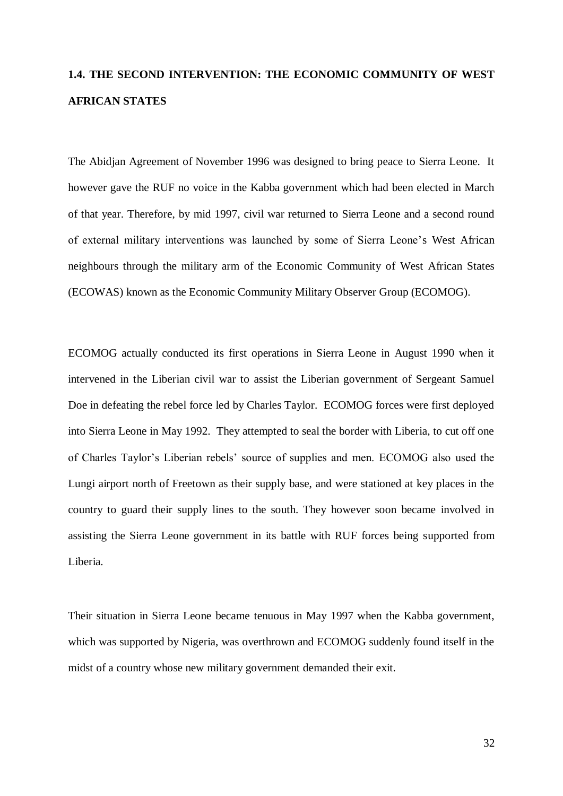# **1.4. THE SECOND INTERVENTION: THE ECONOMIC COMMUNITY OF WEST AFRICAN STATES**

The Abidjan Agreement of November 1996 was designed to bring peace to Sierra Leone. It however gave the RUF no voice in the Kabba government which had been elected in March of that year. Therefore, by mid 1997, civil war returned to Sierra Leone and a second round of external military interventions was launched by some of Sierra Leone's West African neighbours through the military arm of the Economic Community of West African States (ECOWAS) known as the Economic Community Military Observer Group (ECOMOG).

ECOMOG actually conducted its first operations in Sierra Leone in August 1990 when it intervened in the Liberian civil war to assist the Liberian government of Sergeant Samuel Doe in defeating the rebel force led by Charles Taylor. ECOMOG forces were first deployed into Sierra Leone in May 1992. They attempted to seal the border with Liberia, to cut off one of Charles Taylor's Liberian rebels' source of supplies and men. ECOMOG also used the Lungi airport north of Freetown as their supply base, and were stationed at key places in the country to guard their supply lines to the south. They however soon became involved in assisting the Sierra Leone government in its battle with RUF forces being supported from Liberia.

Their situation in Sierra Leone became tenuous in May 1997 when the Kabba government, which was supported by Nigeria, was overthrown and ECOMOG suddenly found itself in the midst of a country whose new military government demanded their exit.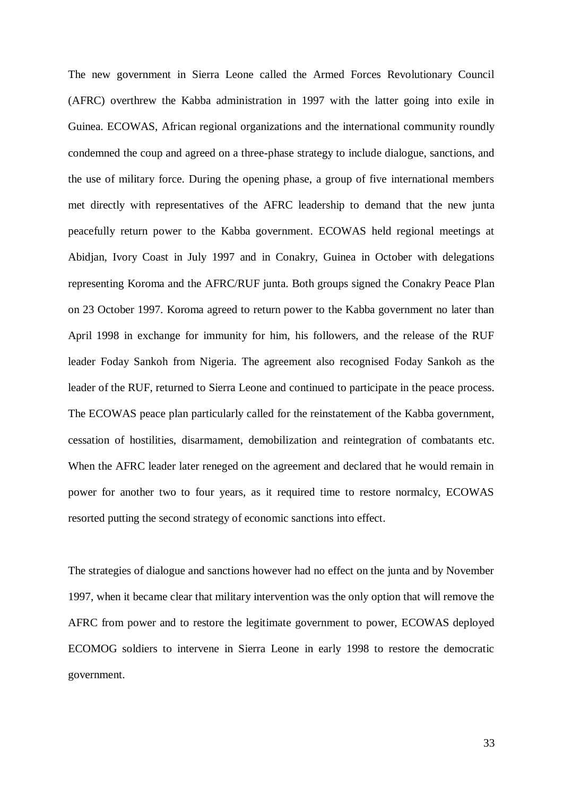The new government in Sierra Leone called the Armed Forces Revolutionary Council (AFRC) overthrew the Kabba administration in 1997 with the latter going into exile in Guinea. ECOWAS, African regional organizations and the international community roundly condemned the coup and agreed on a three-phase strategy to include dialogue, sanctions, and the use of military force. During the opening phase, a group of five international members met directly with representatives of the AFRC leadership to demand that the new junta peacefully return power to the Kabba government. ECOWAS held regional meetings at Abidjan, Ivory Coast in July 1997 and in Conakry, Guinea in October with delegations representing Koroma and the AFRC/RUF junta. Both groups signed the Conakry Peace Plan on 23 October 1997. Koroma agreed to return power to the Kabba government no later than April 1998 in exchange for immunity for him, his followers, and the release of the RUF leader Foday Sankoh from Nigeria. The agreement also recognised Foday Sankoh as the leader of the RUF, returned to Sierra Leone and continued to participate in the peace process. The ECOWAS peace plan particularly called for the reinstatement of the Kabba government, cessation of hostilities, disarmament, demobilization and reintegration of combatants etc. When the AFRC leader later reneged on the agreement and declared that he would remain in power for another two to four years, as it required time to restore normalcy, ECOWAS resorted putting the second strategy of economic sanctions into effect.

The strategies of dialogue and sanctions however had no effect on the junta and by November 1997, when it became clear that military intervention was the only option that will remove the AFRC from power and to restore the legitimate government to power, ECOWAS deployed ECOMOG soldiers to intervene in Sierra Leone in early 1998 to restore the democratic government.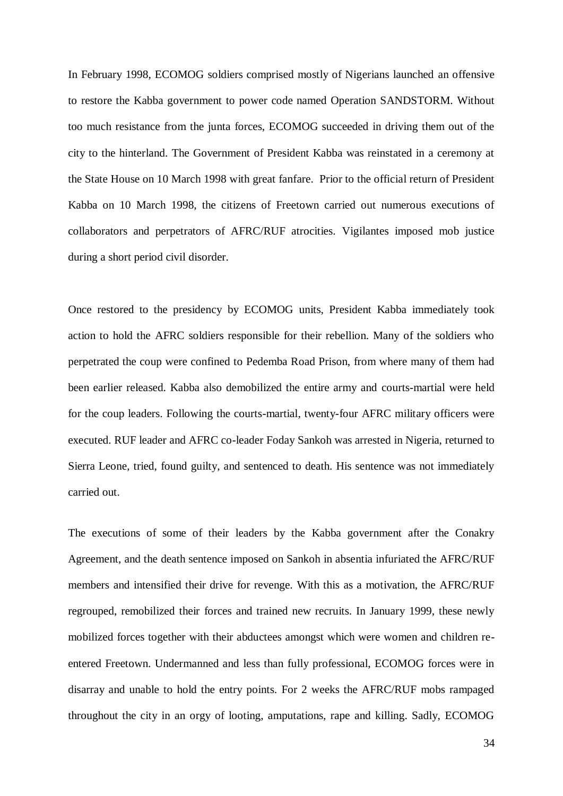In February 1998, ECOMOG soldiers comprised mostly of Nigerians launched an offensive to restore the Kabba government to power code named Operation SANDSTORM. Without too much resistance from the junta forces, ECOMOG succeeded in driving them out of the city to the hinterland. The Government of President Kabba was reinstated in a ceremony at the State House on 10 March 1998 with great fanfare. Prior to the official return of President Kabba on 10 March 1998, the citizens of Freetown carried out numerous executions of collaborators and perpetrators of AFRC/RUF atrocities. Vigilantes imposed mob justice during a short period civil disorder.

Once restored to the presidency by ECOMOG units, President Kabba immediately took action to hold the AFRC soldiers responsible for their rebellion. Many of the soldiers who perpetrated the coup were confined to Pedemba Road Prison, from where many of them had been earlier released. Kabba also demobilized the entire army and courts-martial were held for the coup leaders. Following the courts-martial, twenty-four AFRC military officers were executed. RUF leader and AFRC co-leader Foday Sankoh was arrested in Nigeria, returned to Sierra Leone, tried, found guilty, and sentenced to death. His sentence was not immediately carried out.

The executions of some of their leaders by the Kabba government after the Conakry Agreement, and the death sentence imposed on Sankoh in absentia infuriated the AFRC/RUF members and intensified their drive for revenge. With this as a motivation, the AFRC/RUF regrouped, remobilized their forces and trained new recruits. In January 1999, these newly mobilized forces together with their abductees amongst which were women and children reentered Freetown. Undermanned and less than fully professional, ECOMOG forces were in disarray and unable to hold the entry points. For 2 weeks the AFRC/RUF mobs rampaged throughout the city in an orgy of looting, amputations, rape and killing. Sadly, ECOMOG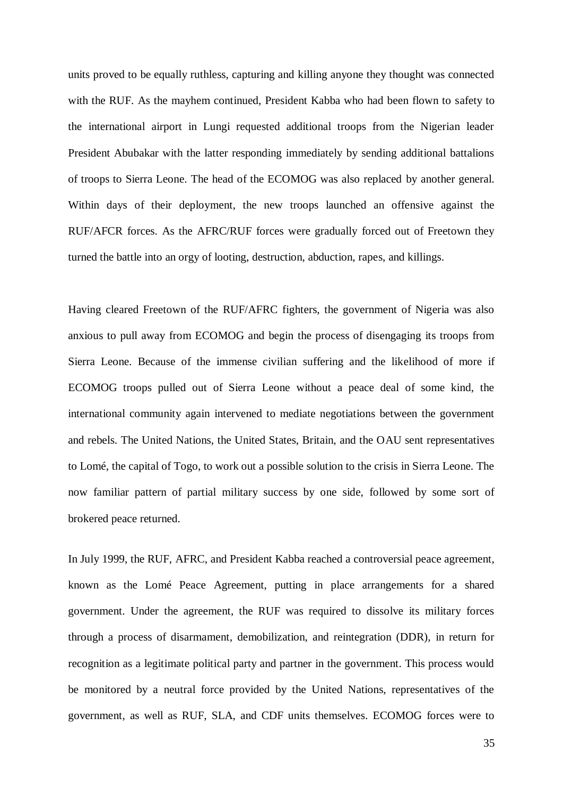units proved to be equally ruthless, capturing and killing anyone they thought was connected with the RUF. As the mayhem continued, President Kabba who had been flown to safety to the international airport in Lungi requested additional troops from the Nigerian leader President Abubakar with the latter responding immediately by sending additional battalions of troops to Sierra Leone. The head of the ECOMOG was also replaced by another general. Within days of their deployment, the new troops launched an offensive against the RUF/AFCR forces. As the AFRC/RUF forces were gradually forced out of Freetown they turned the battle into an orgy of looting, destruction, abduction, rapes, and killings.

Having cleared Freetown of the RUF/AFRC fighters, the government of Nigeria was also anxious to pull away from ECOMOG and begin the process of disengaging its troops from Sierra Leone. Because of the immense civilian suffering and the likelihood of more if ECOMOG troops pulled out of Sierra Leone without a peace deal of some kind, the international community again intervened to mediate negotiations between the government and rebels. The United Nations, the United States, Britain, and the OAU sent representatives to Lomé, the capital of Togo, to work out a possible solution to the crisis in Sierra Leone. The now familiar pattern of partial military success by one side, followed by some sort of brokered peace returned.

In July 1999, the RUF, AFRC, and President Kabba reached a controversial peace agreement, known as the Lomé Peace Agreement, putting in place arrangements for a shared government. Under the agreement, the RUF was required to dissolve its military forces through a process of disarmament, demobilization, and reintegration (DDR), in return for recognition as a legitimate political party and partner in the government. This process would be monitored by a neutral force provided by the United Nations, representatives of the government, as well as RUF, SLA, and CDF units themselves. ECOMOG forces were to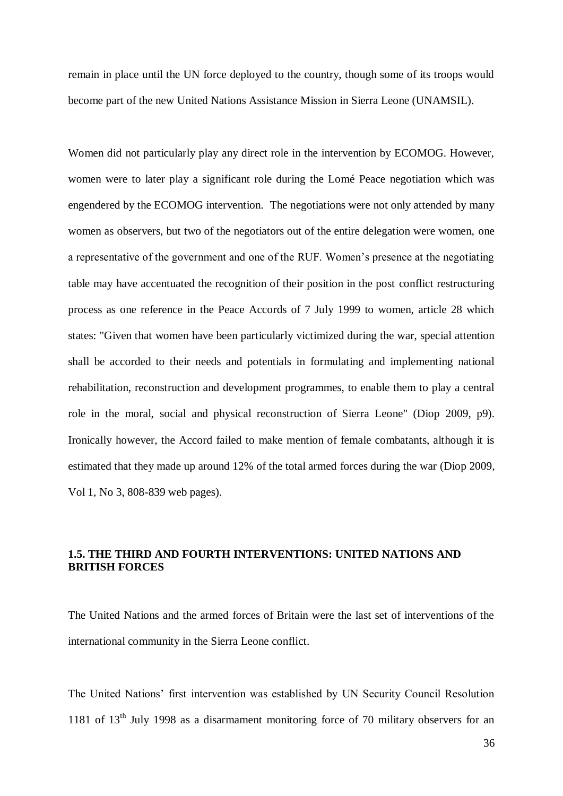remain in place until the UN force deployed to the country, though some of its troops would become part of the new United Nations Assistance Mission in Sierra Leone (UNAMSIL).

Women did not particularly play any direct role in the intervention by ECOMOG. However, women were to later play a significant role during the Lomé Peace negotiation which was engendered by the ECOMOG intervention. The negotiations were not only attended by many women as observers, but two of the negotiators out of the entire delegation were women, one a representative of the government and one of the RUF. Women's presence at the negotiating table may have accentuated the recognition of their position in the post conflict restructuring process as one reference in the Peace Accords of 7 July 1999 to women, article 28 which states: "Given that women have been particularly victimized during the war, special attention shall be accorded to their needs and potentials in formulating and implementing national rehabilitation, reconstruction and development programmes, to enable them to play a central role in the moral, social and physical reconstruction of Sierra Leone" (Diop 2009, p9). Ironically however, the Accord failed to make mention of female combatants, although it is estimated that they made up around 12% of the total armed forces during the war (Diop 2009, Vol 1, No 3, 808-839 web pages).

# **1.5. THE THIRD AND FOURTH INTERVENTIONS: UNITED NATIONS AND BRITISH FORCES**

The United Nations and the armed forces of Britain were the last set of interventions of the international community in the Sierra Leone conflict.

The United Nations' first intervention was established by UN Security Council Resolution 1181 of 13<sup>th</sup> July 1998 as a disarmament monitoring force of 70 military observers for an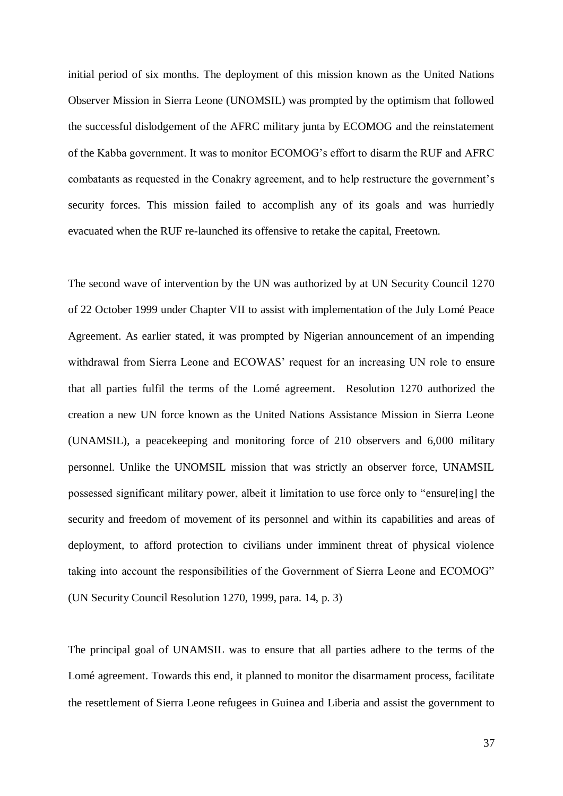initial period of six months. The deployment of this mission known as the United Nations Observer Mission in Sierra Leone (UNOMSIL) was prompted by the optimism that followed the successful dislodgement of the AFRC military junta by ECOMOG and the reinstatement of the Kabba government. It was to monitor ECOMOG's effort to disarm the RUF and AFRC combatants as requested in the Conakry agreement, and to help restructure the government's security forces. This mission failed to accomplish any of its goals and was hurriedly evacuated when the RUF re-launched its offensive to retake the capital, Freetown.

The second wave of intervention by the UN was authorized by at UN Security Council 1270 of 22 October 1999 under Chapter VII to assist with implementation of the July Lomé Peace Agreement. As earlier stated, it was prompted by Nigerian announcement of an impending withdrawal from Sierra Leone and ECOWAS' request for an increasing UN role to ensure that all parties fulfil the terms of the Lomé agreement. Resolution 1270 authorized the creation a new UN force known as the United Nations Assistance Mission in Sierra Leone (UNAMSIL), a peacekeeping and monitoring force of 210 observers and 6,000 military personnel. Unlike the UNOMSIL mission that was strictly an observer force, UNAMSIL possessed significant military power, albeit it limitation to use force only to "ensure[ing] the security and freedom of movement of its personnel and within its capabilities and areas of deployment, to afford protection to civilians under imminent threat of physical violence taking into account the responsibilities of the Government of Sierra Leone and ECOMOG" (UN Security Council Resolution 1270, 1999, para. 14, p. 3)

The principal goal of UNAMSIL was to ensure that all parties adhere to the terms of the Lomé agreement. Towards this end, it planned to monitor the disarmament process, facilitate the resettlement of Sierra Leone refugees in Guinea and Liberia and assist the government to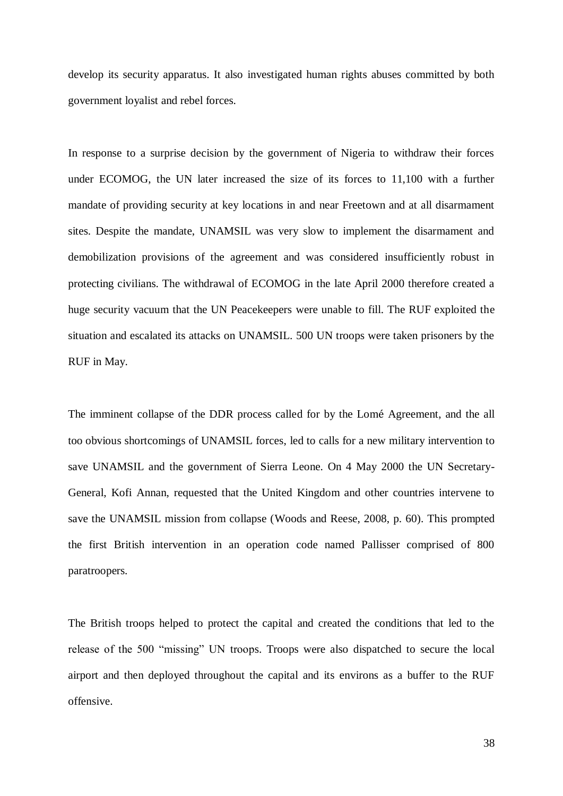develop its security apparatus. It also investigated human rights abuses committed by both government loyalist and rebel forces.

In response to a surprise decision by the government of Nigeria to withdraw their forces under ECOMOG, the UN later increased the size of its forces to 11,100 with a further mandate of providing security at key locations in and near Freetown and at all disarmament sites. Despite the mandate, UNAMSIL was very slow to implement the disarmament and demobilization provisions of the agreement and was considered insufficiently robust in protecting civilians. The withdrawal of ECOMOG in the late April 2000 therefore created a huge security vacuum that the UN Peacekeepers were unable to fill. The RUF exploited the situation and escalated its attacks on UNAMSIL. 500 UN troops were taken prisoners by the RUF in May.

The imminent collapse of the DDR process called for by the Lomé Agreement, and the all too obvious shortcomings of UNAMSIL forces, led to calls for a new military intervention to save UNAMSIL and the government of Sierra Leone. On 4 May 2000 the UN Secretary-General, Kofi Annan, requested that the United Kingdom and other countries intervene to save the UNAMSIL mission from collapse (Woods and Reese, 2008, p. 60). This prompted the first British intervention in an operation code named Pallisser comprised of 800 paratroopers.

The British troops helped to protect the capital and created the conditions that led to the release of the 500 "missing" UN troops. Troops were also dispatched to secure the local airport and then deployed throughout the capital and its environs as a buffer to the RUF offensive.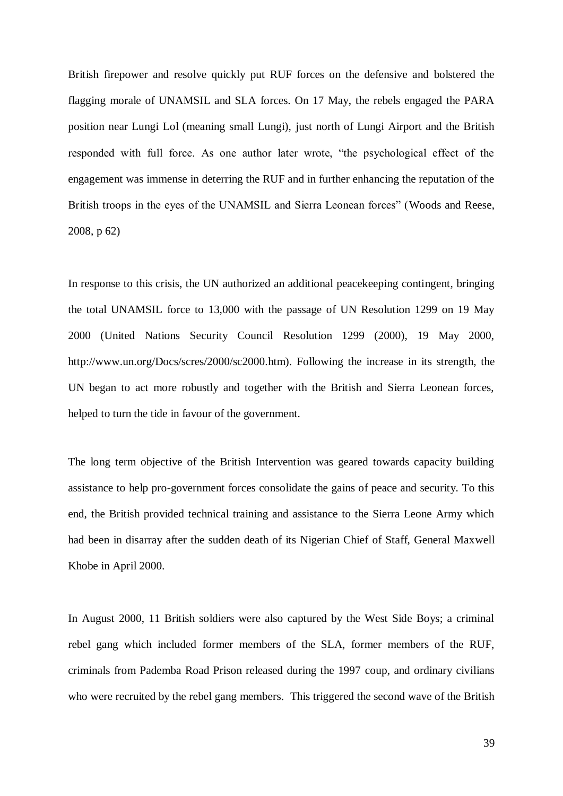British firepower and resolve quickly put RUF forces on the defensive and bolstered the flagging morale of UNAMSIL and SLA forces. On 17 May, the rebels engaged the PARA position near Lungi Lol (meaning small Lungi), just north of Lungi Airport and the British responded with full force. As one author later wrote, "the psychological effect of the engagement was immense in deterring the RUF and in further enhancing the reputation of the British troops in the eyes of the UNAMSIL and Sierra Leonean forces" (Woods and Reese, 2008, p 62)

In response to this crisis, the UN authorized an additional peacekeeping contingent, bringing the total UNAMSIL force to 13,000 with the passage of UN Resolution 1299 on 19 May 2000 (United Nations Security Council Resolution 1299 (2000), 19 May 2000, http://www.un.org/Docs/scres/2000/sc2000.htm). Following the increase in its strength, the UN began to act more robustly and together with the British and Sierra Leonean forces, helped to turn the tide in favour of the government.

The long term objective of the British Intervention was geared towards capacity building assistance to help pro-government forces consolidate the gains of peace and security. To this end, the British provided technical training and assistance to the Sierra Leone Army which had been in disarray after the sudden death of its Nigerian Chief of Staff, General Maxwell Khobe in April 2000.

In August 2000, 11 British soldiers were also captured by the West Side Boys; a criminal rebel gang which included former members of the SLA, former members of the RUF, criminals from Pademba Road Prison released during the 1997 coup, and ordinary civilians who were recruited by the rebel gang members. This triggered the second wave of the British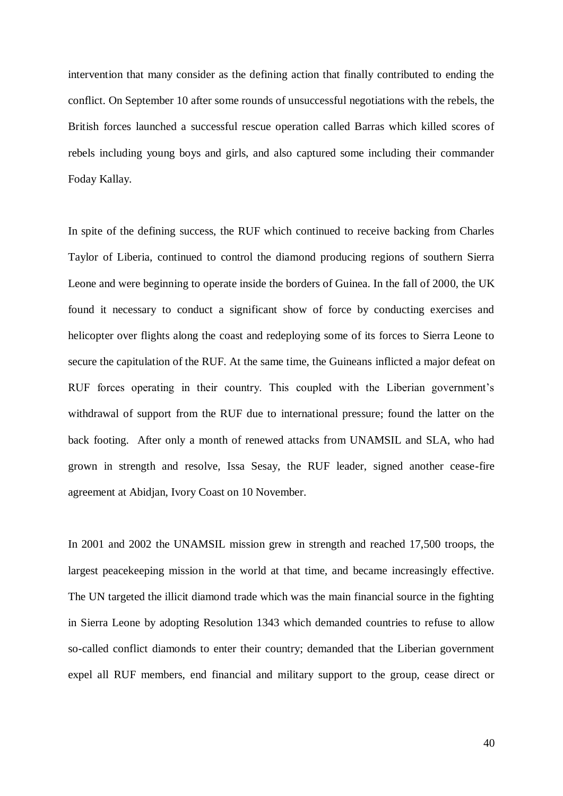intervention that many consider as the defining action that finally contributed to ending the conflict. On September 10 after some rounds of unsuccessful negotiations with the rebels, the British forces launched a successful rescue operation called Barras which killed scores of rebels including young boys and girls, and also captured some including their commander Foday Kallay.

In spite of the defining success, the RUF which continued to receive backing from Charles Taylor of Liberia, continued to control the diamond producing regions of southern Sierra Leone and were beginning to operate inside the borders of Guinea. In the fall of 2000, the UK found it necessary to conduct a significant show of force by conducting exercises and helicopter over flights along the coast and redeploying some of its forces to Sierra Leone to secure the capitulation of the RUF. At the same time, the Guineans inflicted a major defeat on RUF forces operating in their country. This coupled with the Liberian government's withdrawal of support from the RUF due to international pressure; found the latter on the back footing. After only a month of renewed attacks from UNAMSIL and SLA, who had grown in strength and resolve, Issa Sesay, the RUF leader, signed another cease-fire agreement at Abidjan, Ivory Coast on 10 November.

In 2001 and 2002 the UNAMSIL mission grew in strength and reached 17,500 troops, the largest peacekeeping mission in the world at that time, and became increasingly effective. The UN targeted the illicit diamond trade which was the main financial source in the fighting in Sierra Leone by adopting Resolution 1343 which demanded countries to refuse to allow so-called conflict diamonds to enter their country; demanded that the Liberian government expel all RUF members, end financial and military support to the group, cease direct or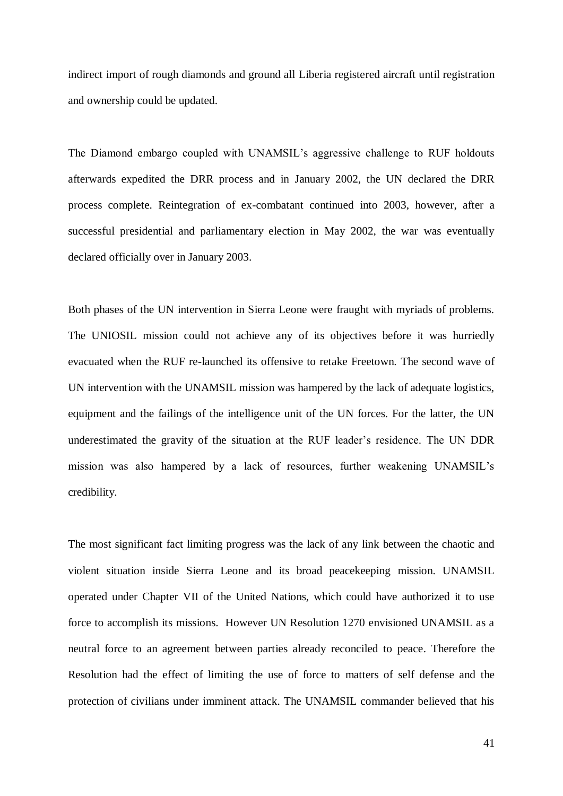indirect import of rough diamonds and ground all Liberia registered aircraft until registration and ownership could be updated.

The Diamond embargo coupled with UNAMSIL's aggressive challenge to RUF holdouts afterwards expedited the DRR process and in January 2002, the UN declared the DRR process complete. Reintegration of ex-combatant continued into 2003, however, after a successful presidential and parliamentary election in May 2002, the war was eventually declared officially over in January 2003.

Both phases of the UN intervention in Sierra Leone were fraught with myriads of problems. The UNIOSIL mission could not achieve any of its objectives before it was hurriedly evacuated when the RUF re-launched its offensive to retake Freetown. The second wave of UN intervention with the UNAMSIL mission was hampered by the lack of adequate logistics, equipment and the failings of the intelligence unit of the UN forces. For the latter, the UN underestimated the gravity of the situation at the RUF leader's residence. The UN DDR mission was also hampered by a lack of resources, further weakening UNAMSIL's credibility.

The most significant fact limiting progress was the lack of any link between the chaotic and violent situation inside Sierra Leone and its broad peacekeeping mission. UNAMSIL operated under Chapter VII of the United Nations, which could have authorized it to use force to accomplish its missions. However UN Resolution 1270 envisioned UNAMSIL as a neutral force to an agreement between parties already reconciled to peace. Therefore the Resolution had the effect of limiting the use of force to matters of self defense and the protection of civilians under imminent attack. The UNAMSIL commander believed that his

41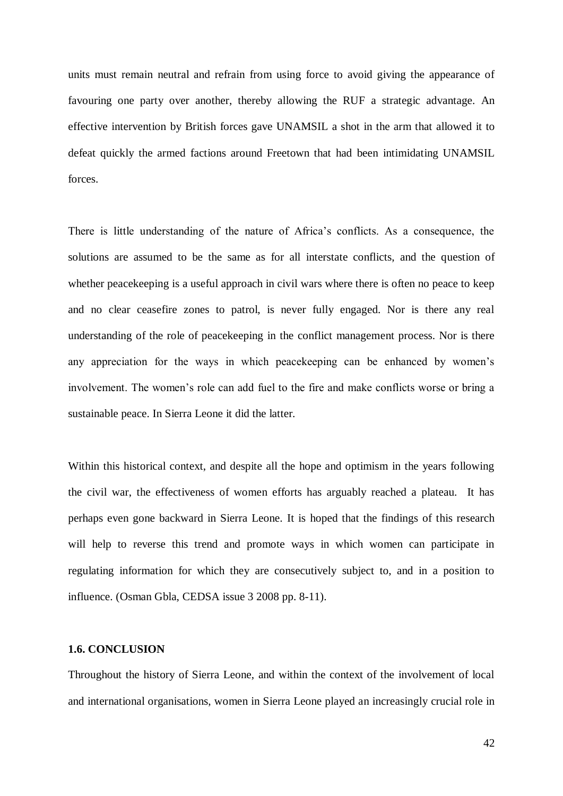units must remain neutral and refrain from using force to avoid giving the appearance of favouring one party over another, thereby allowing the RUF a strategic advantage. An effective intervention by British forces gave UNAMSIL a shot in the arm that allowed it to defeat quickly the armed factions around Freetown that had been intimidating UNAMSIL forces.

There is little understanding of the nature of Africa's conflicts. As a consequence, the solutions are assumed to be the same as for all interstate conflicts, and the question of whether peacekeeping is a useful approach in civil wars where there is often no peace to keep and no clear ceasefire zones to patrol, is never fully engaged. Nor is there any real understanding of the role of peacekeeping in the conflict management process. Nor is there any appreciation for the ways in which peacekeeping can be enhanced by women's involvement. The women's role can add fuel to the fire and make conflicts worse or bring a sustainable peace. In Sierra Leone it did the latter.

Within this historical context, and despite all the hope and optimism in the years following the civil war, the effectiveness of women efforts has arguably reached a plateau. It has perhaps even gone backward in Sierra Leone. It is hoped that the findings of this research will help to reverse this trend and promote ways in which women can participate in regulating information for which they are consecutively subject to, and in a position to influence. (Osman Gbla, CEDSA issue 3 2008 pp. 8-11).

### **1.6. CONCLUSION**

Throughout the history of Sierra Leone, and within the context of the involvement of local and international organisations, women in Sierra Leone played an increasingly crucial role in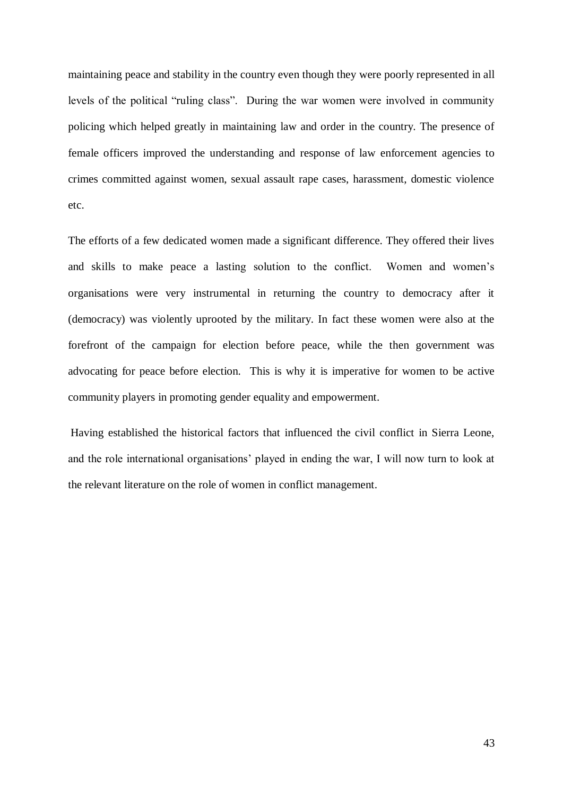maintaining peace and stability in the country even though they were poorly represented in all levels of the political "ruling class". During the war women were involved in community policing which helped greatly in maintaining law and order in the country. The presence of female officers improved the understanding and response of law enforcement agencies to crimes committed against women, sexual assault rape cases, harassment, domestic violence etc.

The efforts of a few dedicated women made a significant difference. They offered their lives and skills to make peace a lasting solution to the conflict. Women and women's organisations were very instrumental in returning the country to democracy after it (democracy) was violently uprooted by the military. In fact these women were also at the forefront of the campaign for election before peace, while the then government was advocating for peace before election. This is why it is imperative for women to be active community players in promoting gender equality and empowerment.

Having established the historical factors that influenced the civil conflict in Sierra Leone, and the role international organisations' played in ending the war, I will now turn to look at the relevant literature on the role of women in conflict management.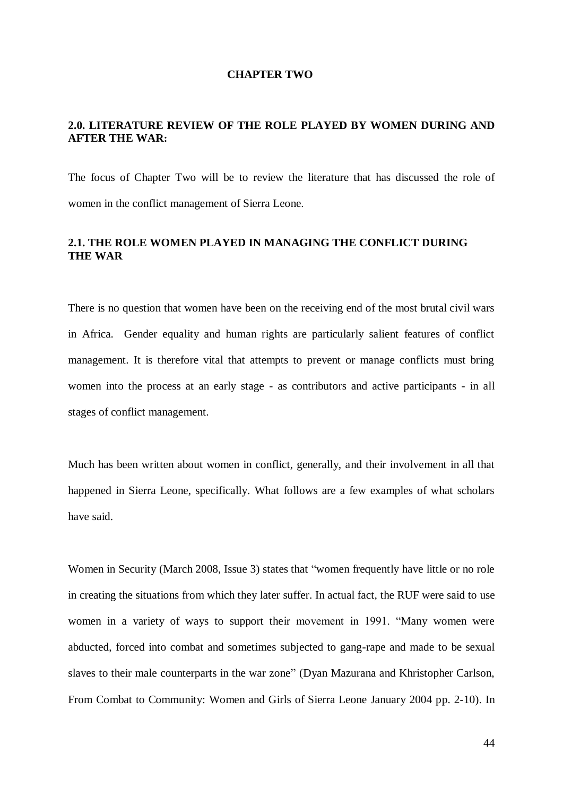#### **CHAPTER TWO**

## **2.0. LITERATURE REVIEW OF THE ROLE PLAYED BY WOMEN DURING AND AFTER THE WAR:**

The focus of Chapter Two will be to review the literature that has discussed the role of women in the conflict management of Sierra Leone.

## **2.1. THE ROLE WOMEN PLAYED IN MANAGING THE CONFLICT DURING THE WAR**

There is no question that women have been on the receiving end of the most brutal civil wars in Africa. Gender equality and human rights are particularly salient features of conflict management. It is therefore vital that attempts to prevent or manage conflicts must bring women into the process at an early stage - as contributors and active participants - in all stages of conflict management.

Much has been written about women in conflict, generally, and their involvement in all that happened in Sierra Leone, specifically. What follows are a few examples of what scholars have said.

Women in Security (March 2008, Issue 3) states that "women frequently have little or no role in creating the situations from which they later suffer. In actual fact, the RUF were said to use women in a variety of ways to support their movement in 1991. "Many women were abducted, forced into combat and sometimes subjected to gang-rape and made to be sexual slaves to their male counterparts in the war zone" (Dyan Mazurana and Khristopher Carlson, From Combat to Community: Women and Girls of Sierra Leone January 2004 pp. 2-10). In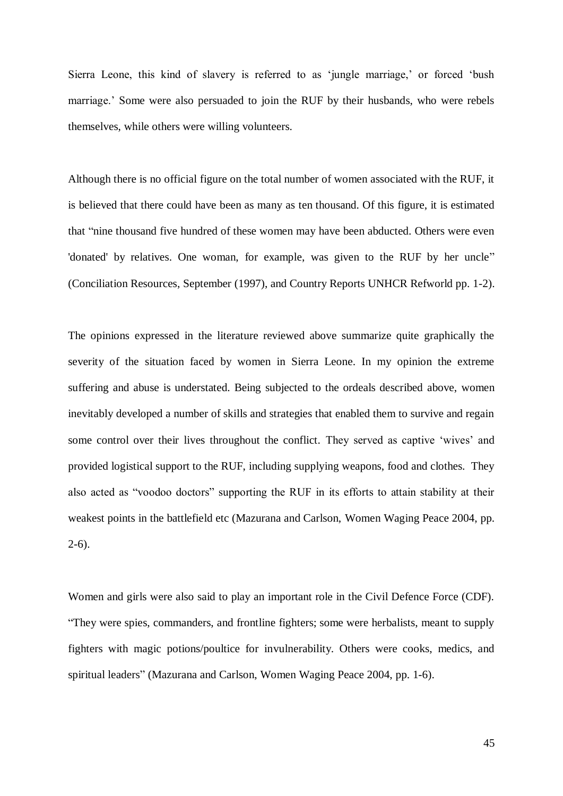Sierra Leone, this kind of slavery is referred to as 'jungle marriage,' or forced 'bush marriage.' Some were also persuaded to join the RUF by their husbands, who were rebels themselves, while others were willing volunteers.

Although there is no official figure on the total number of women associated with the RUF, it is believed that there could have been as many as ten thousand. Of this figure, it is estimated that "nine thousand five hundred of these women may have been abducted. Others were even 'donated' by relatives. One woman, for example, was given to the RUF by her uncle" (Conciliation Resources, September (1997), and Country Reports UNHCR Refworld pp. 1-2).

The opinions expressed in the literature reviewed above summarize quite graphically the severity of the situation faced by women in Sierra Leone. In my opinion the extreme suffering and abuse is understated. Being subjected to the ordeals described above, women inevitably developed a number of skills and strategies that enabled them to survive and regain some control over their lives throughout the conflict. They served as captive 'wives' and provided logistical support to the RUF, including supplying weapons, food and clothes. They also acted as "voodoo doctors" supporting the RUF in its efforts to attain stability at their weakest points in the battlefield etc (Mazurana and Carlson, Women Waging Peace 2004, pp.  $2-6$ ).

Women and girls were also said to play an important role in the Civil Defence Force (CDF). "They were spies, commanders, and frontline fighters; some were herbalists, meant to supply fighters with magic potions/poultice for invulnerability. Others were cooks, medics, and spiritual leaders" (Mazurana and Carlson, Women Waging Peace 2004, pp. 1-6).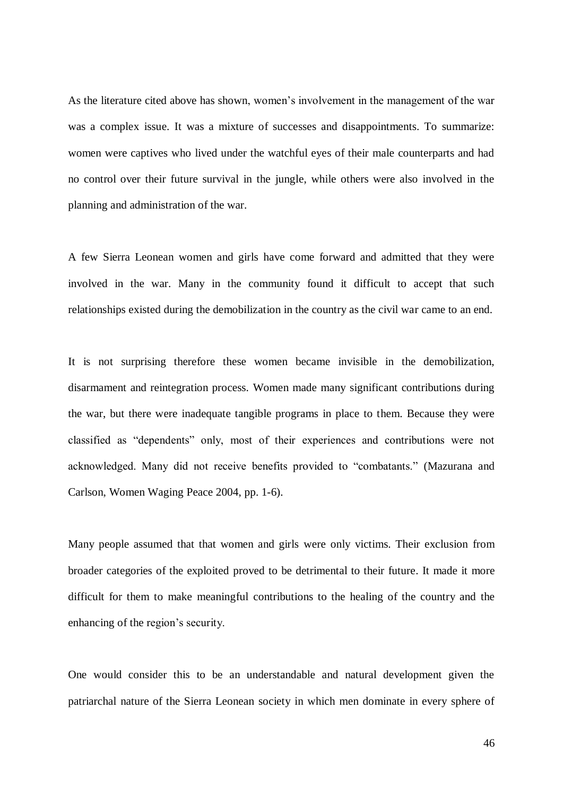As the literature cited above has shown, women's involvement in the management of the war was a complex issue. It was a mixture of successes and disappointments. To summarize: women were captives who lived under the watchful eyes of their male counterparts and had no control over their future survival in the jungle, while others were also involved in the planning and administration of the war.

A few Sierra Leonean women and girls have come forward and admitted that they were involved in the war. Many in the community found it difficult to accept that such relationships existed during the demobilization in the country as the civil war came to an end.

It is not surprising therefore these women became invisible in the demobilization, disarmament and reintegration process. Women made many significant contributions during the war, but there were inadequate tangible programs in place to them. Because they were classified as "dependents" only, most of their experiences and contributions were not acknowledged. Many did not receive benefits provided to "combatants." (Mazurana and Carlson, Women Waging Peace 2004, pp. 1-6).

Many people assumed that that women and girls were only victims. Their exclusion from broader categories of the exploited proved to be detrimental to their future. It made it more difficult for them to make meaningful contributions to the healing of the country and the enhancing of the region's security.

One would consider this to be an understandable and natural development given the patriarchal nature of the Sierra Leonean society in which men dominate in every sphere of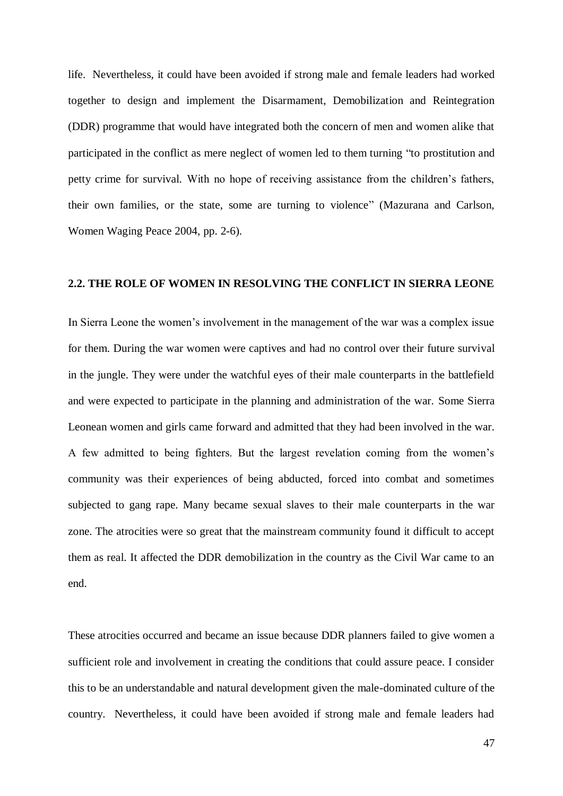life. Nevertheless, it could have been avoided if strong male and female leaders had worked together to design and implement the Disarmament, Demobilization and Reintegration (DDR) programme that would have integrated both the concern of men and women alike that participated in the conflict as mere neglect of women led to them turning "to prostitution and petty crime for survival. With no hope of receiving assistance from the children's fathers, their own families, or the state, some are turning to violence" (Mazurana and Carlson, Women Waging Peace 2004, pp. 2-6).

### **2.2. THE ROLE OF WOMEN IN RESOLVING THE CONFLICT IN SIERRA LEONE**

In Sierra Leone the women's involvement in the management of the war was a complex issue for them. During the war women were captives and had no control over their future survival in the jungle. They were under the watchful eyes of their male counterparts in the battlefield and were expected to participate in the planning and administration of the war. Some Sierra Leonean women and girls came forward and admitted that they had been involved in the war. A few admitted to being fighters. But the largest revelation coming from the women's community was their experiences of being abducted, forced into combat and sometimes subjected to gang rape. Many became sexual slaves to their male counterparts in the war zone. The atrocities were so great that the mainstream community found it difficult to accept them as real. It affected the DDR demobilization in the country as the Civil War came to an end.

These atrocities occurred and became an issue because DDR planners failed to give women a sufficient role and involvement in creating the conditions that could assure peace. I consider this to be an understandable and natural development given the male-dominated culture of the country. Nevertheless, it could have been avoided if strong male and female leaders had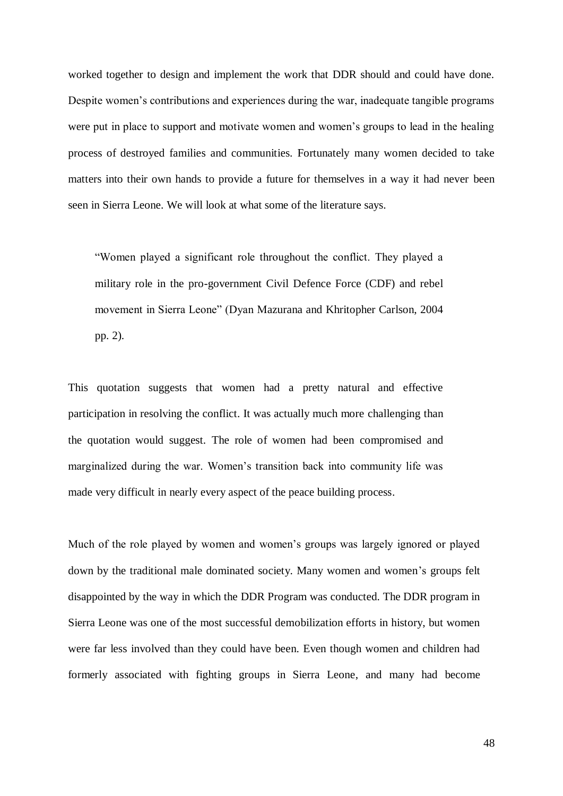worked together to design and implement the work that DDR should and could have done. Despite women's contributions and experiences during the war, inadequate tangible programs were put in place to support and motivate women and women's groups to lead in the healing process of destroyed families and communities. Fortunately many women decided to take matters into their own hands to provide a future for themselves in a way it had never been seen in Sierra Leone. We will look at what some of the literature says.

"Women played a significant role throughout the conflict. They played a military role in the pro-government Civil Defence Force (CDF) and rebel movement in Sierra Leone" (Dyan Mazurana and Khritopher Carlson, 2004 pp. 2).

This quotation suggests that women had a pretty natural and effective participation in resolving the conflict. It was actually much more challenging than the quotation would suggest. The role of women had been compromised and marginalized during the war. Women's transition back into community life was made very difficult in nearly every aspect of the peace building process.

Much of the role played by women and women's groups was largely ignored or played down by the traditional male dominated society. Many women and women's groups felt disappointed by the way in which the DDR Program was conducted. The DDR program in Sierra Leone was one of the most successful demobilization efforts in history, but women were far less involved than they could have been. Even though women and children had formerly associated with fighting groups in Sierra Leone, and many had become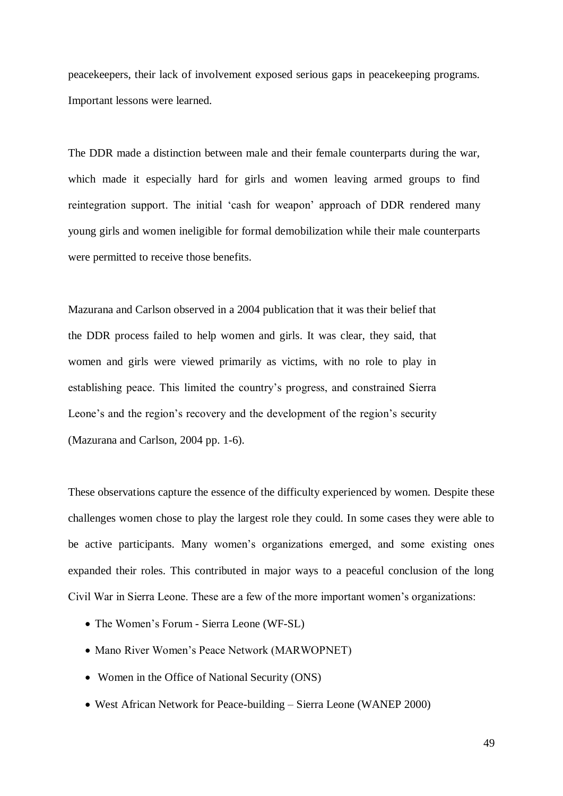peacekeepers, their lack of involvement exposed serious gaps in peacekeeping programs. Important lessons were learned.

The DDR made a distinction between male and their female counterparts during the war, which made it especially hard for girls and women leaving armed groups to find reintegration support. The initial 'cash for weapon' approach of DDR rendered many young girls and women ineligible for formal demobilization while their male counterparts were permitted to receive those benefits.

Mazurana and Carlson observed in a 2004 publication that it was their belief that the DDR process failed to help women and girls. It was clear, they said, that women and girls were viewed primarily as victims, with no role to play in establishing peace. This limited the country's progress, and constrained Sierra Leone's and the region's recovery and the development of the region's security (Mazurana and Carlson, 2004 pp. 1-6).

These observations capture the essence of the difficulty experienced by women. Despite these challenges women chose to play the largest role they could. In some cases they were able to be active participants. Many women's organizations emerged, and some existing ones expanded their roles. This contributed in major ways to a peaceful conclusion of the long Civil War in Sierra Leone. These are a few of the more important women's organizations:

- The Women's Forum Sierra Leone (WF-SL)
- Mano River Women's Peace Network (MARWOPNET)
- Women in the Office of National Security (ONS)
- West African Network for Peace-building Sierra Leone (WANEP 2000)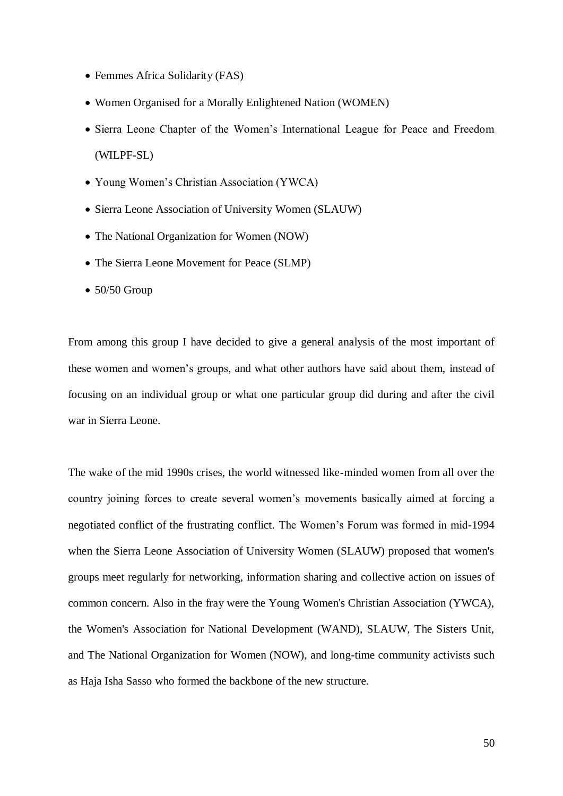- Femmes Africa Solidarity (FAS)
- Women Organised for a Morally Enlightened Nation (WOMEN)
- Sierra Leone Chapter of the Women's International League for Peace and Freedom (WILPF-SL)
- Young Women's Christian Association (YWCA)
- Sierra Leone Association of University Women (SLAUW)
- The National Organization for Women (NOW)
- The Sierra Leone Movement for Peace (SLMP)
- $\bullet$  50/50 Group

From among this group I have decided to give a general analysis of the most important of these women and women's groups, and what other authors have said about them, instead of focusing on an individual group or what one particular group did during and after the civil war in Sierra Leone.

The wake of the mid 1990s crises, the world witnessed like-minded women from all over the country joining forces to create several women's movements basically aimed at forcing a negotiated conflict of the frustrating conflict. The Women's Forum was formed in mid-1994 when the Sierra Leone Association of University Women (SLAUW) proposed that women's groups meet regularly for networking, information sharing and collective action on issues of common concern. Also in the fray were the Young Women's Christian Association (YWCA), the Women's Association for National Development (WAND), SLAUW, The Sisters Unit, and The National Organization for Women (NOW), and long-time community activists such as Haja Isha Sasso who formed the backbone of the new structure.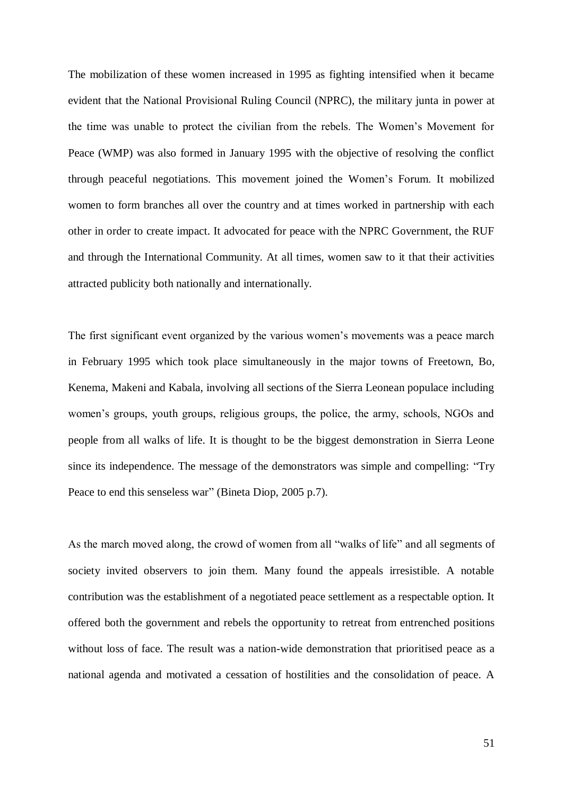The mobilization of these women increased in 1995 as fighting intensified when it became evident that the National Provisional Ruling Council (NPRC), the military junta in power at the time was unable to protect the civilian from the rebels. The Women's Movement for Peace (WMP) was also formed in January 1995 with the objective of resolving the conflict through peaceful negotiations. This movement joined the Women's Forum. It mobilized women to form branches all over the country and at times worked in partnership with each other in order to create impact. It advocated for peace with the NPRC Government, the RUF and through the International Community. At all times, women saw to it that their activities attracted publicity both nationally and internationally.

The first significant event organized by the various women's movements was a peace march in February 1995 which took place simultaneously in the major towns of Freetown, Bo, Kenema, Makeni and Kabala, involving all sections of the Sierra Leonean populace including women's groups, youth groups, religious groups, the police, the army, schools, NGOs and people from all walks of life. It is thought to be the biggest demonstration in Sierra Leone since its independence. The message of the demonstrators was simple and compelling: "Try Peace to end this senseless war" (Bineta Diop, 2005 p.7).

As the march moved along, the crowd of women from all "walks of life" and all segments of society invited observers to join them. Many found the appeals irresistible. A notable contribution was the establishment of a negotiated peace settlement as a respectable option. It offered both the government and rebels the opportunity to retreat from entrenched positions without loss of face. The result was a nation-wide demonstration that prioritised peace as a national agenda and motivated a cessation of hostilities and the consolidation of peace. A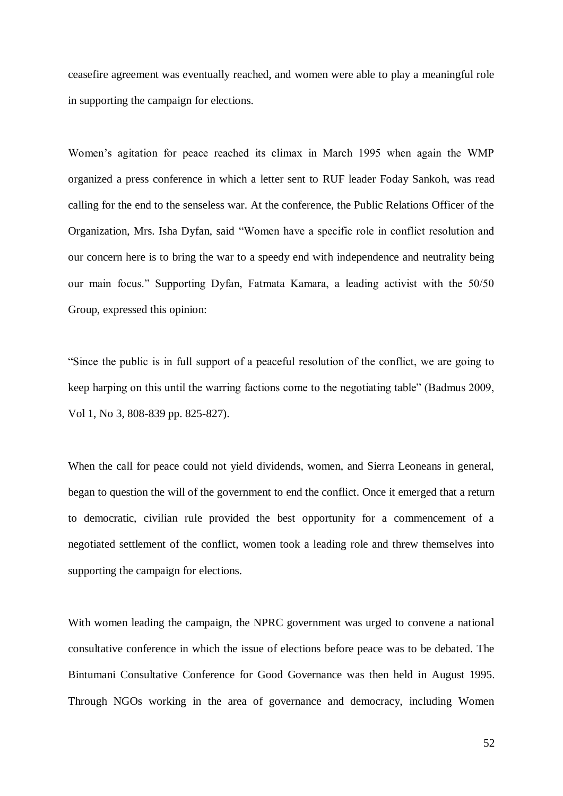ceasefire agreement was eventually reached, and women were able to play a meaningful role in supporting the campaign for elections.

Women's agitation for peace reached its climax in March 1995 when again the WMP organized a press conference in which a letter sent to RUF leader Foday Sankoh, was read calling for the end to the senseless war. At the conference, the Public Relations Officer of the Organization, Mrs. Isha Dyfan, said "Women have a specific role in conflict resolution and our concern here is to bring the war to a speedy end with independence and neutrality being our main focus." Supporting Dyfan, Fatmata Kamara, a leading activist with the 50/50 Group, expressed this opinion:

"Since the public is in full support of a peaceful resolution of the conflict, we are going to keep harping on this until the warring factions come to the negotiating table" (Badmus 2009, Vol 1, No 3, 808-839 pp. 825-827).

When the call for peace could not yield dividends, women, and Sierra Leoneans in general, began to question the will of the government to end the conflict. Once it emerged that a return to democratic, civilian rule provided the best opportunity for a commencement of a negotiated settlement of the conflict, women took a leading role and threw themselves into supporting the campaign for elections.

With women leading the campaign, the NPRC government was urged to convene a national consultative conference in which the issue of elections before peace was to be debated. The Bintumani Consultative Conference for Good Governance was then held in August 1995. Through NGOs working in the area of governance and democracy, including Women

52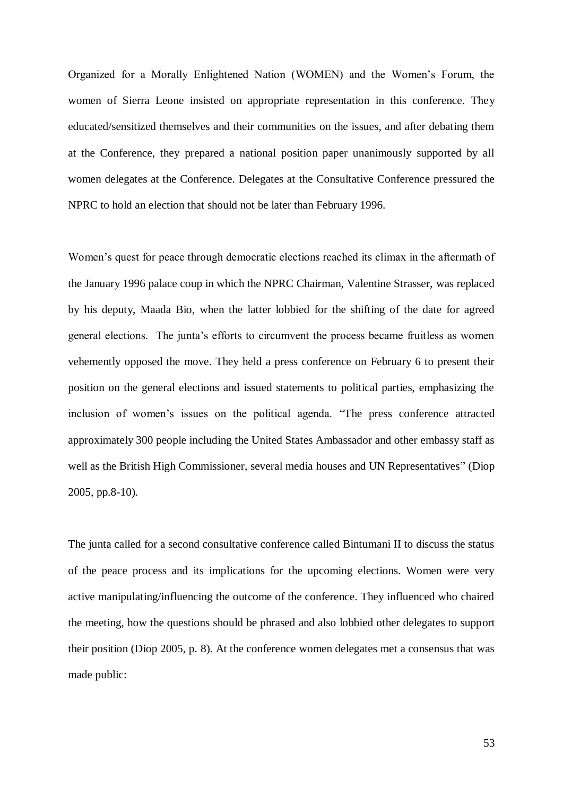Organized for a Morally Enlightened Nation (WOMEN) and the Women's Forum, the women of Sierra Leone insisted on appropriate representation in this conference. They educated/sensitized themselves and their communities on the issues, and after debating them at the Conference, they prepared a national position paper unanimously supported by all women delegates at the Conference. Delegates at the Consultative Conference pressured the NPRC to hold an election that should not be later than February 1996.

Women's quest for peace through democratic elections reached its climax in the aftermath of the January 1996 palace coup in which the NPRC Chairman, Valentine Strasser, was replaced by his deputy, Maada Bio, when the latter lobbied for the shifting of the date for agreed general elections. The junta's efforts to circumvent the process became fruitless as women vehemently opposed the move. They held a press conference on February 6 to present their position on the general elections and issued statements to political parties, emphasizing the inclusion of women's issues on the political agenda. "The press conference attracted approximately 300 people including the United States Ambassador and other embassy staff as well as the British High Commissioner, several media houses and UN Representatives" (Diop 2005, pp.8-10).

The junta called for a second consultative conference called Bintumani II to discuss the status of the peace process and its implications for the upcoming elections. Women were very active manipulating/influencing the outcome of the conference. They influenced who chaired the meeting, how the questions should be phrased and also lobbied other delegates to support their position (Diop 2005, p. 8). At the conference women delegates met a consensus that was made public: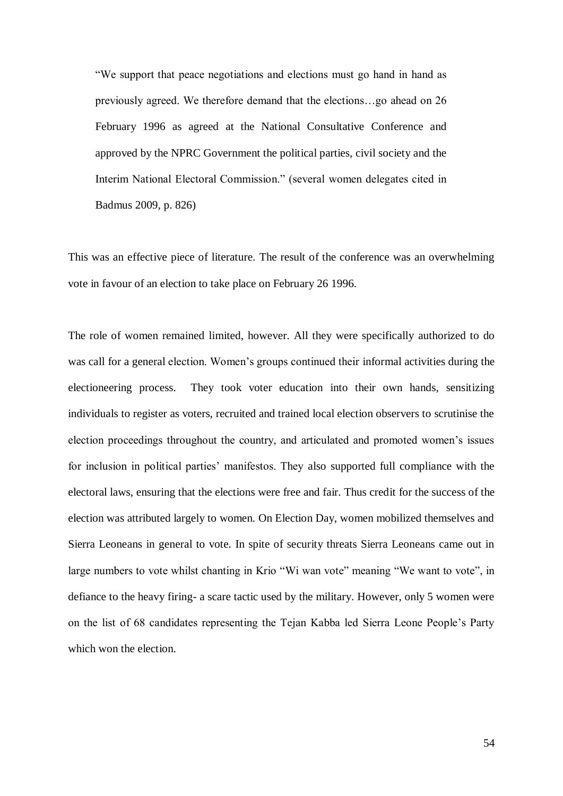"We support that peace negotiations and elections must go hand in hand as previously agreed. We therefore demand that the elections…go ahead on 26 February 1996 as agreed at the National Consultative Conference and approved by the NPRC Government the political parties, civil society and the Interim National Electoral Commission." (several women delegates cited in Badmus 2009, p. 826)

This was an effective piece of literature. The result of the conference was an overwhelming vote in favour of an election to take place on February 26 1996.

The role of women remained limited, however. All they were specifically authorized to do was call for a general election. Women's groups continued their informal activities during the electioneering process. They took voter education into their own hands, sensitizing individuals to register as voters, recruited and trained local election observers to scrutinise the election proceedings throughout the country, and articulated and promoted women's issues for inclusion in political parties' manifestos. They also supported full compliance with the electoral laws, ensuring that the elections were free and fair. Thus credit for the success of the election was attributed largely to women. On Election Day, women mobilized themselves and Sierra Leoneans in general to vote. In spite of security threats Sierra Leoneans came out in large numbers to vote whilst chanting in Krio "Wi wan vote" meaning "We want to vote", in defiance to the heavy firing- a scare tactic used by the military. However, only 5 women were on the list of 68 candidates representing the Tejan Kabba led Sierra Leone People's Party which won the election.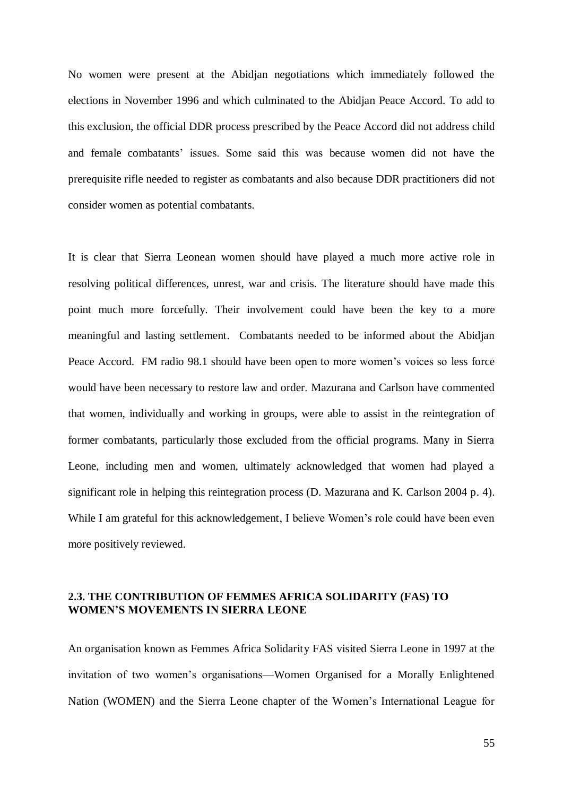No women were present at the Abidjan negotiations which immediately followed the elections in November 1996 and which culminated to the Abidjan Peace Accord. To add to this exclusion, the official DDR process prescribed by the Peace Accord did not address child and female combatants' issues. Some said this was because women did not have the prerequisite rifle needed to register as combatants and also because DDR practitioners did not consider women as potential combatants.

It is clear that Sierra Leonean women should have played a much more active role in resolving political differences, unrest, war and crisis. The literature should have made this point much more forcefully. Their involvement could have been the key to a more meaningful and lasting settlement. Combatants needed to be informed about the Abidjan Peace Accord. FM radio 98.1 should have been open to more women's voices so less force would have been necessary to restore law and order. Mazurana and Carlson have commented that women, individually and working in groups, were able to assist in the reintegration of former combatants, particularly those excluded from the official programs. Many in Sierra Leone, including men and women, ultimately acknowledged that women had played a significant role in helping this reintegration process (D. Mazurana and K. Carlson 2004 p. 4). While I am grateful for this acknowledgement, I believe Women's role could have been even more positively reviewed.

## **2.3. THE CONTRIBUTION OF FEMMES AFRICA SOLIDARITY (FAS) TO WOMEN'S MOVEMENTS IN SIERRA LEONE**

An organisation known as Femmes Africa Solidarity FAS visited Sierra Leone in 1997 at the invitation of two women's organisations—Women Organised for a Morally Enlightened Nation (WOMEN) and the Sierra Leone chapter of the Women's International League for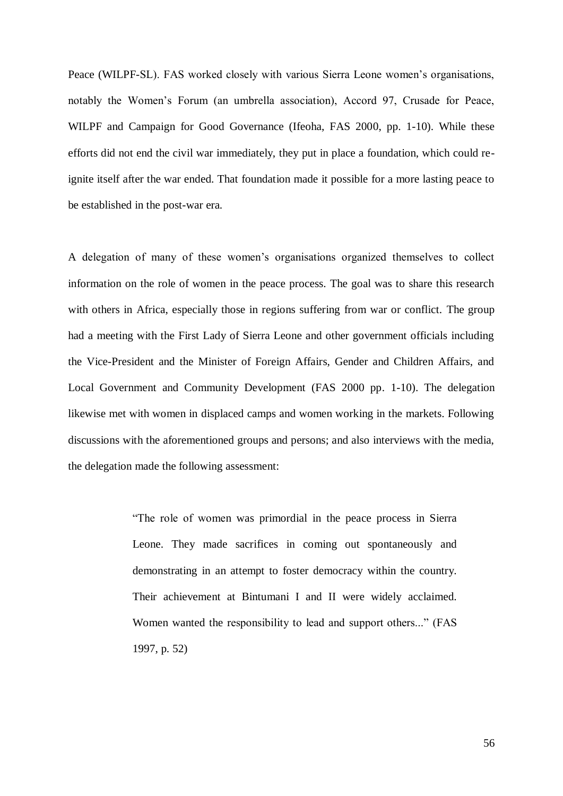Peace (WILPF-SL). FAS worked closely with various Sierra Leone women's organisations, notably the Women's Forum (an umbrella association), Accord 97, Crusade for Peace, WILPF and Campaign for Good Governance (Ifeoha, FAS 2000, pp. 1-10). While these efforts did not end the civil war immediately, they put in place a foundation, which could reignite itself after the war ended. That foundation made it possible for a more lasting peace to be established in the post-war era.

A delegation of many of these women's organisations organized themselves to collect information on the role of women in the peace process. The goal was to share this research with others in Africa, especially those in regions suffering from war or conflict. The group had a meeting with the First Lady of Sierra Leone and other government officials including the Vice-President and the Minister of Foreign Affairs, Gender and Children Affairs, and Local Government and Community Development (FAS 2000 pp. 1-10). The delegation likewise met with women in displaced camps and women working in the markets. Following discussions with the aforementioned groups and persons; and also interviews with the media, the delegation made the following assessment:

> "The role of women was primordial in the peace process in Sierra Leone. They made sacrifices in coming out spontaneously and demonstrating in an attempt to foster democracy within the country. Their achievement at Bintumani I and II were widely acclaimed. Women wanted the responsibility to lead and support others..." (FAS 1997, p. 52)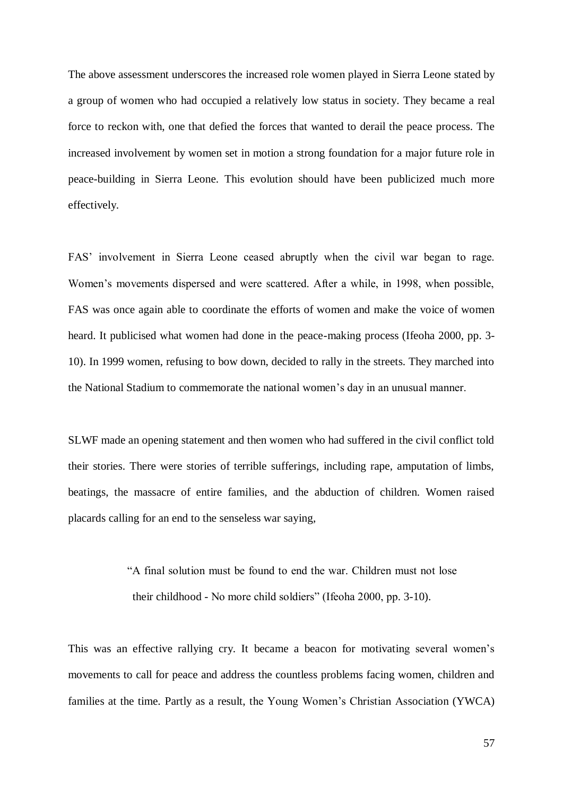The above assessment underscores the increased role women played in Sierra Leone stated by a group of women who had occupied a relatively low status in society. They became a real force to reckon with, one that defied the forces that wanted to derail the peace process. The increased involvement by women set in motion a strong foundation for a major future role in peace-building in Sierra Leone. This evolution should have been publicized much more effectively.

FAS' involvement in Sierra Leone ceased abruptly when the civil war began to rage. Women's movements dispersed and were scattered. After a while, in 1998, when possible, FAS was once again able to coordinate the efforts of women and make the voice of women heard. It publicised what women had done in the peace-making process (Ifeoha 2000, pp. 3- 10). In 1999 women, refusing to bow down, decided to rally in the streets. They marched into the National Stadium to commemorate the national women's day in an unusual manner.

SLWF made an opening statement and then women who had suffered in the civil conflict told their stories. There were stories of terrible sufferings, including rape, amputation of limbs, beatings, the massacre of entire families, and the abduction of children. Women raised placards calling for an end to the senseless war saying,

> "A final solution must be found to end the war. Children must not lose their childhood - No more child soldiers" (Ifeoha 2000, pp. 3-10).

This was an effective rallying cry. It became a beacon for motivating several women's movements to call for peace and address the countless problems facing women, children and families at the time. Partly as a result, the Young Women's Christian Association (YWCA)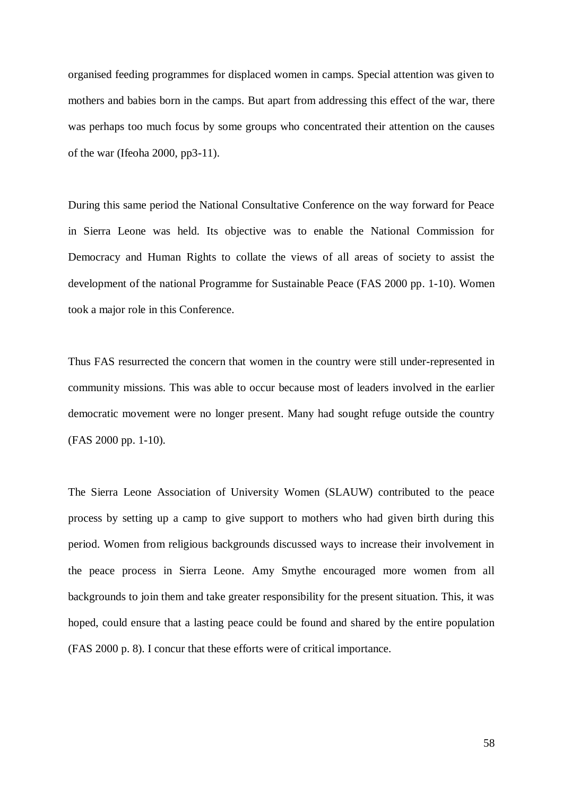organised feeding programmes for displaced women in camps. Special attention was given to mothers and babies born in the camps. But apart from addressing this effect of the war, there was perhaps too much focus by some groups who concentrated their attention on the causes of the war (Ifeoha 2000, pp3-11).

During this same period the National Consultative Conference on the way forward for Peace in Sierra Leone was held. Its objective was to enable the National Commission for Democracy and Human Rights to collate the views of all areas of society to assist the development of the national Programme for Sustainable Peace (FAS 2000 pp. 1-10). Women took a major role in this Conference.

Thus FAS resurrected the concern that women in the country were still under-represented in community missions. This was able to occur because most of leaders involved in the earlier democratic movement were no longer present. Many had sought refuge outside the country (FAS 2000 pp. 1-10).

The Sierra Leone Association of University Women (SLAUW) contributed to the peace process by setting up a camp to give support to mothers who had given birth during this period. Women from religious backgrounds discussed ways to increase their involvement in the peace process in Sierra Leone. Amy Smythe encouraged more women from all backgrounds to join them and take greater responsibility for the present situation. This, it was hoped, could ensure that a lasting peace could be found and shared by the entire population (FAS 2000 p. 8). I concur that these efforts were of critical importance.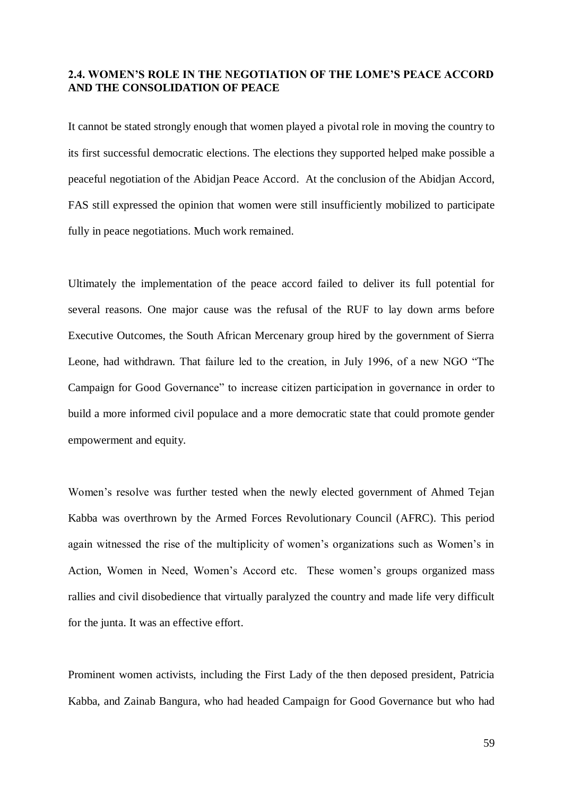### **2.4. WOMEN'S ROLE IN THE NEGOTIATION OF THE LOME'S PEACE ACCORD AND THE CONSOLIDATION OF PEACE**

It cannot be stated strongly enough that women played a pivotal role in moving the country to its first successful democratic elections. The elections they supported helped make possible a peaceful negotiation of the Abidjan Peace Accord. At the conclusion of the Abidjan Accord, FAS still expressed the opinion that women were still insufficiently mobilized to participate fully in peace negotiations. Much work remained.

Ultimately the implementation of the peace accord failed to deliver its full potential for several reasons. One major cause was the refusal of the RUF to lay down arms before Executive Outcomes, the South African Mercenary group hired by the government of Sierra Leone, had withdrawn. That failure led to the creation, in July 1996, of a new NGO "The Campaign for Good Governance" to increase citizen participation in governance in order to build a more informed civil populace and a more democratic state that could promote gender empowerment and equity.

Women's resolve was further tested when the newly elected government of Ahmed Tejan Kabba was overthrown by the Armed Forces Revolutionary Council (AFRC). This period again witnessed the rise of the multiplicity of women's organizations such as Women's in Action, Women in Need, Women's Accord etc. These women's groups organized mass rallies and civil disobedience that virtually paralyzed the country and made life very difficult for the junta. It was an effective effort.

Prominent women activists, including the First Lady of the then deposed president, Patricia Kabba, and Zainab Bangura, who had headed Campaign for Good Governance but who had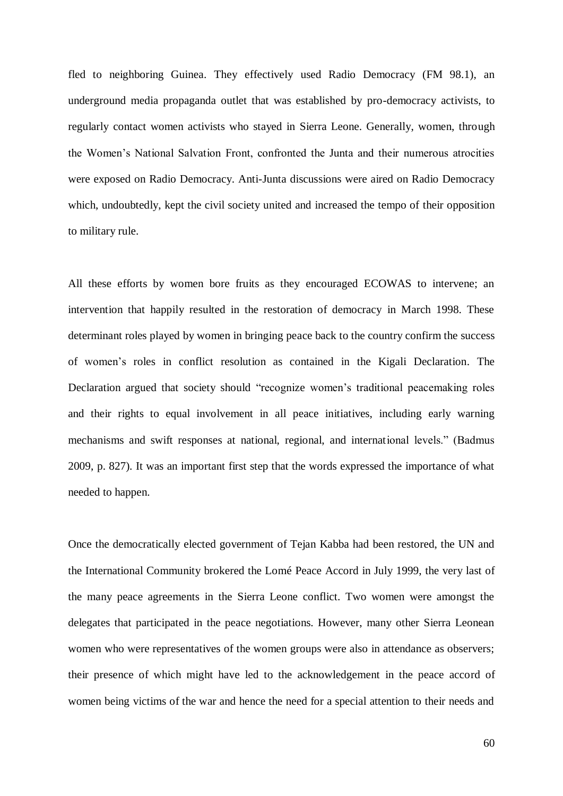fled to neighboring Guinea. They effectively used Radio Democracy (FM 98.1), an underground media propaganda outlet that was established by pro-democracy activists, to regularly contact women activists who stayed in Sierra Leone. Generally, women, through the Women's National Salvation Front, confronted the Junta and their numerous atrocities were exposed on Radio Democracy. Anti-Junta discussions were aired on Radio Democracy which, undoubtedly, kept the civil society united and increased the tempo of their opposition to military rule.

All these efforts by women bore fruits as they encouraged ECOWAS to intervene; an intervention that happily resulted in the restoration of democracy in March 1998. These determinant roles played by women in bringing peace back to the country confirm the success of women's roles in conflict resolution as contained in the Kigali Declaration. The Declaration argued that society should "recognize women's traditional peacemaking roles and their rights to equal involvement in all peace initiatives, including early warning mechanisms and swift responses at national, regional, and international levels." (Badmus 2009, p. 827). It was an important first step that the words expressed the importance of what needed to happen.

Once the democratically elected government of Tejan Kabba had been restored, the UN and the International Community brokered the Lomé Peace Accord in July 1999, the very last of the many peace agreements in the Sierra Leone conflict. Two women were amongst the delegates that participated in the peace negotiations. However, many other Sierra Leonean women who were representatives of the women groups were also in attendance as observers; their presence of which might have led to the acknowledgement in the peace accord of women being victims of the war and hence the need for a special attention to their needs and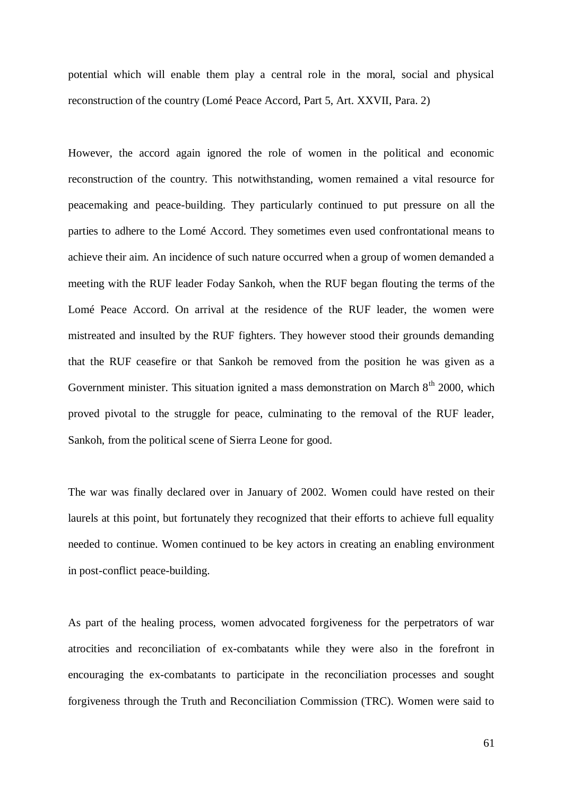potential which will enable them play a central role in the moral, social and physical reconstruction of the country (Lomé Peace Accord, Part 5, Art. XXVII, Para. 2)

However, the accord again ignored the role of women in the political and economic reconstruction of the country. This notwithstanding, women remained a vital resource for peacemaking and peace-building. They particularly continued to put pressure on all the parties to adhere to the Lomé Accord. They sometimes even used confrontational means to achieve their aim. An incidence of such nature occurred when a group of women demanded a meeting with the RUF leader Foday Sankoh, when the RUF began flouting the terms of the Lomé Peace Accord. On arrival at the residence of the RUF leader, the women were mistreated and insulted by the RUF fighters. They however stood their grounds demanding that the RUF ceasefire or that Sankoh be removed from the position he was given as a Government minister. This situation ignited a mass demonstration on March  $8<sup>th</sup>$  2000, which proved pivotal to the struggle for peace, culminating to the removal of the RUF leader, Sankoh, from the political scene of Sierra Leone for good.

The war was finally declared over in January of 2002. Women could have rested on their laurels at this point, but fortunately they recognized that their efforts to achieve full equality needed to continue. Women continued to be key actors in creating an enabling environment in post-conflict peace-building.

As part of the healing process, women advocated forgiveness for the perpetrators of war atrocities and reconciliation of ex-combatants while they were also in the forefront in encouraging the ex-combatants to participate in the reconciliation processes and sought forgiveness through the Truth and Reconciliation Commission (TRC). Women were said to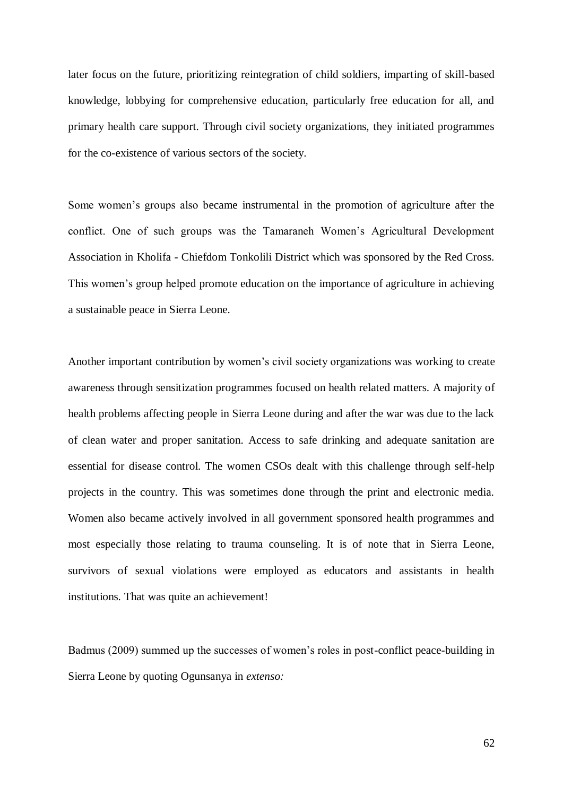later focus on the future, prioritizing reintegration of child soldiers, imparting of skill-based knowledge, lobbying for comprehensive education, particularly free education for all, and primary health care support. Through civil society organizations, they initiated programmes for the co-existence of various sectors of the society.

Some women's groups also became instrumental in the promotion of agriculture after the conflict. One of such groups was the Tamaraneh Women's Agricultural Development Association in Kholifa - Chiefdom Tonkolili District which was sponsored by the Red Cross. This women's group helped promote education on the importance of agriculture in achieving a sustainable peace in Sierra Leone.

Another important contribution by women's civil society organizations was working to create awareness through sensitization programmes focused on health related matters. A majority of health problems affecting people in Sierra Leone during and after the war was due to the lack of clean water and proper sanitation. Access to safe drinking and adequate sanitation are essential for disease control. The women CSOs dealt with this challenge through self-help projects in the country. This was sometimes done through the print and electronic media. Women also became actively involved in all government sponsored health programmes and most especially those relating to trauma counseling. It is of note that in Sierra Leone, survivors of sexual violations were employed as educators and assistants in health institutions. That was quite an achievement!

Badmus (2009) summed up the successes of women's roles in post-conflict peace-building in Sierra Leone by quoting Ogunsanya in *extenso:*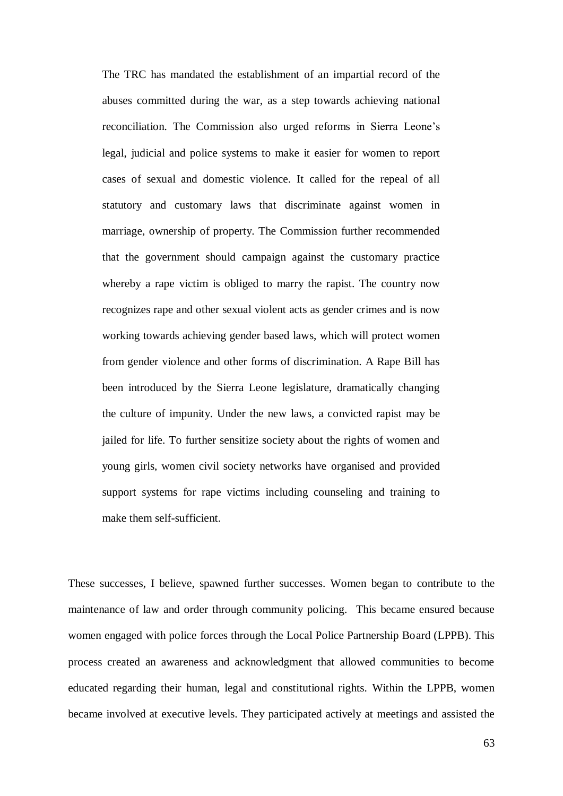The TRC has mandated the establishment of an impartial record of the abuses committed during the war, as a step towards achieving national reconciliation. The Commission also urged reforms in Sierra Leone's legal, judicial and police systems to make it easier for women to report cases of sexual and domestic violence. It called for the repeal of all statutory and customary laws that discriminate against women in marriage, ownership of property. The Commission further recommended that the government should campaign against the customary practice whereby a rape victim is obliged to marry the rapist. The country now recognizes rape and other sexual violent acts as gender crimes and is now working towards achieving gender based laws, which will protect women from gender violence and other forms of discrimination. A Rape Bill has been introduced by the Sierra Leone legislature, dramatically changing the culture of impunity. Under the new laws, a convicted rapist may be jailed for life. To further sensitize society about the rights of women and young girls, women civil society networks have organised and provided support systems for rape victims including counseling and training to make them self-sufficient.

These successes, I believe, spawned further successes. Women began to contribute to the maintenance of law and order through community policing. This became ensured because women engaged with police forces through the Local Police Partnership Board (LPPB). This process created an awareness and acknowledgment that allowed communities to become educated regarding their human, legal and constitutional rights. Within the LPPB, women became involved at executive levels. They participated actively at meetings and assisted the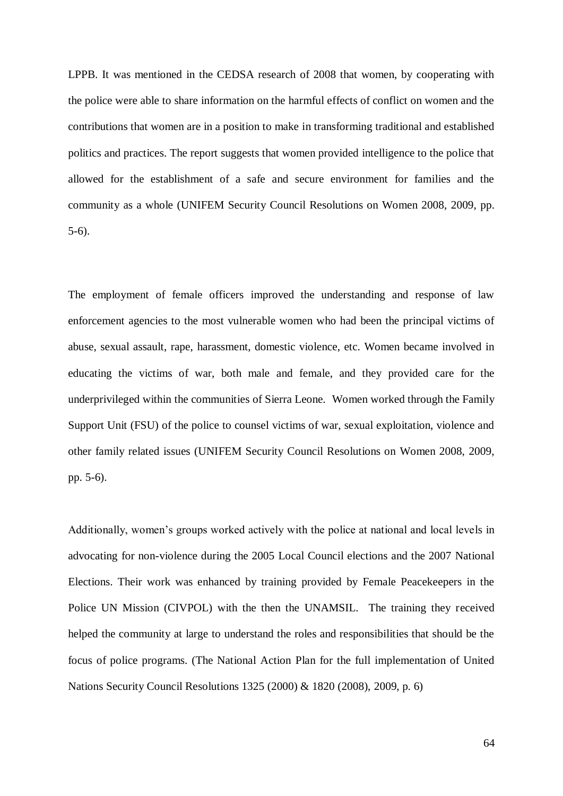LPPB. It was mentioned in the CEDSA research of 2008 that women, by cooperating with the police were able to share information on the harmful effects of conflict on women and the contributions that women are in a position to make in transforming traditional and established politics and practices. The report suggests that women provided intelligence to the police that allowed for the establishment of a safe and secure environment for families and the community as a whole (UNIFEM Security Council Resolutions on Women 2008, 2009, pp. 5-6).

The employment of female officers improved the understanding and response of law enforcement agencies to the most vulnerable women who had been the principal victims of abuse, sexual assault, rape, harassment, domestic violence, etc. Women became involved in educating the victims of war, both male and female, and they provided care for the underprivileged within the communities of Sierra Leone. Women worked through the Family Support Unit (FSU) of the police to counsel victims of war, sexual exploitation, violence and other family related issues (UNIFEM Security Council Resolutions on Women 2008, 2009, pp. 5-6).

Additionally, women's groups worked actively with the police at national and local levels in advocating for non-violence during the 2005 Local Council elections and the 2007 National Elections. Their work was enhanced by training provided by Female Peacekeepers in the Police UN Mission (CIVPOL) with the then the UNAMSIL. The training they received helped the community at large to understand the roles and responsibilities that should be the focus of police programs. (The National Action Plan for the full implementation of United Nations Security Council Resolutions 1325 (2000) & 1820 (2008), 2009, p. 6)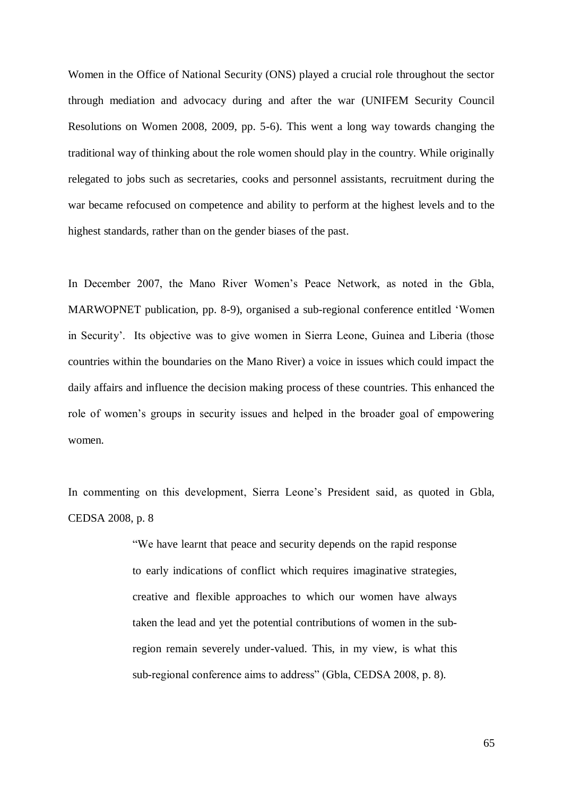Women in the Office of National Security (ONS) played a crucial role throughout the sector through mediation and advocacy during and after the war (UNIFEM Security Council Resolutions on Women 2008, 2009, pp. 5-6). This went a long way towards changing the traditional way of thinking about the role women should play in the country. While originally relegated to jobs such as secretaries, cooks and personnel assistants, recruitment during the war became refocused on competence and ability to perform at the highest levels and to the highest standards, rather than on the gender biases of the past.

In December 2007, the Mano River Women's Peace Network, as noted in the Gbla, MARWOPNET publication, pp. 8-9), organised a sub-regional conference entitled 'Women in Security'. Its objective was to give women in Sierra Leone, Guinea and Liberia (those countries within the boundaries on the Mano River) a voice in issues which could impact the daily affairs and influence the decision making process of these countries. This enhanced the role of women's groups in security issues and helped in the broader goal of empowering women.

In commenting on this development, Sierra Leone's President said, as quoted in Gbla, CEDSA 2008, p. 8

> "We have learnt that peace and security depends on the rapid response to early indications of conflict which requires imaginative strategies, creative and flexible approaches to which our women have always taken the lead and yet the potential contributions of women in the subregion remain severely under-valued. This, in my view, is what this sub-regional conference aims to address" (Gbla, CEDSA 2008, p. 8).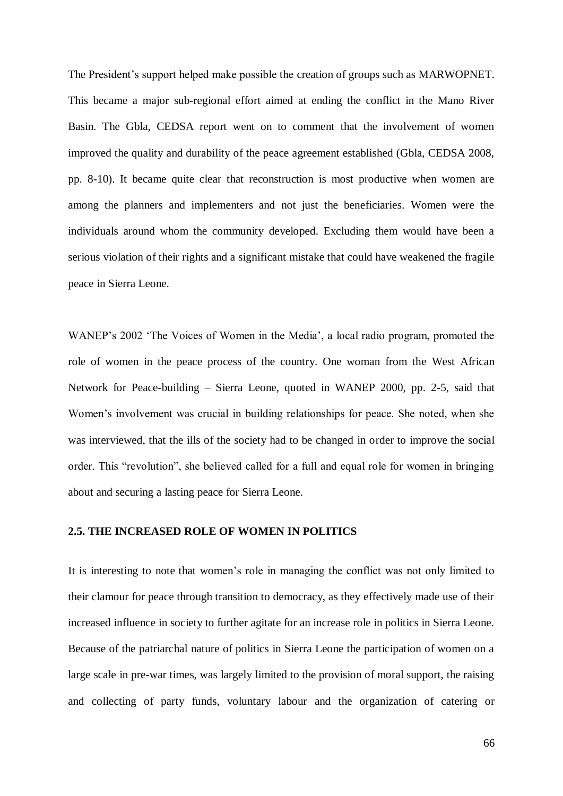The President's support helped make possible the creation of groups such as MARWOPNET. This became a major sub-regional effort aimed at ending the conflict in the Mano River Basin. The Gbla, CEDSA report went on to comment that the involvement of women improved the quality and durability of the peace agreement established (Gbla, CEDSA 2008, pp. 8-10). It became quite clear that reconstruction is most productive when women are among the planners and implementers and not just the beneficiaries. Women were the individuals around whom the community developed. Excluding them would have been a serious violation of their rights and a significant mistake that could have weakened the fragile peace in Sierra Leone.

WANEP's 2002 'The Voices of Women in the Media', a local radio program, promoted the role of women in the peace process of the country. One woman from the West African Network for Peace-building – Sierra Leone, quoted in WANEP 2000, pp. 2-5, said that Women's involvement was crucial in building relationships for peace. She noted, when she was interviewed, that the ills of the society had to be changed in order to improve the social order. This "revolution", she believed called for a full and equal role for women in bringing about and securing a lasting peace for Sierra Leone.

### **2.5. THE INCREASED ROLE OF WOMEN IN POLITICS**

It is interesting to note that women's role in managing the conflict was not only limited to their clamour for peace through transition to democracy, as they effectively made use of their increased influence in society to further agitate for an increase role in politics in Sierra Leone. Because of the patriarchal nature of politics in Sierra Leone the participation of women on a large scale in pre-war times, was largely limited to the provision of moral support, the raising and collecting of party funds, voluntary labour and the organization of catering or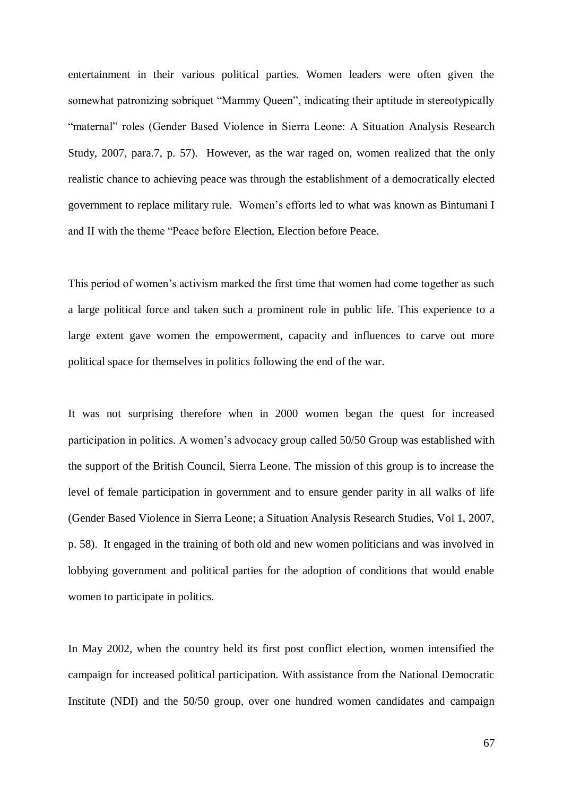entertainment in their various political parties. Women leaders were often given the somewhat patronizing sobriquet "Mammy Queen", indicating their aptitude in stereotypically "maternal" roles (Gender Based Violence in Sierra Leone: A Situation Analysis Research Study, 2007, para.7, p. 57). However, as the war raged on, women realized that the only realistic chance to achieving peace was through the establishment of a democratically elected government to replace military rule. Women's efforts led to what was known as Bintumani I and II with the theme "Peace before Election, Election before Peace.

This period of women's activism marked the first time that women had come together as such a large political force and taken such a prominent role in public life. This experience to a large extent gave women the empowerment, capacity and influences to carve out more political space for themselves in politics following the end of the war.

It was not surprising therefore when in 2000 women began the quest for increased participation in politics. A women's advocacy group called 50/50 Group was established with the support of the British Council, Sierra Leone. The mission of this group is to increase the level of female participation in government and to ensure gender parity in all walks of life (Gender Based Violence in Sierra Leone; a Situation Analysis Research Studies, Vol 1, 2007, p. 58). It engaged in the training of both old and new women politicians and was involved in lobbying government and political parties for the adoption of conditions that would enable women to participate in politics.

In May 2002, when the country held its first post conflict election, women intensified the campaign for increased political participation. With assistance from the National Democratic Institute (NDI) and the 50/50 group, over one hundred women candidates and campaign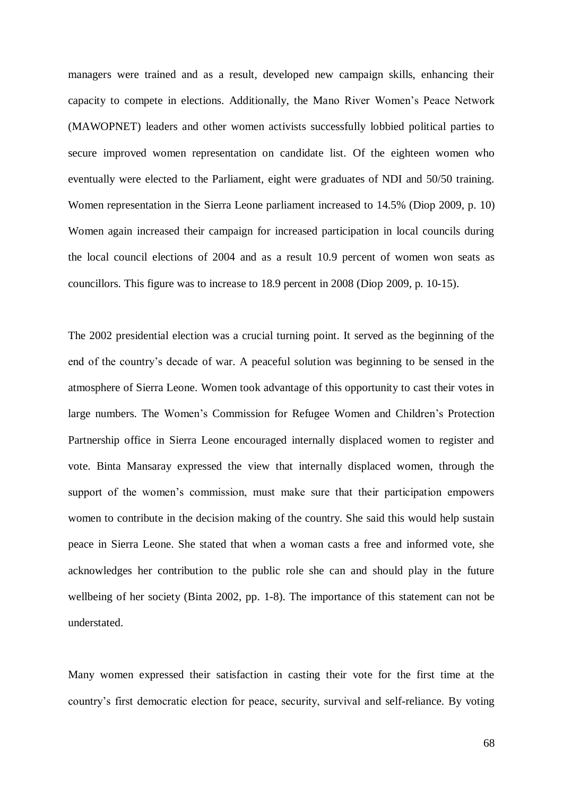managers were trained and as a result, developed new campaign skills, enhancing their capacity to compete in elections. Additionally, the Mano River Women's Peace Network (MAWOPNET) leaders and other women activists successfully lobbied political parties to secure improved women representation on candidate list. Of the eighteen women who eventually were elected to the Parliament, eight were graduates of NDI and 50/50 training. Women representation in the Sierra Leone parliament increased to 14.5% (Diop 2009, p. 10) Women again increased their campaign for increased participation in local councils during the local council elections of 2004 and as a result 10.9 percent of women won seats as councillors. This figure was to increase to 18.9 percent in 2008 (Diop 2009, p. 10-15).

The 2002 presidential election was a crucial turning point. It served as the beginning of the end of the country's decade of war. A peaceful solution was beginning to be sensed in the atmosphere of Sierra Leone. Women took advantage of this opportunity to cast their votes in large numbers. The Women's Commission for Refugee Women and Children's Protection Partnership office in Sierra Leone encouraged internally displaced women to register and vote. Binta Mansaray expressed the view that internally displaced women, through the support of the women's commission, must make sure that their participation empowers women to contribute in the decision making of the country. She said this would help sustain peace in Sierra Leone. She stated that when a woman casts a free and informed vote, she acknowledges her contribution to the public role she can and should play in the future wellbeing of her society (Binta 2002, pp. 1-8). The importance of this statement can not be understated.

Many women expressed their satisfaction in casting their vote for the first time at the country's first democratic election for peace, security, survival and self-reliance. By voting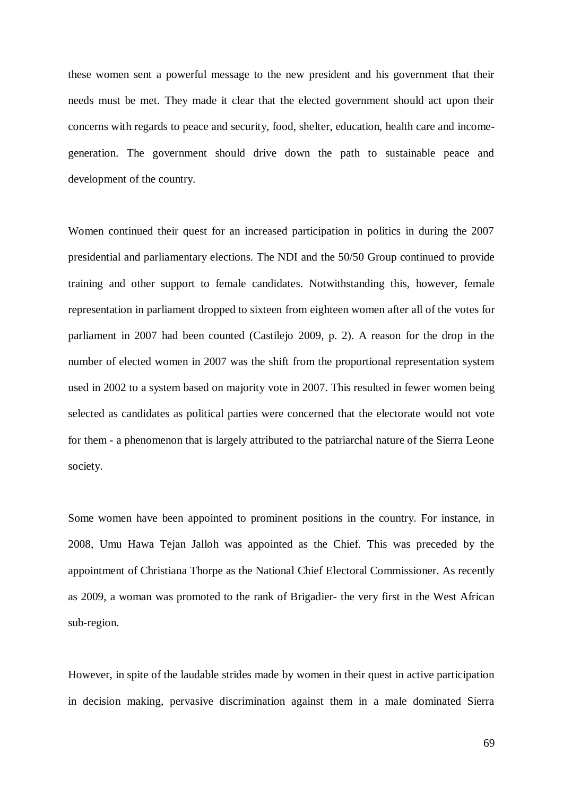these women sent a powerful message to the new president and his government that their needs must be met. They made it clear that the elected government should act upon their concerns with regards to peace and security, food, shelter, education, health care and incomegeneration. The government should drive down the path to sustainable peace and development of the country.

Women continued their quest for an increased participation in politics in during the 2007 presidential and parliamentary elections. The NDI and the 50/50 Group continued to provide training and other support to female candidates. Notwithstanding this, however, female representation in parliament dropped to sixteen from eighteen women after all of the votes for parliament in 2007 had been counted (Castilejo 2009, p. 2). A reason for the drop in the number of elected women in 2007 was the shift from the proportional representation system used in 2002 to a system based on majority vote in 2007. This resulted in fewer women being selected as candidates as political parties were concerned that the electorate would not vote for them - a phenomenon that is largely attributed to the patriarchal nature of the Sierra Leone society.

Some women have been appointed to prominent positions in the country. For instance, in 2008, Umu Hawa Tejan Jalloh was appointed as the Chief. This was preceded by the appointment of Christiana Thorpe as the National Chief Electoral Commissioner. As recently as 2009, a woman was promoted to the rank of Brigadier- the very first in the West African sub-region.

However, in spite of the laudable strides made by women in their quest in active participation in decision making, pervasive discrimination against them in a male dominated Sierra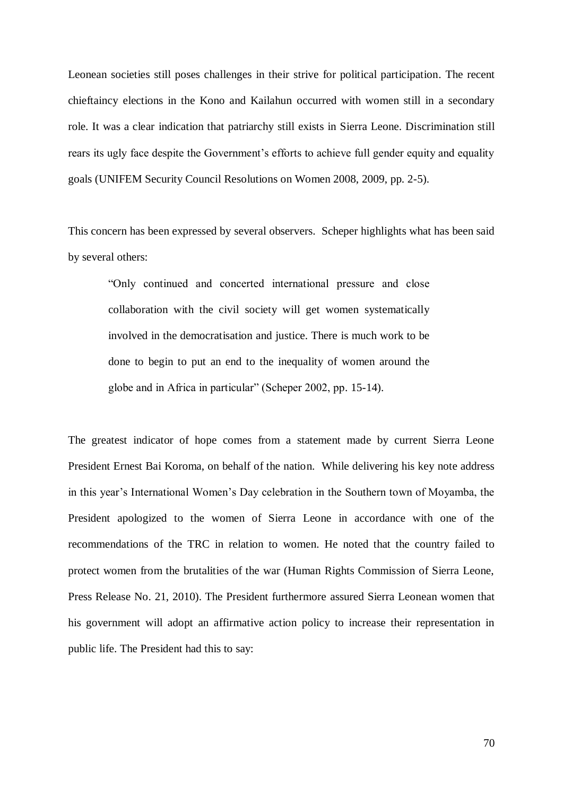Leonean societies still poses challenges in their strive for political participation. The recent chieftaincy elections in the Kono and Kailahun occurred with women still in a secondary role. It was a clear indication that patriarchy still exists in Sierra Leone. Discrimination still rears its ugly face despite the Government's efforts to achieve full gender equity and equality goals (UNIFEM Security Council Resolutions on Women 2008, 2009, pp. 2-5).

This concern has been expressed by several observers. Scheper highlights what has been said by several others:

"Only continued and concerted international pressure and close collaboration with the civil society will get women systematically involved in the democratisation and justice. There is much work to be done to begin to put an end to the inequality of women around the globe and in Africa in particular" (Scheper 2002, pp. 15-14).

The greatest indicator of hope comes from a statement made by current Sierra Leone President Ernest Bai Koroma, on behalf of the nation. While delivering his key note address in this year's International Women's Day celebration in the Southern town of Moyamba, the President apologized to the women of Sierra Leone in accordance with one of the recommendations of the TRC in relation to women. He noted that the country failed to protect women from the brutalities of the war (Human Rights Commission of Sierra Leone, Press Release No. 21, 2010). The President furthermore assured Sierra Leonean women that his government will adopt an affirmative action policy to increase their representation in public life. The President had this to say: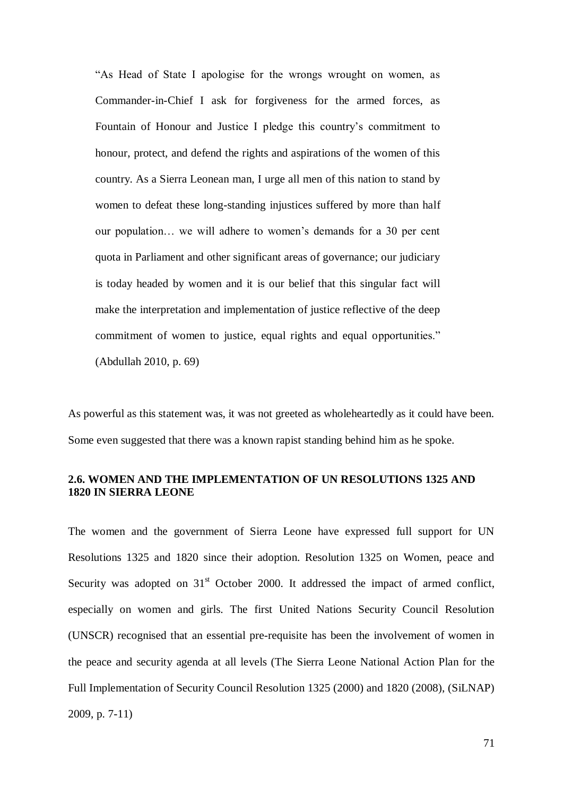"As Head of State I apologise for the wrongs wrought on women, as Commander-in-Chief I ask for forgiveness for the armed forces, as Fountain of Honour and Justice I pledge this country's commitment to honour, protect, and defend the rights and aspirations of the women of this country. As a Sierra Leonean man, I urge all men of this nation to stand by women to defeat these long-standing injustices suffered by more than half our population… we will adhere to women's demands for a 30 per cent quota in Parliament and other significant areas of governance; our judiciary is today headed by women and it is our belief that this singular fact will make the interpretation and implementation of justice reflective of the deep commitment of women to justice, equal rights and equal opportunities." (Abdullah 2010, p. 69)

As powerful as this statement was, it was not greeted as wholeheartedly as it could have been. Some even suggested that there was a known rapist standing behind him as he spoke.

# **2.6. WOMEN AND THE IMPLEMENTATION OF UN RESOLUTIONS 1325 AND 1820 IN SIERRA LEONE**

The women and the government of Sierra Leone have expressed full support for UN Resolutions 1325 and 1820 since their adoption. Resolution 1325 on Women, peace and Security was adopted on  $31<sup>st</sup>$  October 2000. It addressed the impact of armed conflict, especially on women and girls. The first United Nations Security Council Resolution (UNSCR) recognised that an essential pre-requisite has been the involvement of women in the peace and security agenda at all levels (The Sierra Leone National Action Plan for the Full Implementation of Security Council Resolution 1325 (2000) and 1820 (2008), (SiLNAP) 2009, p. 7-11)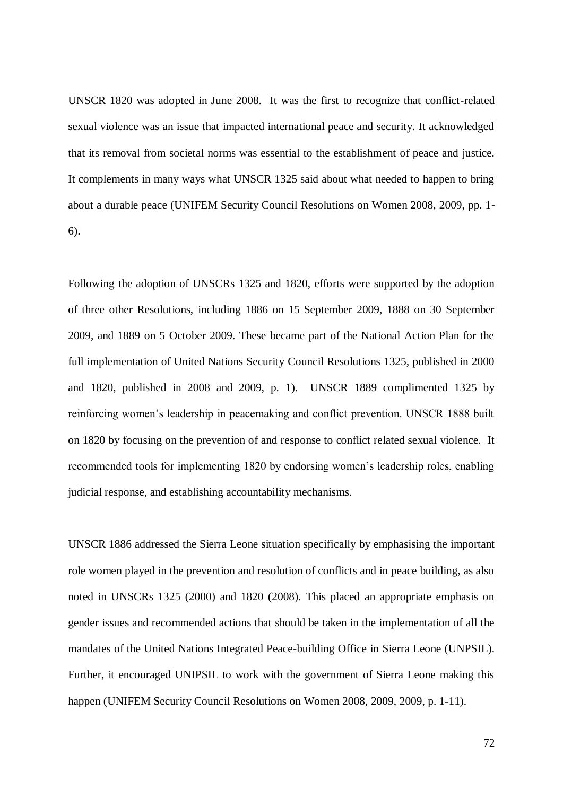UNSCR 1820 was adopted in June 2008. It was the first to recognize that conflict-related sexual violence was an issue that impacted international peace and security. It acknowledged that its removal from societal norms was essential to the establishment of peace and justice. It complements in many ways what UNSCR 1325 said about what needed to happen to bring about a durable peace (UNIFEM Security Council Resolutions on Women 2008, 2009, pp. 1- 6).

Following the adoption of UNSCRs 1325 and 1820, efforts were supported by the adoption of three other Resolutions, including 1886 on 15 September 2009, 1888 on 30 September 2009, and 1889 on 5 October 2009. These became part of the National Action Plan for the full implementation of United Nations Security Council Resolutions 1325, published in 2000 and 1820, published in 2008 and 2009, p. 1). UNSCR 1889 complimented 1325 by reinforcing women's leadership in peacemaking and conflict prevention. UNSCR 1888 built on 1820 by focusing on the prevention of and response to conflict related sexual violence. It recommended tools for implementing 1820 by endorsing women's leadership roles, enabling judicial response, and establishing accountability mechanisms.

UNSCR 1886 addressed the Sierra Leone situation specifically by emphasising the important role women played in the prevention and resolution of conflicts and in peace building, as also noted in UNSCRs 1325 (2000) and 1820 (2008). This placed an appropriate emphasis on gender issues and recommended actions that should be taken in the implementation of all the mandates of the United Nations Integrated Peace-building Office in Sierra Leone (UNPSIL). Further, it encouraged UNIPSIL to work with the government of Sierra Leone making this happen (UNIFEM Security Council Resolutions on Women 2008, 2009, 2009, p. 1-11).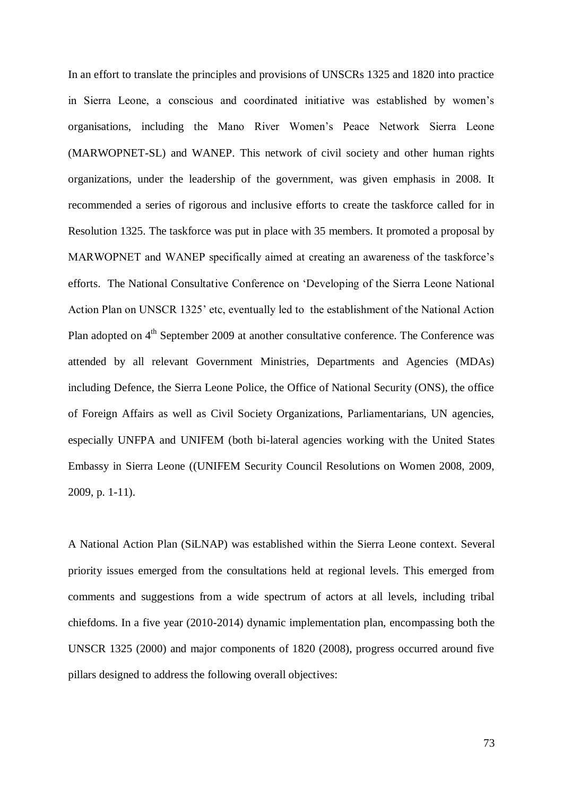In an effort to translate the principles and provisions of UNSCRs 1325 and 1820 into practice in Sierra Leone, a conscious and coordinated initiative was established by women's organisations, including the Mano River Women's Peace Network Sierra Leone (MARWOPNET-SL) and WANEP. This network of civil society and other human rights organizations, under the leadership of the government, was given emphasis in 2008. It recommended a series of rigorous and inclusive efforts to create the taskforce called for in Resolution 1325. The taskforce was put in place with 35 members. It promoted a proposal by MARWOPNET and WANEP specifically aimed at creating an awareness of the taskforce's efforts. The National Consultative Conference on 'Developing of the Sierra Leone National Action Plan on UNSCR 1325' etc, eventually led to the establishment of the National Action Plan adopted on  $4<sup>th</sup>$  September 2009 at another consultative conference. The Conference was attended by all relevant Government Ministries, Departments and Agencies (MDAs) including Defence, the Sierra Leone Police, the Office of National Security (ONS), the office of Foreign Affairs as well as Civil Society Organizations, Parliamentarians, UN agencies, especially UNFPA and UNIFEM (both bi-lateral agencies working with the United States Embassy in Sierra Leone ((UNIFEM Security Council Resolutions on Women 2008, 2009, 2009, p. 1-11).

A National Action Plan (SiLNAP) was established within the Sierra Leone context. Several priority issues emerged from the consultations held at regional levels. This emerged from comments and suggestions from a wide spectrum of actors at all levels, including tribal chiefdoms. In a five year (2010-2014) dynamic implementation plan, encompassing both the UNSCR 1325 (2000) and major components of 1820 (2008), progress occurred around five pillars designed to address the following overall objectives: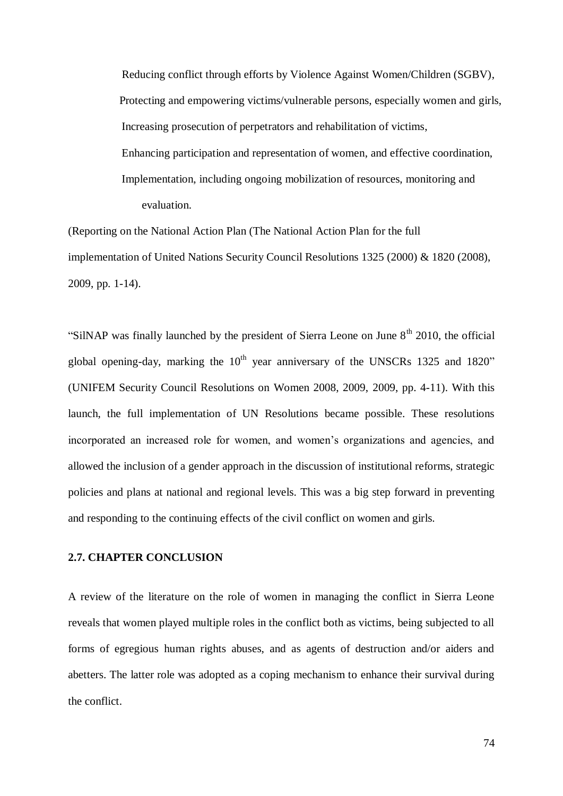Reducing conflict through efforts by Violence Against Women/Children (SGBV), Protecting and empowering victims/vulnerable persons, especially women and girls, Increasing prosecution of perpetrators and rehabilitation of victims, Enhancing participation and representation of women, and effective coordination, Implementation, including ongoing mobilization of resources, monitoring and evaluation.

(Reporting on the National Action Plan (The National Action Plan for the full implementation of United Nations Security Council Resolutions 1325 (2000) & 1820 (2008), 2009, pp. 1-14).

"SilNAP was finally launched by the president of Sierra Leone on June  $8<sup>th</sup>$  2010, the official global opening-day, marking the  $10^{th}$  year anniversary of the UNSCRs 1325 and 1820" (UNIFEM Security Council Resolutions on Women 2008, 2009, 2009, pp. 4-11). With this launch, the full implementation of UN Resolutions became possible. These resolutions incorporated an increased role for women, and women's organizations and agencies, and allowed the inclusion of a gender approach in the discussion of institutional reforms, strategic policies and plans at national and regional levels. This was a big step forward in preventing and responding to the continuing effects of the civil conflict on women and girls.

## **2.7. CHAPTER CONCLUSION**

A review of the literature on the role of women in managing the conflict in Sierra Leone reveals that women played multiple roles in the conflict both as victims, being subjected to all forms of egregious human rights abuses, and as agents of destruction and/or aiders and abetters. The latter role was adopted as a coping mechanism to enhance their survival during the conflict.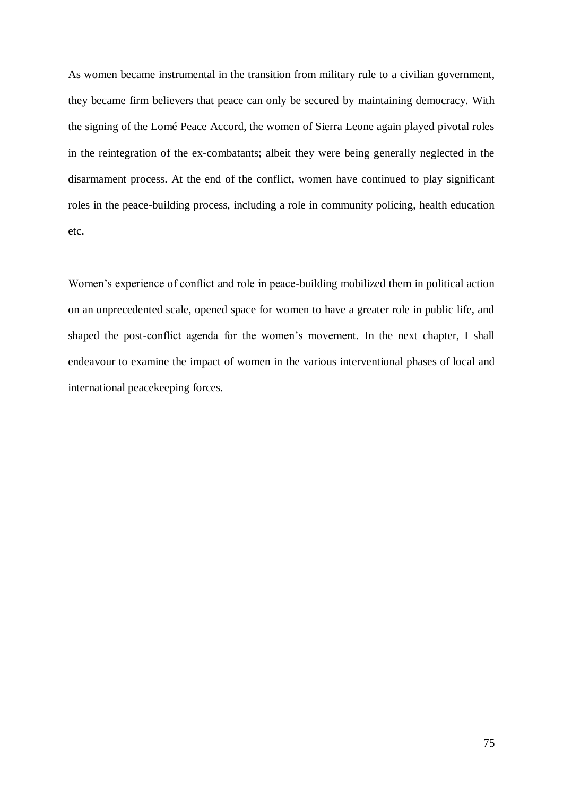As women became instrumental in the transition from military rule to a civilian government, they became firm believers that peace can only be secured by maintaining democracy. With the signing of the Lomé Peace Accord, the women of Sierra Leone again played pivotal roles in the reintegration of the ex-combatants; albeit they were being generally neglected in the disarmament process. At the end of the conflict, women have continued to play significant roles in the peace-building process, including a role in community policing, health education etc.

Women's experience of conflict and role in peace-building mobilized them in political action on an unprecedented scale, opened space for women to have a greater role in public life, and shaped the post-conflict agenda for the women's movement. In the next chapter, I shall endeavour to examine the impact of women in the various interventional phases of local and international peacekeeping forces.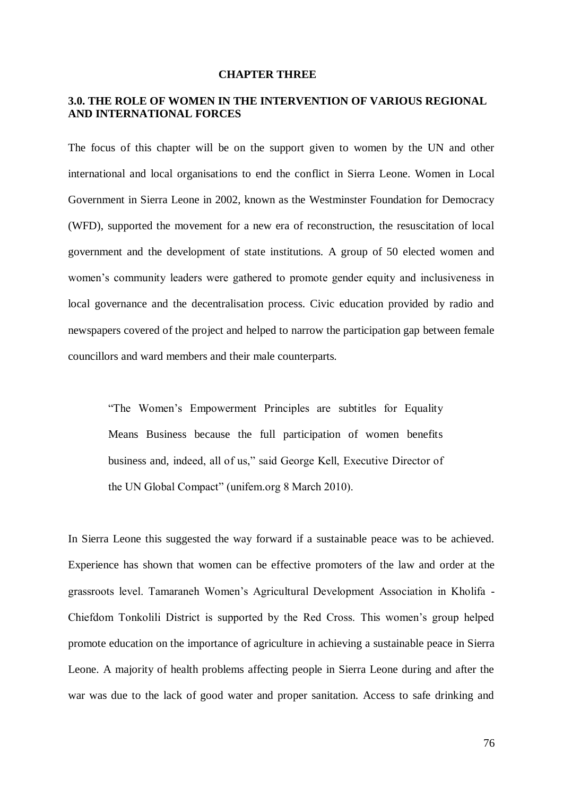#### **CHAPTER THREE**

# **3.0. THE ROLE OF WOMEN IN THE INTERVENTION OF VARIOUS REGIONAL AND INTERNATIONAL FORCES**

The focus of this chapter will be on the support given to women by the UN and other international and local organisations to end the conflict in Sierra Leone. Women in Local Government in Sierra Leone in 2002, known as the Westminster Foundation for Democracy (WFD), supported the movement for a new era of reconstruction, the resuscitation of local government and the development of state institutions. A group of 50 elected women and women's community leaders were gathered to promote gender equity and inclusiveness in local governance and the decentralisation process. Civic education provided by radio and newspapers covered of the project and helped to narrow the participation gap between female councillors and ward members and their male counterparts.

"The Women's Empowerment Principles are subtitles for Equality Means Business because the full participation of women benefits business and, indeed, all of us," said George Kell, Executive Director of the UN Global Compact" (unifem.org 8 March 2010).

In Sierra Leone this suggested the way forward if a sustainable peace was to be achieved. Experience has shown that women can be effective promoters of the law and order at the grassroots level. Tamaraneh Women's Agricultural Development Association in Kholifa - Chiefdom Tonkolili District is supported by the Red Cross. This women's group helped promote education on the importance of agriculture in achieving a sustainable peace in Sierra Leone. A majority of health problems affecting people in Sierra Leone during and after the war was due to the lack of good water and proper sanitation. Access to safe drinking and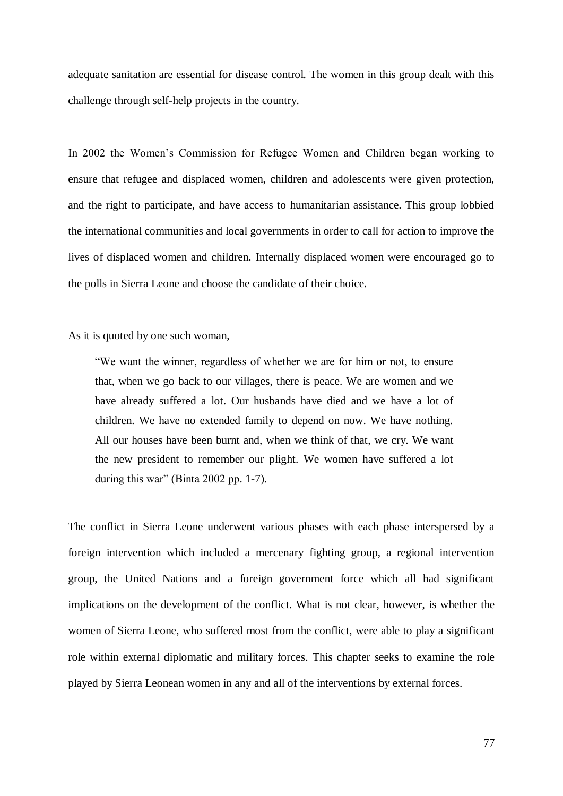adequate sanitation are essential for disease control. The women in this group dealt with this challenge through self-help projects in the country.

In 2002 the Women's Commission for Refugee Women and Children began working to ensure that refugee and displaced women, children and adolescents were given protection, and the right to participate, and have access to humanitarian assistance. This group lobbied the international communities and local governments in order to call for action to improve the lives of displaced women and children. Internally displaced women were encouraged go to the polls in Sierra Leone and choose the candidate of their choice.

As it is quoted by one such woman,

"We want the winner, regardless of whether we are for him or not, to ensure that, when we go back to our villages, there is peace. We are women and we have already suffered a lot. Our husbands have died and we have a lot of children. We have no extended family to depend on now. We have nothing. All our houses have been burnt and, when we think of that, we cry. We want the new president to remember our plight. We women have suffered a lot during this war" (Binta 2002 pp. 1-7).

The conflict in Sierra Leone underwent various phases with each phase interspersed by a foreign intervention which included a mercenary fighting group, a regional intervention group, the United Nations and a foreign government force which all had significant implications on the development of the conflict. What is not clear, however, is whether the women of Sierra Leone, who suffered most from the conflict, were able to play a significant role within external diplomatic and military forces. This chapter seeks to examine the role played by Sierra Leonean women in any and all of the interventions by external forces.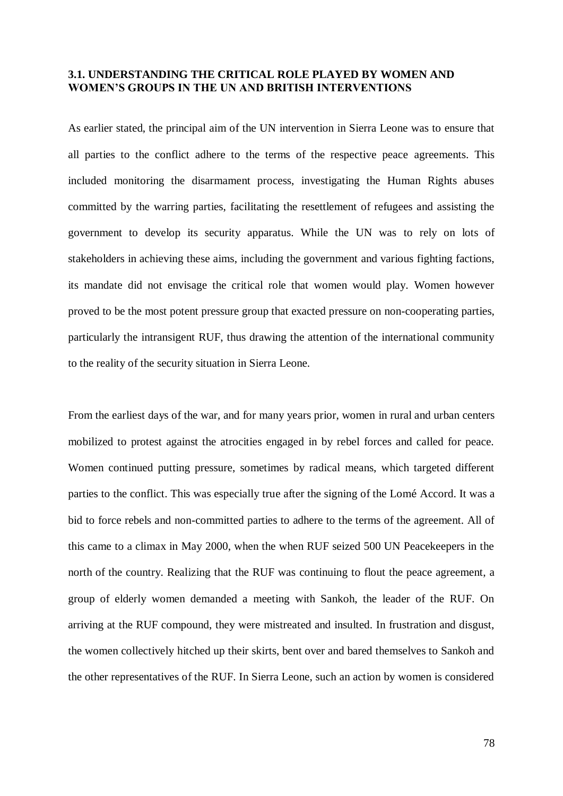## **3.1. UNDERSTANDING THE CRITICAL ROLE PLAYED BY WOMEN AND WOMEN'S GROUPS IN THE UN AND BRITISH INTERVENTIONS**

As earlier stated, the principal aim of the UN intervention in Sierra Leone was to ensure that all parties to the conflict adhere to the terms of the respective peace agreements. This included monitoring the disarmament process, investigating the Human Rights abuses committed by the warring parties, facilitating the resettlement of refugees and assisting the government to develop its security apparatus. While the UN was to rely on lots of stakeholders in achieving these aims, including the government and various fighting factions, its mandate did not envisage the critical role that women would play. Women however proved to be the most potent pressure group that exacted pressure on non-cooperating parties, particularly the intransigent RUF, thus drawing the attention of the international community to the reality of the security situation in Sierra Leone.

From the earliest days of the war, and for many years prior, women in rural and urban centers mobilized to protest against the atrocities engaged in by rebel forces and called for peace. Women continued putting pressure, sometimes by radical means, which targeted different parties to the conflict. This was especially true after the signing of the Lomé Accord. It was a bid to force rebels and non-committed parties to adhere to the terms of the agreement. All of this came to a climax in May 2000, when the when RUF seized 500 UN Peacekeepers in the north of the country. Realizing that the RUF was continuing to flout the peace agreement, a group of elderly women demanded a meeting with Sankoh, the leader of the RUF. On arriving at the RUF compound, they were mistreated and insulted. In frustration and disgust, the women collectively hitched up their skirts, bent over and bared themselves to Sankoh and the other representatives of the RUF. In Sierra Leone, such an action by women is considered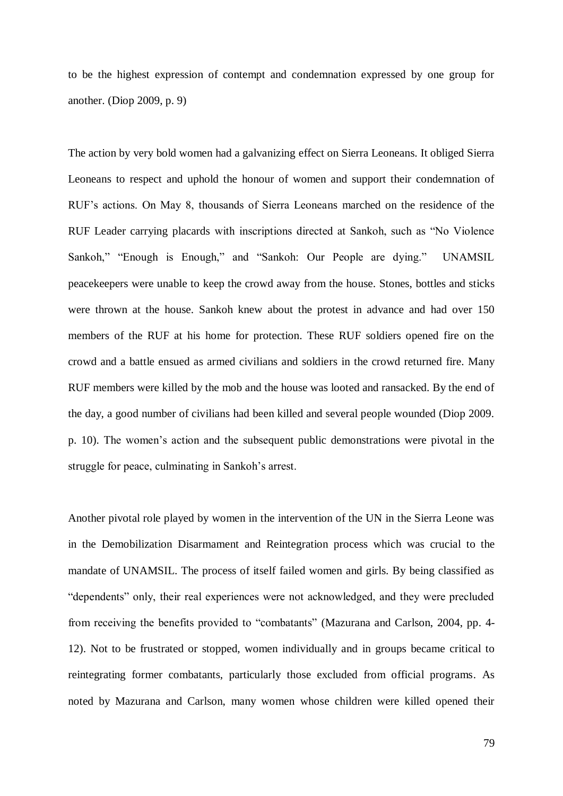to be the highest expression of contempt and condemnation expressed by one group for another. (Diop 2009, p. 9)

The action by very bold women had a galvanizing effect on Sierra Leoneans. It obliged Sierra Leoneans to respect and uphold the honour of women and support their condemnation of RUF's actions. On May 8, thousands of Sierra Leoneans marched on the residence of the RUF Leader carrying placards with inscriptions directed at Sankoh, such as "No Violence Sankoh," "Enough is Enough," and "Sankoh: Our People are dying." UNAMSIL peacekeepers were unable to keep the crowd away from the house. Stones, bottles and sticks were thrown at the house. Sankoh knew about the protest in advance and had over 150 members of the RUF at his home for protection. These RUF soldiers opened fire on the crowd and a battle ensued as armed civilians and soldiers in the crowd returned fire. Many RUF members were killed by the mob and the house was looted and ransacked. By the end of the day, a good number of civilians had been killed and several people wounded (Diop 2009. p. 10). The women's action and the subsequent public demonstrations were pivotal in the struggle for peace, culminating in Sankoh's arrest.

Another pivotal role played by women in the intervention of the UN in the Sierra Leone was in the Demobilization Disarmament and Reintegration process which was crucial to the mandate of UNAMSIL. The process of itself failed women and girls. By being classified as "dependents" only, their real experiences were not acknowledged, and they were precluded from receiving the benefits provided to "combatants" (Mazurana and Carlson, 2004, pp. 4- 12). Not to be frustrated or stopped, women individually and in groups became critical to reintegrating former combatants, particularly those excluded from official programs. As noted by Mazurana and Carlson, many women whose children were killed opened their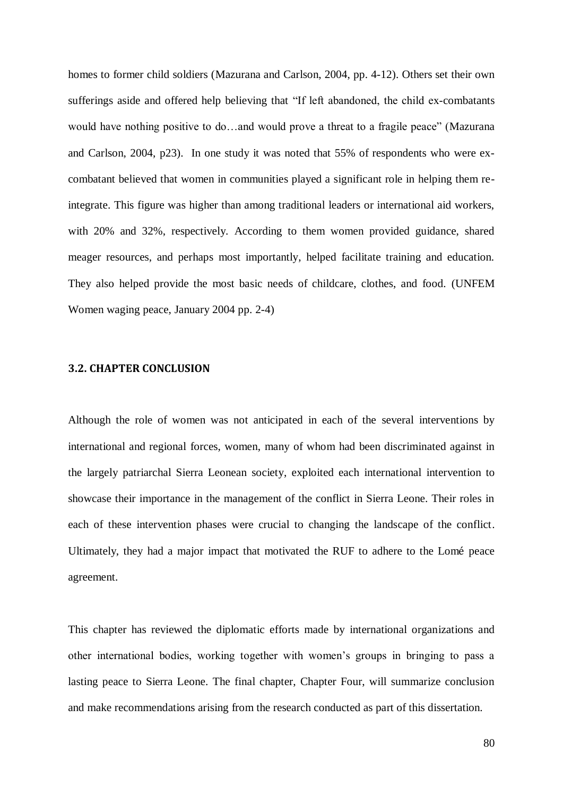homes to former child soldiers (Mazurana and Carlson, 2004, pp. 4-12). Others set their own sufferings aside and offered help believing that "If left abandoned, the child ex-combatants would have nothing positive to do…and would prove a threat to a fragile peace" (Mazurana and Carlson, 2004, p23). In one study it was noted that 55% of respondents who were excombatant believed that women in communities played a significant role in helping them reintegrate. This figure was higher than among traditional leaders or international aid workers, with 20% and 32%, respectively. According to them women provided guidance, shared meager resources, and perhaps most importantly, helped facilitate training and education. They also helped provide the most basic needs of childcare, clothes, and food. (UNFEM Women waging peace, January 2004 pp. 2-4)

## **3.2. CHAPTER CONCLUSION**

Although the role of women was not anticipated in each of the several interventions by international and regional forces, women, many of whom had been discriminated against in the largely patriarchal Sierra Leonean society, exploited each international intervention to showcase their importance in the management of the conflict in Sierra Leone. Their roles in each of these intervention phases were crucial to changing the landscape of the conflict. Ultimately, they had a major impact that motivated the RUF to adhere to the Lomé peace agreement.

This chapter has reviewed the diplomatic efforts made by international organizations and other international bodies, working together with women's groups in bringing to pass a lasting peace to Sierra Leone. The final chapter, Chapter Four, will summarize conclusion and make recommendations arising from the research conducted as part of this dissertation.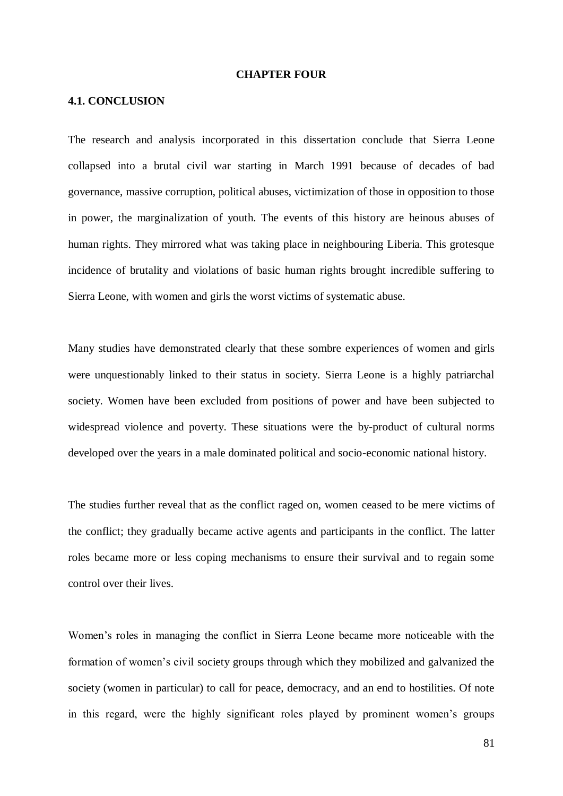#### **CHAPTER FOUR**

## **4.1. CONCLUSION**

The research and analysis incorporated in this dissertation conclude that Sierra Leone collapsed into a brutal civil war starting in March 1991 because of decades of bad governance, massive corruption, political abuses, victimization of those in opposition to those in power, the marginalization of youth. The events of this history are heinous abuses of human rights. They mirrored what was taking place in neighbouring Liberia. This grotesque incidence of brutality and violations of basic human rights brought incredible suffering to Sierra Leone, with women and girls the worst victims of systematic abuse.

Many studies have demonstrated clearly that these sombre experiences of women and girls were unquestionably linked to their status in society. Sierra Leone is a highly patriarchal society. Women have been excluded from positions of power and have been subjected to widespread violence and poverty. These situations were the by-product of cultural norms developed over the years in a male dominated political and socio-economic national history.

The studies further reveal that as the conflict raged on, women ceased to be mere victims of the conflict; they gradually became active agents and participants in the conflict. The latter roles became more or less coping mechanisms to ensure their survival and to regain some control over their lives.

Women's roles in managing the conflict in Sierra Leone became more noticeable with the formation of women's civil society groups through which they mobilized and galvanized the society (women in particular) to call for peace, democracy, and an end to hostilities. Of note in this regard, were the highly significant roles played by prominent women's groups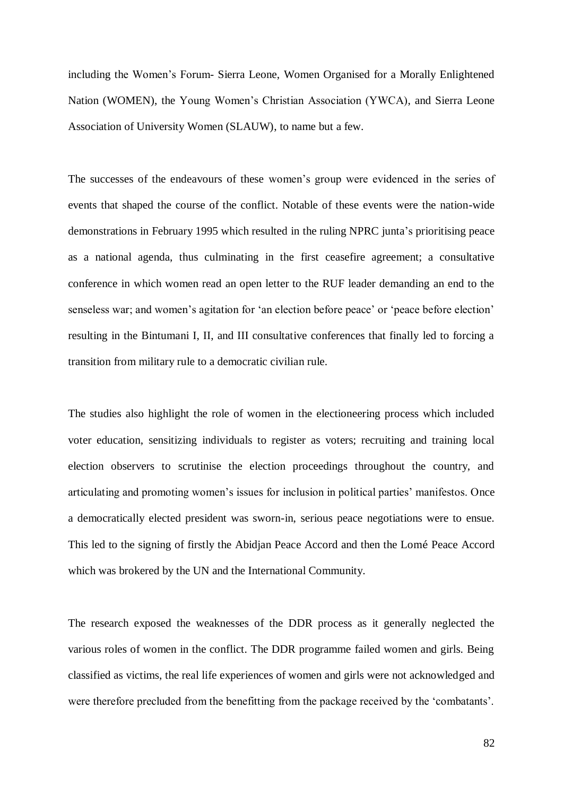including the Women's Forum- Sierra Leone, Women Organised for a Morally Enlightened Nation (WOMEN), the Young Women's Christian Association (YWCA), and Sierra Leone Association of University Women (SLAUW), to name but a few.

The successes of the endeavours of these women's group were evidenced in the series of events that shaped the course of the conflict. Notable of these events were the nation-wide demonstrations in February 1995 which resulted in the ruling NPRC junta's prioritising peace as a national agenda, thus culminating in the first ceasefire agreement; a consultative conference in which women read an open letter to the RUF leader demanding an end to the senseless war; and women's agitation for 'an election before peace' or 'peace before election' resulting in the Bintumani I, II, and III consultative conferences that finally led to forcing a transition from military rule to a democratic civilian rule.

The studies also highlight the role of women in the electioneering process which included voter education, sensitizing individuals to register as voters; recruiting and training local election observers to scrutinise the election proceedings throughout the country, and articulating and promoting women's issues for inclusion in political parties' manifestos. Once a democratically elected president was sworn-in, serious peace negotiations were to ensue. This led to the signing of firstly the Abidjan Peace Accord and then the Lomé Peace Accord which was brokered by the UN and the International Community.

The research exposed the weaknesses of the DDR process as it generally neglected the various roles of women in the conflict. The DDR programme failed women and girls. Being classified as victims, the real life experiences of women and girls were not acknowledged and were therefore precluded from the benefitting from the package received by the 'combatants'.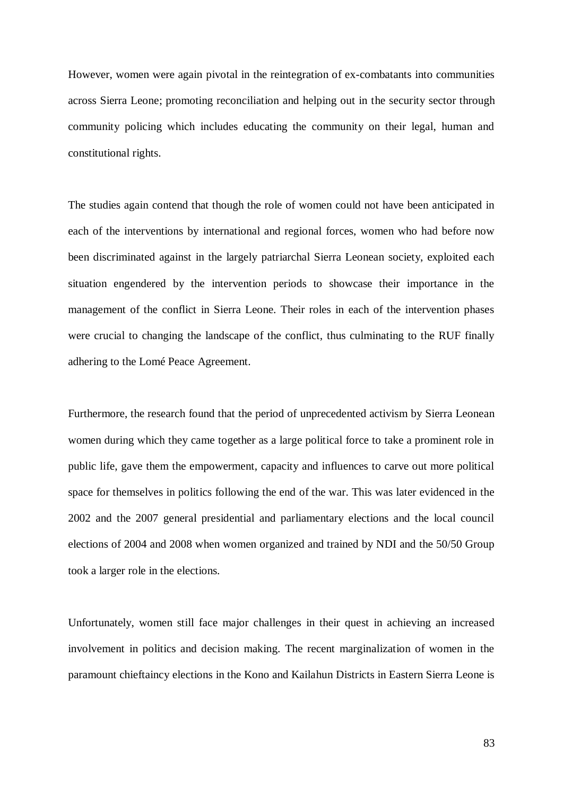However, women were again pivotal in the reintegration of ex-combatants into communities across Sierra Leone; promoting reconciliation and helping out in the security sector through community policing which includes educating the community on their legal, human and constitutional rights.

The studies again contend that though the role of women could not have been anticipated in each of the interventions by international and regional forces, women who had before now been discriminated against in the largely patriarchal Sierra Leonean society, exploited each situation engendered by the intervention periods to showcase their importance in the management of the conflict in Sierra Leone. Their roles in each of the intervention phases were crucial to changing the landscape of the conflict, thus culminating to the RUF finally adhering to the Lomé Peace Agreement.

Furthermore, the research found that the period of unprecedented activism by Sierra Leonean women during which they came together as a large political force to take a prominent role in public life, gave them the empowerment, capacity and influences to carve out more political space for themselves in politics following the end of the war. This was later evidenced in the 2002 and the 2007 general presidential and parliamentary elections and the local council elections of 2004 and 2008 when women organized and trained by NDI and the 50/50 Group took a larger role in the elections.

Unfortunately, women still face major challenges in their quest in achieving an increased involvement in politics and decision making. The recent marginalization of women in the paramount chieftaincy elections in the Kono and Kailahun Districts in Eastern Sierra Leone is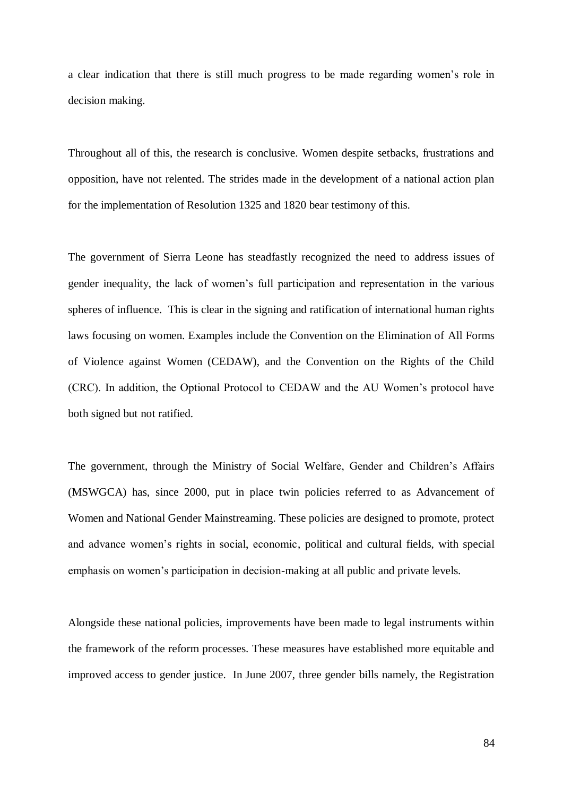a clear indication that there is still much progress to be made regarding women's role in decision making.

Throughout all of this, the research is conclusive. Women despite setbacks, frustrations and opposition, have not relented. The strides made in the development of a national action plan for the implementation of Resolution 1325 and 1820 bear testimony of this.

The government of Sierra Leone has steadfastly recognized the need to address issues of gender inequality, the lack of women's full participation and representation in the various spheres of influence. This is clear in the signing and ratification of international human rights laws focusing on women. Examples include the Convention on the Elimination of All Forms of Violence against Women (CEDAW), and the Convention on the Rights of the Child (CRC). In addition, the Optional Protocol to CEDAW and the AU Women's protocol have both signed but not ratified.

The government, through the Ministry of Social Welfare, Gender and Children's Affairs (MSWGCA) has, since 2000, put in place twin policies referred to as Advancement of Women and National Gender Mainstreaming. These policies are designed to promote, protect and advance women's rights in social, economic, political and cultural fields, with special emphasis on women's participation in decision-making at all public and private levels.

Alongside these national policies, improvements have been made to legal instruments within the framework of the reform processes. These measures have established more equitable and improved access to gender justice. In June 2007, three gender bills namely, the Registration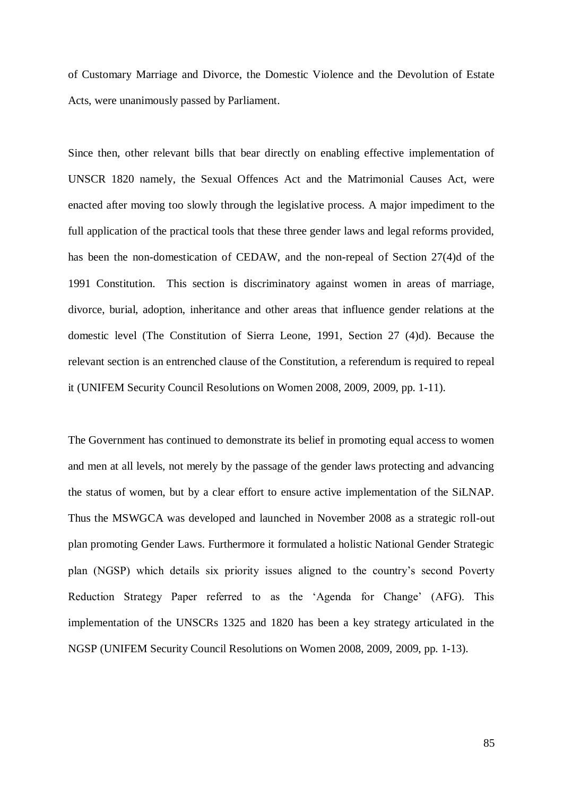of Customary Marriage and Divorce, the Domestic Violence and the Devolution of Estate Acts, were unanimously passed by Parliament.

Since then, other relevant bills that bear directly on enabling effective implementation of UNSCR 1820 namely, the Sexual Offences Act and the Matrimonial Causes Act, were enacted after moving too slowly through the legislative process. A major impediment to the full application of the practical tools that these three gender laws and legal reforms provided, has been the non-domestication of CEDAW, and the non-repeal of Section 27(4)d of the 1991 Constitution. This section is discriminatory against women in areas of marriage, divorce, burial, adoption, inheritance and other areas that influence gender relations at the domestic level (The Constitution of Sierra Leone, 1991, Section 27 (4)d). Because the relevant section is an entrenched clause of the Constitution, a referendum is required to repeal it (UNIFEM Security Council Resolutions on Women 2008, 2009, 2009, pp. 1-11).

The Government has continued to demonstrate its belief in promoting equal access to women and men at all levels, not merely by the passage of the gender laws protecting and advancing the status of women, but by a clear effort to ensure active implementation of the SiLNAP. Thus the MSWGCA was developed and launched in November 2008 as a strategic roll-out plan promoting Gender Laws. Furthermore it formulated a holistic National Gender Strategic plan (NGSP) which details six priority issues aligned to the country's second Poverty Reduction Strategy Paper referred to as the 'Agenda for Change' (AFG). This implementation of the UNSCRs 1325 and 1820 has been a key strategy articulated in the NGSP (UNIFEM Security Council Resolutions on Women 2008, 2009, 2009, pp. 1-13).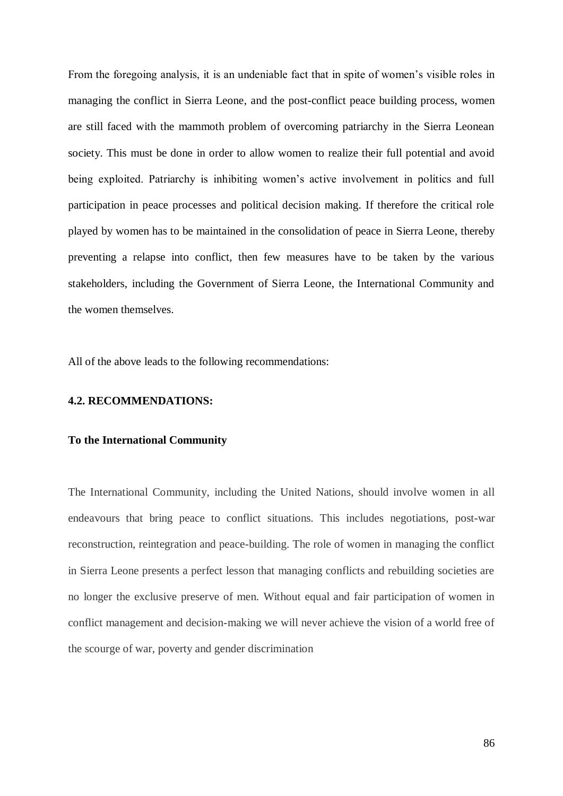From the foregoing analysis, it is an undeniable fact that in spite of women's visible roles in managing the conflict in Sierra Leone, and the post-conflict peace building process, women are still faced with the mammoth problem of overcoming patriarchy in the Sierra Leonean society. This must be done in order to allow women to realize their full potential and avoid being exploited. Patriarchy is inhibiting women's active involvement in politics and full participation in peace processes and political decision making. If therefore the critical role played by women has to be maintained in the consolidation of peace in Sierra Leone, thereby preventing a relapse into conflict, then few measures have to be taken by the various stakeholders, including the Government of Sierra Leone, the International Community and the women themselves.

All of the above leads to the following recommendations:

### **4.2. RECOMMENDATIONS:**

#### **To the International Community**

The International Community, including the United Nations, should involve women in all endeavours that bring peace to conflict situations. This includes negotiations, post-war reconstruction, reintegration and peace-building. The role of women in managing the conflict in Sierra Leone presents a perfect lesson that managing conflicts and rebuilding societies are no longer the exclusive preserve of men. Without equal and fair participation of women in conflict management and decision-making we will never achieve the vision of a world free of the scourge of war, poverty and gender discrimination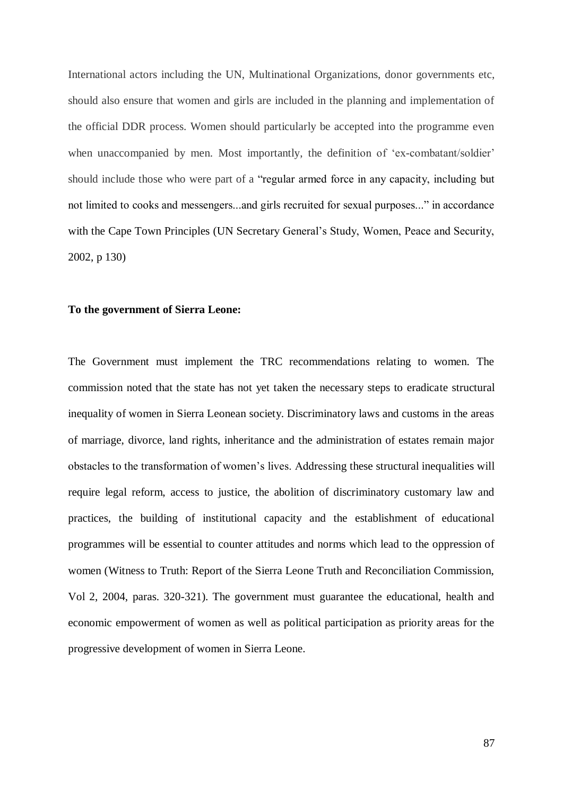International actors including the UN, Multinational Organizations, donor governments etc, should also ensure that women and girls are included in the planning and implementation of the official DDR process. Women should particularly be accepted into the programme even when unaccompanied by men. Most importantly, the definition of 'ex-combatant/soldier' should include those who were part of a "regular armed force in any capacity, including but not limited to cooks and messengers...and girls recruited for sexual purposes..." in accordance with the Cape Town Principles (UN Secretary General's Study, Women, Peace and Security, 2002, p 130)

## **To the government of Sierra Leone:**

The Government must implement the TRC recommendations relating to women. The commission noted that the state has not yet taken the necessary steps to eradicate structural inequality of women in Sierra Leonean society. Discriminatory laws and customs in the areas of marriage, divorce, land rights, inheritance and the administration of estates remain major obstacles to the transformation of women's lives. Addressing these structural inequalities will require legal reform, access to justice, the abolition of discriminatory customary law and practices, the building of institutional capacity and the establishment of educational programmes will be essential to counter attitudes and norms which lead to the oppression of women (Witness to Truth: Report of the Sierra Leone Truth and Reconciliation Commission, Vol 2, 2004, paras. 320-321). The government must guarantee the educational, health and economic empowerment of women as well as political participation as priority areas for the progressive development of women in Sierra Leone.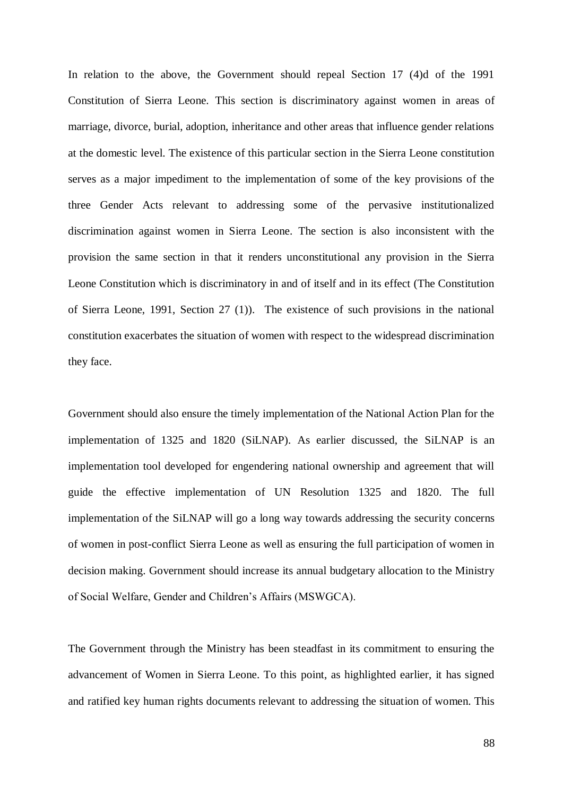In relation to the above, the Government should repeal Section 17 (4)d of the 1991 Constitution of Sierra Leone. This section is discriminatory against women in areas of marriage, divorce, burial, adoption, inheritance and other areas that influence gender relations at the domestic level. The existence of this particular section in the Sierra Leone constitution serves as a major impediment to the implementation of some of the key provisions of the three Gender Acts relevant to addressing some of the pervasive institutionalized discrimination against women in Sierra Leone. The section is also inconsistent with the provision the same section in that it renders unconstitutional any provision in the Sierra Leone Constitution which is discriminatory in and of itself and in its effect (The Constitution of Sierra Leone, 1991, Section 27 (1)). The existence of such provisions in the national constitution exacerbates the situation of women with respect to the widespread discrimination they face.

Government should also ensure the timely implementation of the National Action Plan for the implementation of 1325 and 1820 (SiLNAP). As earlier discussed, the SiLNAP is an implementation tool developed for engendering national ownership and agreement that will guide the effective implementation of UN Resolution 1325 and 1820. The full implementation of the SiLNAP will go a long way towards addressing the security concerns of women in post-conflict Sierra Leone as well as ensuring the full participation of women in decision making. Government should increase its annual budgetary allocation to the Ministry of Social Welfare, Gender and Children's Affairs (MSWGCA).

The Government through the Ministry has been steadfast in its commitment to ensuring the advancement of Women in Sierra Leone. To this point, as highlighted earlier, it has signed and ratified key human rights documents relevant to addressing the situation of women. This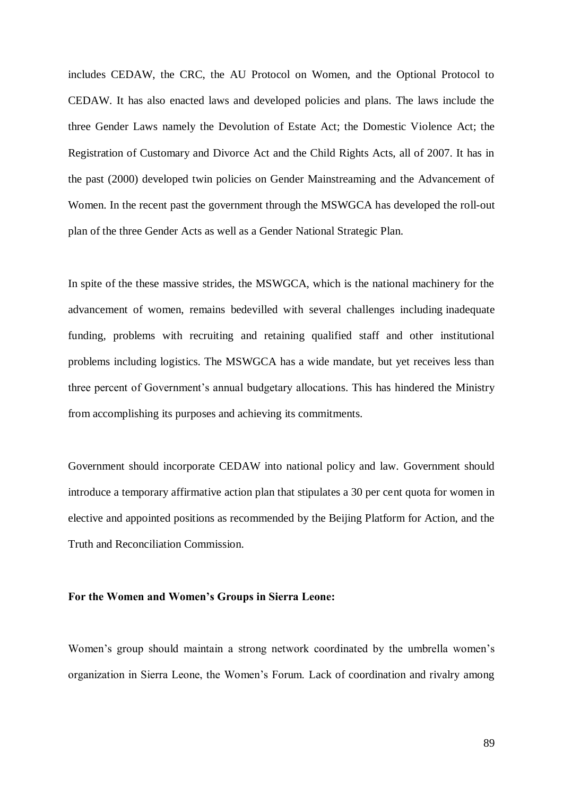includes CEDAW, the CRC, the AU Protocol on Women, and the Optional Protocol to CEDAW. It has also enacted laws and developed policies and plans. The laws include the three Gender Laws namely the Devolution of Estate Act; the Domestic Violence Act; the Registration of Customary and Divorce Act and the Child Rights Acts, all of 2007. It has in the past (2000) developed twin policies on Gender Mainstreaming and the Advancement of Women. In the recent past the government through the MSWGCA has developed the roll-out plan of the three Gender Acts as well as a Gender National Strategic Plan.

In spite of the these massive strides, the MSWGCA, which is the national machinery for the advancement of women, remains bedevilled with several challenges including inadequate funding, problems with recruiting and retaining qualified staff and other institutional problems including logistics. The MSWGCA has a wide mandate, but yet receives less than three percent of Government's annual budgetary allocations. This has hindered the Ministry from accomplishing its purposes and achieving its commitments.

Government should incorporate CEDAW into national policy and law. Government should introduce a temporary affirmative action plan that stipulates a 30 per cent quota for women in elective and appointed positions as recommended by the Beijing Platform for Action, and the Truth and Reconciliation Commission.

## **For the Women and Women's Groups in Sierra Leone:**

Women's group should maintain a strong network coordinated by the umbrella women's organization in Sierra Leone, the Women's Forum. Lack of coordination and rivalry among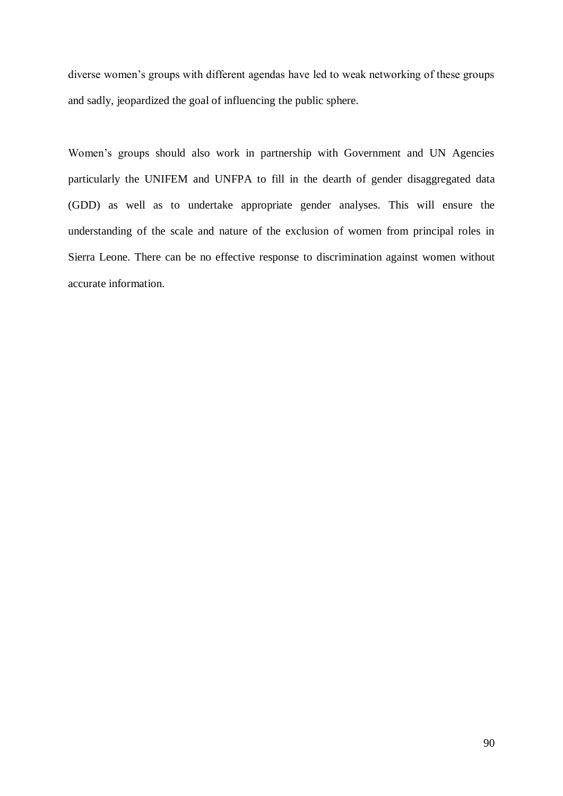diverse women's groups with different agendas have led to weak networking of these groups and sadly, jeopardized the goal of influencing the public sphere.

Women's groups should also work in partnership with Government and UN Agencies particularly the UNIFEM and UNFPA to fill in the dearth of gender disaggregated data (GDD) as well as to undertake appropriate gender analyses. This will ensure the understanding of the scale and nature of the exclusion of women from principal roles in Sierra Leone. There can be no effective response to discrimination against women without accurate information.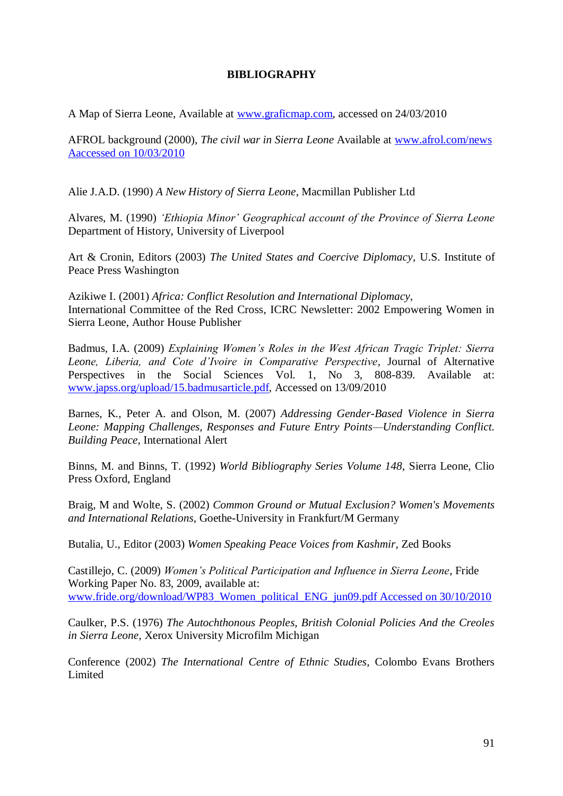# **BIBLIOGRAPHY**

A Map of Sierra Leone, Available at [www.graficmap.com,](http://www.graficmap.com/) accessed on 24/03/2010

AFROL background (2000), *The civil war in Sierra Leone* Available at [www.afrol.com/news](http://www.afrol.com/news%20%20Aaccessed%20on%2010/03/2010)  [Aaccessed on 10/03/2010](http://www.afrol.com/news%20%20Aaccessed%20on%2010/03/2010)

Alie J.A.D. (1990) *A New History of Sierra Leone*, Macmillan Publisher Ltd

Alvares, M. (1990) *'Ethiopia Minor' Geographical account of the Province of Sierra Leone* Department of History, University of Liverpool

Art & Cronin, Editors (2003) *The United States and Coercive Diplomacy*, U.S. Institute of Peace Press Washington

Azikiwe I. (2001) *Africa: Conflict Resolution and International Diplomacy,* International Committee of the Red Cross, ICRC Newsletter: 2002 Empowering Women in Sierra Leone, Author House Publisher

Badmus, I.A. (2009) *Explaining Women's Roles in the West African Tragic Triplet: Sierra Leone, Liberia, and Cote d'Ivoire in Comparative Perspective,* Journal of Alternative Perspectives in the Social Sciences Vol. 1, No 3, 808-839. Available at: [www.japss.org/upload/15.badmusarticle.pdf,](http://www.japss.org/upload/15.badmusarticle.pdf) Accessed on 13/09/2010

Barnes, K., Peter A. and Olson, M. (2007) *Addressing Gender-Based Violence in Sierra Leone: Mapping Challenges, Responses and Future Entry Points—Understanding Conflict. Building Peace*, International Alert

Binns, M. and Binns, T. (1992) *World Bibliography Series Volume 148*, Sierra Leone, Clio Press Oxford, England

Braig, M and Wolte, S. (2002) *Common Ground or Mutual Exclusion? Women's Movements and International Relations*, Goethe-University in Frankfurt/M Germany

Butalia, U., Editor (2003) *Women Speaking Peace Voices from Kashmir*, Zed Books

Castillejo, C. (2009) *Women's Political Participation and Influence in Sierra Leone*, Fride Working Paper No. 83, 2009, available at: [www.fride.org/download/WP83\\_Women\\_political\\_ENG\\_jun09.pdf Accessed on 30/10/2010](http://www.fride.org/download/WP83_Women_political_ENG_jun09.pdf%20Accessed%20on%2030/10/2010)

Caulker, P.S. (1976) *The Autochthonous Peoples, British Colonial Policies And the Creoles in Sierra Leone,* Xerox University Microfilm Michigan

Conference (2002) *The International Centre of Ethnic Studies,* Colombo Evans Brothers Limited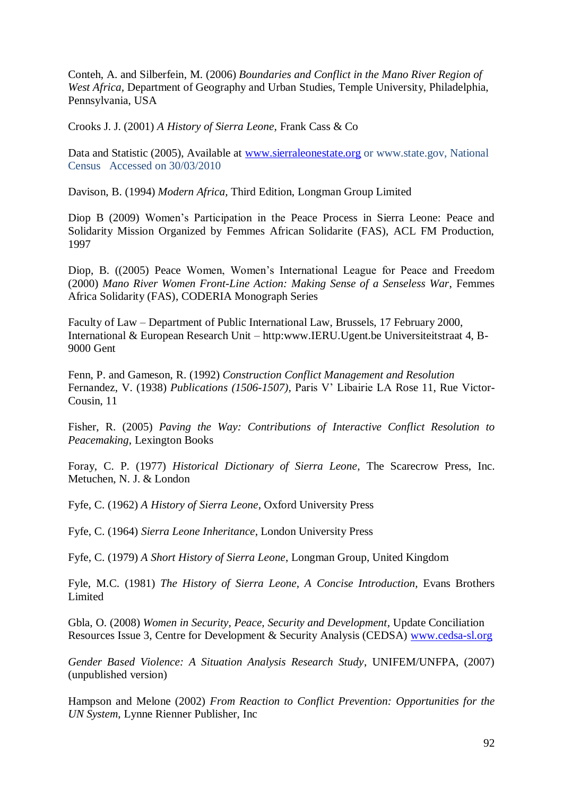Conteh, A. and Silberfein, M. (2006) *Boundaries and Conflict in the Mano River Region of West Africa,* Department of Geography and Urban Studies, Temple University, Philadelphia, Pennsylvania, USA

Crooks J. J. (2001) *A History of Sierra Leone,* Frank Cass & Co

Data and Statistic (2005), Available at [www.sierraleonestate.org](http://www.sierraleonestate.org/) or [www.state.gov,](http://www.state.gov/) National Census Accessed on 30/03/2010

Davison, B. (1994) *Modern Africa,* Third Edition, Longman Group Limited

Diop B (2009) Women's Participation in the Peace Process in Sierra Leone: Peace and Solidarity Mission Organized by Femmes African Solidarite (FAS), ACL FM Production, 1997

Diop, B. ((2005) Peace Women, Women's International League for Peace and Freedom (2000) *Mano River Women Front-Line Action: Making Sense of a Senseless War*, Femmes Africa Solidarity (FAS), CODERIA Monograph Series

Faculty of Law – Department of Public International Law, Brussels, 17 February 2000, International & European Research Unit – http:www.IERU.Ugent.be Universiteitstraat 4, B-9000 Gent

Fenn, P. and Gameson, R. (1992) *Construction Conflict Management and Resolution*  Fernandez, V. (1938) *Publications (1506-1507),* Paris V' Libairie LA Rose 11, Rue Victor-Cousin, 11

Fisher, R. (2005) *Paving the Way: Contributions of Interactive Conflict Resolution to Peacemaking*, Lexington Books

Foray, C. P. (1977) *Historical Dictionary of Sierra Leone,* The Scarecrow Press, Inc. Metuchen, N. J. & London

Fyfe, C. (1962) *A History of Sierra Leone*, Oxford University Press

Fyfe, C. (1964) *Sierra Leone Inheritance*, London University Press

Fyfe, C. (1979) *A Short History of Sierra Leone*, Longman Group, United Kingdom

Fyle, M.C. (1981) *The History of Sierra Leone, A Concise Introduction,* Evans Brothers Limited

Gbla, O. (2008) *Women in Security, Peace, Security and Development,* Update Conciliation Resources Issue 3, Centre for Development & Security Analysis (CEDSA) [www.cedsa-sl.org](http://www.cedsa-sl.org/)

*Gender Based Violence: A Situation Analysis Research Study*, UNIFEM/UNFPA, (2007) (unpublished version)

Hampson and Melone (2002) *From Reaction to Conflict Prevention: Opportunities for the UN System*, Lynne Rienner Publisher, Inc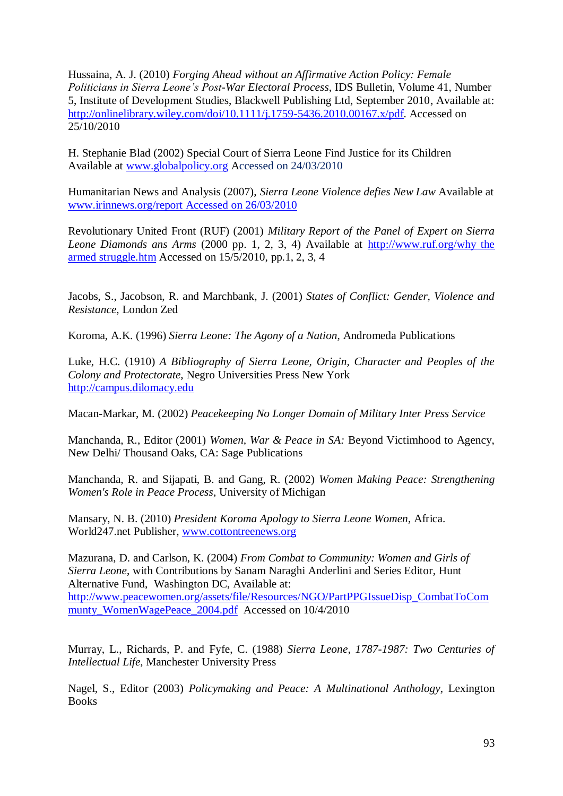Hussaina, A. J. (2010) *Forging Ahead without an Affirmative Action Policy: Female Politicians in Sierra Leone's Post-War Electoral Process*, IDS Bulletin, Volume 41, Number 5, Institute of Development Studies, Blackwell Publishing Ltd, September 2010, Available at: [http://onlinelibrary.wiley.com/doi/10.1111/j.1759-5436.2010.00167.x/pdf.](http://onlinelibrary.wiley.com/doi/10.1111/j.1759-5436.2010.00167.x/pdf) Accessed on 25/10/2010

H. Stephanie Blad (2002) Special Court of Sierra Leone Find Justice for its Children Available at [www.globalpolicy.org](http://www.globalpolicy.org/) Accessed on 24/03/2010

Humanitarian News and Analysis (2007), *Sierra Leone Violence defies New Law* Available at [www.irinnews.org/report Accessed on 26/03/2010](http://www.irinnews.org/report%20Accessed%20on%2026/03/2010)

Revolutionary United Front (RUF) (2001) *Military Report of the Panel of Expert on Sierra Leone Diamonds ans Arms* (2000 pp. 1, 2, 3, 4) Available at [http://www.ruf.org/why the](http://www.ruf.org/why%20the%20armed%20struggle.htm)  [armed struggle.htm](http://www.ruf.org/why%20the%20armed%20struggle.htm) Accessed on 15/5/2010, pp.1, 2, 3, 4

Jacobs, S., Jacobson, R. and Marchbank, J. (2001) *States of Conflict: Gender, Violence and Resistance*, London Zed

Koroma, A.K. (1996) *Sierra Leone: The Agony of a Nation*, Andromeda Publications

Luke, H.C. (1910) *A Bibliography of Sierra Leone, Origin, Character and Peoples of the Colony and Protectorate*, Negro Universities Press New York [http://campus.dilomacy.edu](http://campus.dilomacy.edu/)

Macan-Markar, M. (2002) *Peacekeeping No Longer Domain of Military Inter Press Service*

Manchanda, R., Editor (2001) *Women, War & Peace in SA:* Beyond Victimhood to Agency, New Delhi/ Thousand Oaks, CA: Sage Publications

Manchanda, R. and Sijapati, B. and Gang, R. (2002) *Women Making Peace: Strengthening Women's Role in Peace Process*, University of Michigan

Mansary, N. B. (2010) *President Koroma Apology to Sierra Leone Women*, Africa. World247.net Publisher, [www.cottontreenews.org](http://www.cottontreenews.org/)

Mazurana, D. and Carlson, K. (2004) *From Combat to Community: Women and Girls of Sierra Leone*, with Contributions by Sanam Naraghi Anderlini and Series Editor, Hunt Alternative Fund, Washington DC, Available at: [http://www.peacewomen.org/assets/file/Resources/NGO/PartPPGIssueDisp\\_CombatToCom](http://www.peacewomen.org/assets/file/Resources/NGO/PartPPGIssueDisp_CombatToCommunty_WomenWagePeace_2004.pdf) [munty\\_WomenWagePeace\\_2004.pdf](http://www.peacewomen.org/assets/file/Resources/NGO/PartPPGIssueDisp_CombatToCommunty_WomenWagePeace_2004.pdf) Accessed on 10/4/2010

Murray, L., Richards, P. and Fyfe, C. (1988) *Sierra Leone, 1787-1987: Two Centuries of Intellectual Life,* Manchester University Press

Nagel, S., Editor (2003) *Policymaking and Peace: A Multinational Anthology*, Lexington **Books**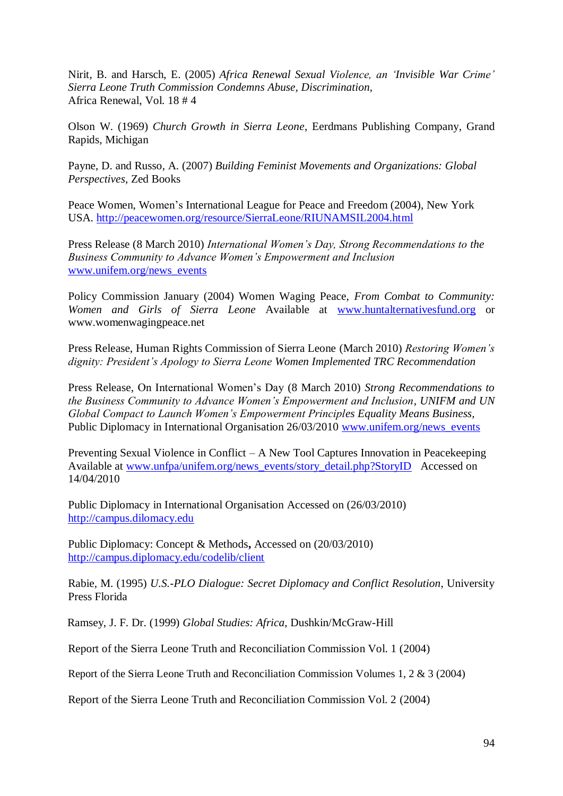Nirit, B. and Harsch, E. (2005) *Africa Renewal Sexual Violence, an 'Invisible War Crime' Sierra Leone Truth Commission Condemns Abuse, Discrimination,* Africa Renewal, Vol. 18 # 4

Olson W. (1969) *Church Growth in Sierra Leone*, Eerdmans Publishing Company, Grand Rapids, Michigan

Payne, D. and Russo, A. (2007) *Building Feminist Movements and Organizations: Global Perspectives*, Zed Books

Peace Women, Women's International League for Peace and Freedom (2004), New York USA.<http://peacewomen.org/resource/SierraLeone/RIUNAMSIL2004.html>

Press Release (8 March 2010) *International Women's Day, Strong Recommendations to the Business Community to Advance Women's Empowerment and Inclusion* [www.unifem.org/news\\_events](http://www.unifem.org/news_events)

Policy Commission January (2004) Women Waging Peace, *From Combat to Community: Women and Girls of Sierra Leone* Available at [www.huntalternativesfund.org](http://www.huntalternativesfund.org/) or www.womenwagingpeace.net

Press Release, Human Rights Commission of Sierra Leone (March 2010) *Restoring Women's dignity: President's Apology to Sierra Leone Women Implemented TRC Recommendation*

Press Release, On International Women's Day (8 March 2010) *Strong Recommendations to the Business Community to Advance Women's Empowerment and Inclusion, UNIFM and UN Global Compact to Launch Women's Empowerment Principles Equality Means Business,* Public Diplomacy in International Organisation 26/03/2010 [www.unifem.org/news\\_events](http://www.unifem.org/news_events)

Preventing Sexual Violence in Conflict – A New Tool Captures Innovation in Peacekeeping Available at [www.unfpa/unifem.org/news\\_events/story\\_detail.php?StoryID](http://www.unfpa/unifem.org/news_events/story_detail.php?StoryID) Accessed on 14/04/2010

Public Diplomacy in International Organisation Accessed on (26/03/2010) [http://campus.dilomacy.edu](http://campus.dilomacy.edu/)

Public Diplomacy: Concept & Methods**,** Accessed on (20/03/2010) <http://campus.diplomacy.edu/codelib/client>

Rabie, M. (1995) *U.S.-PLO Dialogue: Secret Diplomacy and Conflict Resolution*, University Press Florida

Ramsey, J. F. Dr. (1999) *Global Studies: Africa*, Dushkin/McGraw-Hill

Report of the Sierra Leone Truth and Reconciliation Commission Vol. 1 (2004)

Report of the Sierra Leone Truth and Reconciliation Commission Volumes 1, 2 & 3 (2004)

Report of the Sierra Leone Truth and Reconciliation Commission Vol. 2 (2004)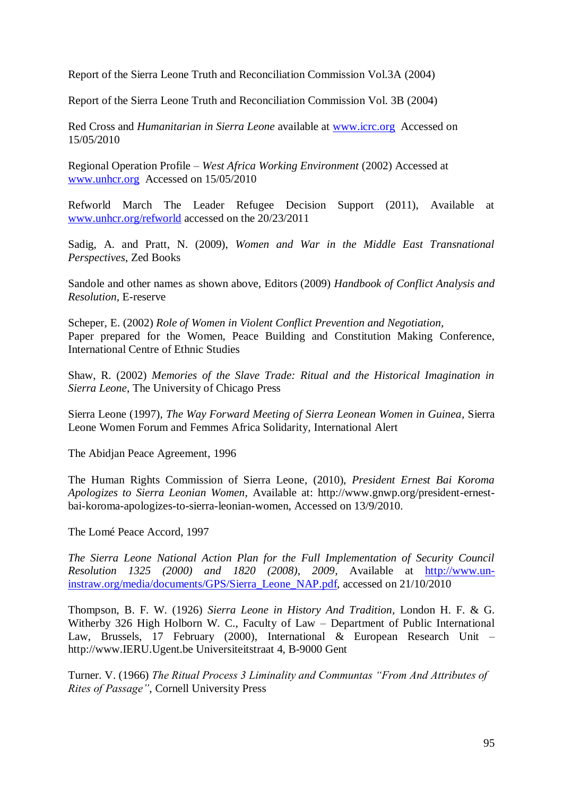Report of the Sierra Leone Truth and Reconciliation Commission Vol.3A (2004)

Report of the Sierra Leone Truth and Reconciliation Commission Vol. 3B (2004)

Red Cross and *Humanitarian in Sierra Leone* available at [www.icrc.org](http://www.icrc.org/) Accessed on 15/05/2010

Regional Operation Profile – *West Africa Working Environment* (2002) Accessed at [www.unhcr.org](http://www.unhcr.org/) Accessed on 15/05/2010

Refworld March The Leader Refugee Decision Support (2011), Available at [www.unhcr.org/refworld](http://www.unhcr.org/refworld) accessed on the 20/23/2011

Sadig, A. and Pratt, N. (2009), *Women and War in the Middle East Transnational Perspectives*, Zed Books

Sandole and other names as shown above, Editors (2009) *Handbook of Conflict Analysis and Resolution*, E-reserve

Scheper, E. (2002) *Role of Women in Violent Conflict Prevention and Negotiation,* Paper prepared for the Women, Peace Building and Constitution Making Conference, International Centre of Ethnic Studies

Shaw, R. (2002) *Memories of the Slave Trade: Ritual and the Historical Imagination in Sierra Leone*, The University of Chicago Press

Sierra Leone (1997), *The Way Forward Meeting of Sierra Leonean Women in Guinea,* Sierra Leone Women Forum and Femmes Africa Solidarity, International Alert

The Abidjan Peace Agreement, 1996

The Human Rights Commission of Sierra Leone, (2010), *President Ernest Bai Koroma Apologizes to Sierra Leonian Women*, Available at: http://www.gnwp.org/president-ernestbai-koroma-apologizes-to-sierra-leonian-women, Accessed on 13/9/2010.

The Lomé Peace Accord, 1997

*The Sierra Leone National Action Plan for the Full Implementation of Security Council Resolution 1325 (2000) and 1820 (2008), 2009*, Available at [http://www.un](http://www.un-instraw.org/media/documents/GPS/Sierra_Leone_NAP.pdf)[instraw.org/media/documents/GPS/Sierra\\_Leone\\_NAP.pdf,](http://www.un-instraw.org/media/documents/GPS/Sierra_Leone_NAP.pdf) accessed on 21/10/2010

Thompson, B. F. W. (1926) *Sierra Leone in History And Tradition,* London H. F. & G. Witherby 326 High Holborn W. C., Faculty of Law – Department of Public International Law, Brussels, 17 February (2000), International & European Research Unit – http://www.IERU.Ugent.be Universiteitstraat 4, B-9000 Gent

Turner. V. (1966) *The Ritual Process 3 Liminality and Communtas "From And Attributes of Rites of Passage"*, Cornell University Press